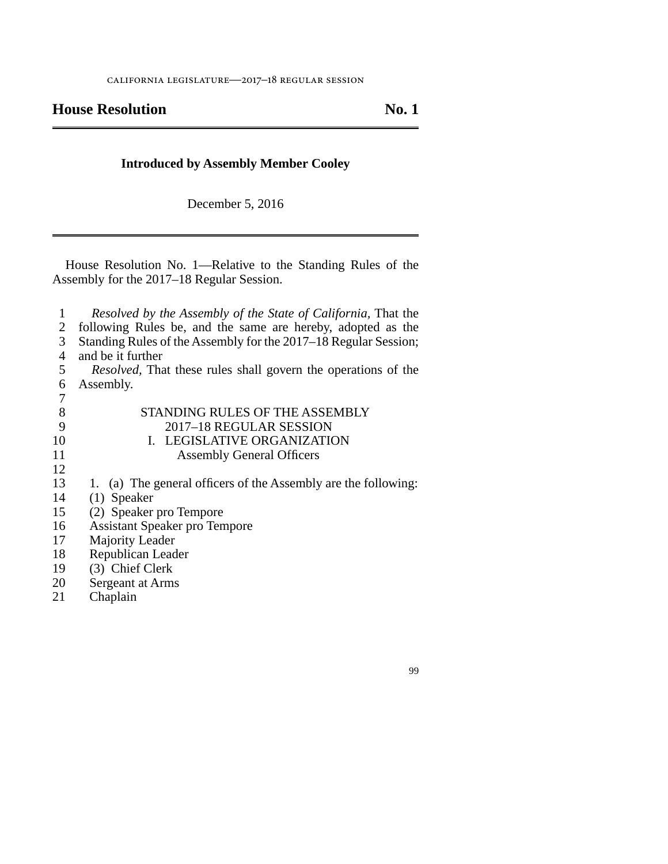# **Introduced by Assembly Member Cooley**

December 5, 2016

House Resolution No. 1—Relative to the Standing Rules of the Assembly for the 2017–18 Regular Session.

| 1  | Resolved by the Assembly of the State of California, That the         |
|----|-----------------------------------------------------------------------|
| 2  | following Rules be, and the same are hereby, adopted as the           |
| 3  | Standing Rules of the Assembly for the 2017–18 Regular Session;       |
| 4  | and be it further                                                     |
| 5  | <i>Resolved</i> , That these rules shall govern the operations of the |
| 6  | Assembly.                                                             |
| 7  |                                                                       |
| 8  | STANDING RULES OF THE ASSEMBLY                                        |
| 9  | 2017-18 REGULAR SESSION                                               |
| 10 | I. LEGISLATIVE ORGANIZATION                                           |
| 11 | <b>Assembly General Officers</b>                                      |
| 12 |                                                                       |
| 13 | 1. (a) The general officers of the Assembly are the following:        |
| 14 | $(1)$ Speaker                                                         |
| 15 | (2) Speaker pro Tempore                                               |
| 16 | <b>Assistant Speaker pro Tempore</b>                                  |
| 17 | <b>Majority Leader</b>                                                |
| 18 | Republican Leader                                                     |
| 19 | (3) Chief Clerk                                                       |
| 20 | Sergeant at Arms                                                      |
| 21 | Chaplain                                                              |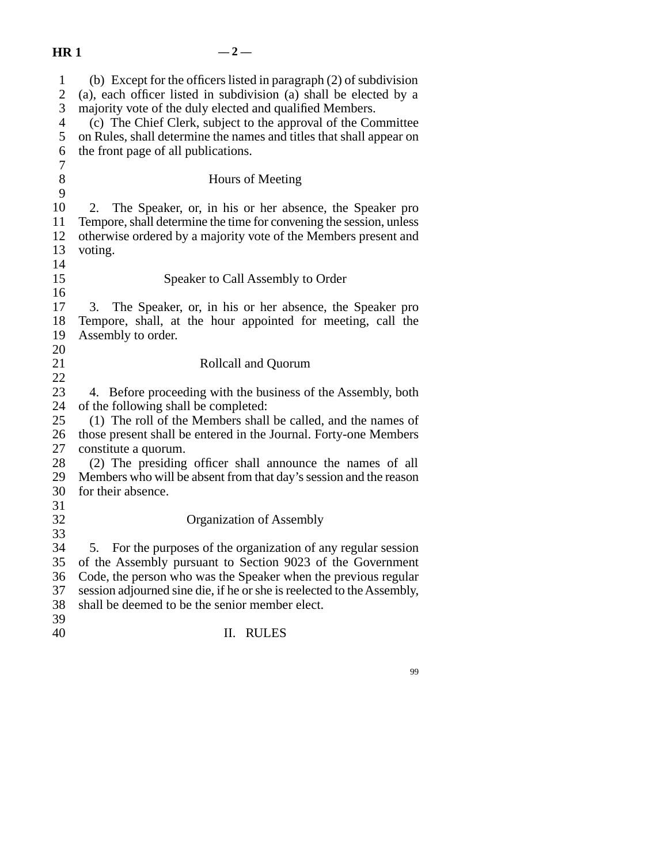| $\mathbf{1}$<br>$\overline{2}$<br>3<br>$\overline{4}$<br>5<br>6<br>7 | (b) Except for the officers listed in paragraph $(2)$ of subdivision<br>(a), each officer listed in subdivision (a) shall be elected by a<br>majority vote of the duly elected and qualified Members.<br>(c) The Chief Clerk, subject to the approval of the Committee<br>on Rules, shall determine the names and titles that shall appear on<br>the front page of all publications. |
|----------------------------------------------------------------------|--------------------------------------------------------------------------------------------------------------------------------------------------------------------------------------------------------------------------------------------------------------------------------------------------------------------------------------------------------------------------------------|
| $8\,$<br>9                                                           | Hours of Meeting                                                                                                                                                                                                                                                                                                                                                                     |
| 10                                                                   | The Speaker, or, in his or her absence, the Speaker pro<br>2.                                                                                                                                                                                                                                                                                                                        |
| 11                                                                   | Tempore, shall determine the time for convening the session, unless                                                                                                                                                                                                                                                                                                                  |
| 12                                                                   | otherwise ordered by a majority vote of the Members present and                                                                                                                                                                                                                                                                                                                      |
| 13                                                                   | voting.                                                                                                                                                                                                                                                                                                                                                                              |
| 14                                                                   |                                                                                                                                                                                                                                                                                                                                                                                      |
| 15                                                                   | Speaker to Call Assembly to Order                                                                                                                                                                                                                                                                                                                                                    |
| 16                                                                   |                                                                                                                                                                                                                                                                                                                                                                                      |
| 17                                                                   | 3.<br>The Speaker, or, in his or her absence, the Speaker pro                                                                                                                                                                                                                                                                                                                        |
| 18                                                                   | Tempore, shall, at the hour appointed for meeting, call the                                                                                                                                                                                                                                                                                                                          |
| 19                                                                   | Assembly to order.                                                                                                                                                                                                                                                                                                                                                                   |
| 20                                                                   |                                                                                                                                                                                                                                                                                                                                                                                      |
| 21                                                                   | <b>Rollcall and Quorum</b>                                                                                                                                                                                                                                                                                                                                                           |
| 22                                                                   |                                                                                                                                                                                                                                                                                                                                                                                      |
|                                                                      |                                                                                                                                                                                                                                                                                                                                                                                      |
| 23                                                                   | 4. Before proceeding with the business of the Assembly, both                                                                                                                                                                                                                                                                                                                         |
| 24                                                                   | of the following shall be completed:                                                                                                                                                                                                                                                                                                                                                 |
| 25                                                                   | (1) The roll of the Members shall be called, and the names of                                                                                                                                                                                                                                                                                                                        |
| 26                                                                   | those present shall be entered in the Journal. Forty-one Members                                                                                                                                                                                                                                                                                                                     |
| 27                                                                   | constitute a quorum.                                                                                                                                                                                                                                                                                                                                                                 |
| 28                                                                   | (2) The presiding officer shall announce the names of all                                                                                                                                                                                                                                                                                                                            |
| 29                                                                   | Members who will be absent from that day's session and the reason                                                                                                                                                                                                                                                                                                                    |
| 30                                                                   | for their absence.                                                                                                                                                                                                                                                                                                                                                                   |
| 31                                                                   |                                                                                                                                                                                                                                                                                                                                                                                      |
| 32                                                                   | Organization of Assembly                                                                                                                                                                                                                                                                                                                                                             |
| 33                                                                   |                                                                                                                                                                                                                                                                                                                                                                                      |
| 34                                                                   | For the purposes of the organization of any regular session<br>5.                                                                                                                                                                                                                                                                                                                    |
| 35                                                                   | of the Assembly pursuant to Section 9023 of the Government                                                                                                                                                                                                                                                                                                                           |
| 36                                                                   | Code, the person who was the Speaker when the previous regular                                                                                                                                                                                                                                                                                                                       |
| 37                                                                   | session adjourned sine die, if he or she is reelected to the Assembly,                                                                                                                                                                                                                                                                                                               |
| 38                                                                   | shall be deemed to be the senior member elect.                                                                                                                                                                                                                                                                                                                                       |
| 39<br>40                                                             | <b>RULES</b><br>П.                                                                                                                                                                                                                                                                                                                                                                   |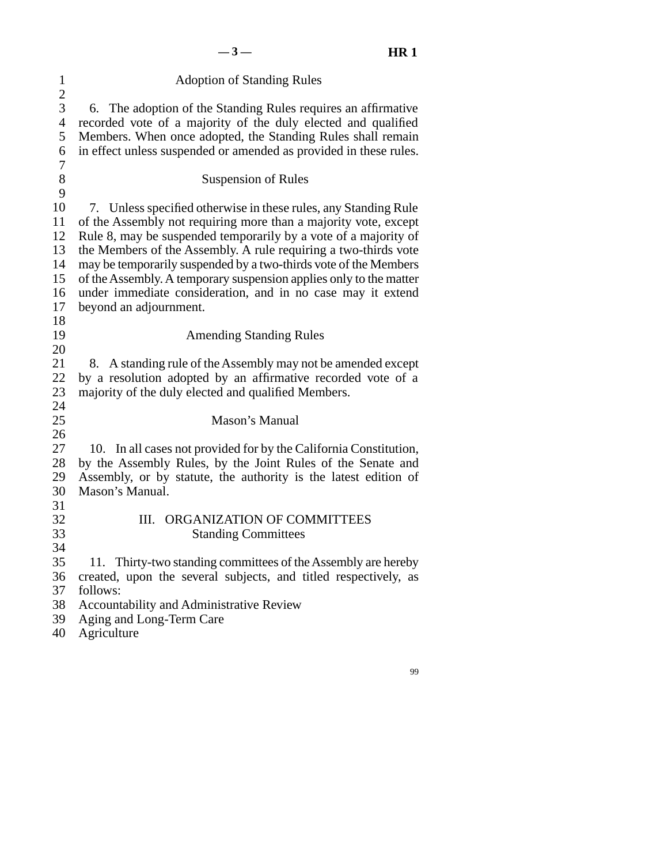| $\mathbf{1}$        | <b>Adoption of Standing Rules</b>                                                                                                 |
|---------------------|-----------------------------------------------------------------------------------------------------------------------------------|
| $\mathbf{2}$        |                                                                                                                                   |
| 3<br>$\overline{4}$ | 6. The adoption of the Standing Rules requires an affirmative<br>recorded vote of a majority of the duly elected and qualified    |
| 5                   | Members. When once adopted, the Standing Rules shall remain                                                                       |
| 6                   | in effect unless suspended or amended as provided in these rules.                                                                 |
| 7                   |                                                                                                                                   |
| 8                   | <b>Suspension of Rules</b>                                                                                                        |
| 9                   |                                                                                                                                   |
| 10                  | 7. Unless specified otherwise in these rules, any Standing Rule                                                                   |
| 11                  | of the Assembly not requiring more than a majority vote, except                                                                   |
| 12                  | Rule 8, may be suspended temporarily by a vote of a majority of                                                                   |
| 13                  | the Members of the Assembly. A rule requiring a two-thirds vote                                                                   |
| 14                  | may be temporarily suspended by a two-thirds vote of the Members                                                                  |
| 15<br>16            | of the Assembly. A temporary suspension applies only to the matter<br>under immediate consideration, and in no case may it extend |
| 17                  | beyond an adjournment.                                                                                                            |
| 18                  |                                                                                                                                   |
| 19                  | <b>Amending Standing Rules</b>                                                                                                    |
| 20                  |                                                                                                                                   |
| 21                  | 8. A standing rule of the Assembly may not be amended except                                                                      |
| 22                  | by a resolution adopted by an affirmative recorded vote of a                                                                      |
| 23                  | majority of the duly elected and qualified Members.                                                                               |
| 24                  |                                                                                                                                   |
| 25                  | Mason's Manual                                                                                                                    |
| 26                  |                                                                                                                                   |
| 27                  | 10. In all cases not provided for by the California Constitution,                                                                 |
| 28                  | by the Assembly Rules, by the Joint Rules of the Senate and                                                                       |
| 29                  | Assembly, or by statute, the authority is the latest edition of                                                                   |
| 30                  | Mason's Manual.                                                                                                                   |
| 31                  |                                                                                                                                   |
| 32                  | III. ORGANIZATION OF COMMITTEES                                                                                                   |
| 33                  | <b>Standing Committees</b>                                                                                                        |
| 34                  |                                                                                                                                   |
| 35                  | Thirty-two standing committees of the Assembly are hereby<br>11.                                                                  |
| 36<br>37            | created, upon the several subjects, and titled respectively, as<br>follows:                                                       |
| 38                  | Accountability and Administrative Review                                                                                          |
| 39                  | Aging and Long-Term Care                                                                                                          |
| 40                  | Agriculture                                                                                                                       |
|                     |                                                                                                                                   |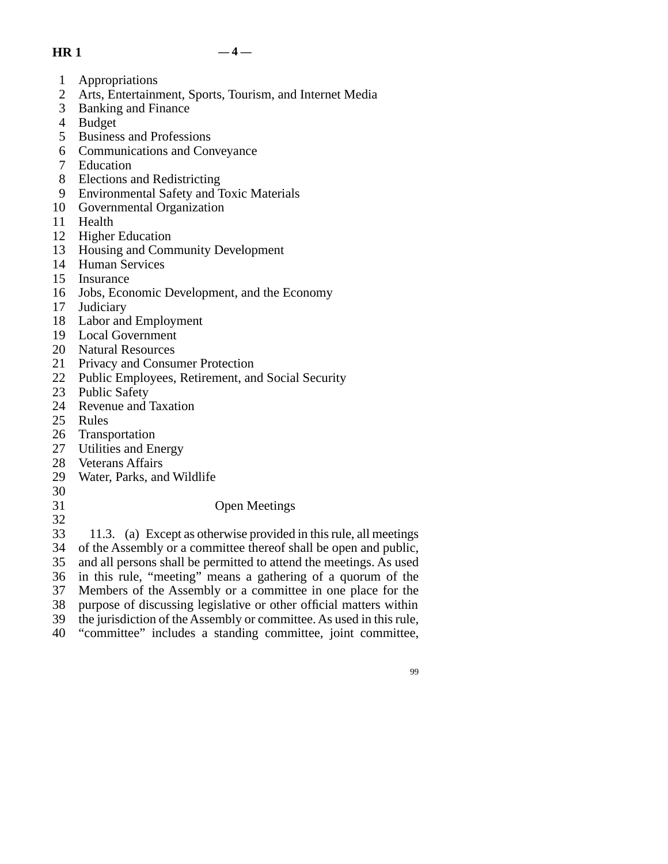- 1 Appropriations
- 2 Arts, Entertainment, Sports, Tourism, and Internet Media
- 3 Banking and Finance
- 4 Budget
- 5 Business and Professions
- 6 Communications and Conveyance
- 7 Education
- 8 Elections and Redistricting
- 9 Environmental Safety and Toxic Materials
- 10 Governmental Organization
- 11 Health
- 12 Higher Education
- 13 Housing and Community Development
- 14 Human Services
- 15 Insurance
- 16 Jobs, Economic Development, and the Economy
- 17 Judiciary
- 18 Labor and Employment
- 19 Local Government
- 20 Natural Resources
- 21 Privacy and Consumer Protection
- 22 Public Employees, Retirement, and Social Security
- 23 Public Safety
- 24 Revenue and Taxation
- 25 Rules
- 26 Transportation
- 27 Utilities and Energy
- 28 Veterans Affairs
- 29 Water, Parks, and Wildlife
- $\frac{30}{31}$
- 

# Open Meetings

- $\frac{32}{33}$ 11.3. (a) Except as otherwise provided in this rule, all meetings
- 34 of the Assembly or a committee thereof shall be open and public,
- 35 and all persons shall be permitted to attend the meetings. As used
- 36 in this rule, "meeting" means a gathering of a quorum of the
- 37 Members of the Assembly or a committee in one place for the
- 38 purpose of discussing legislative or other official matters within 39 the jurisdiction of the Assembly or committee. As used in this rule,
- 40 "committee" includes a standing committee, joint committee,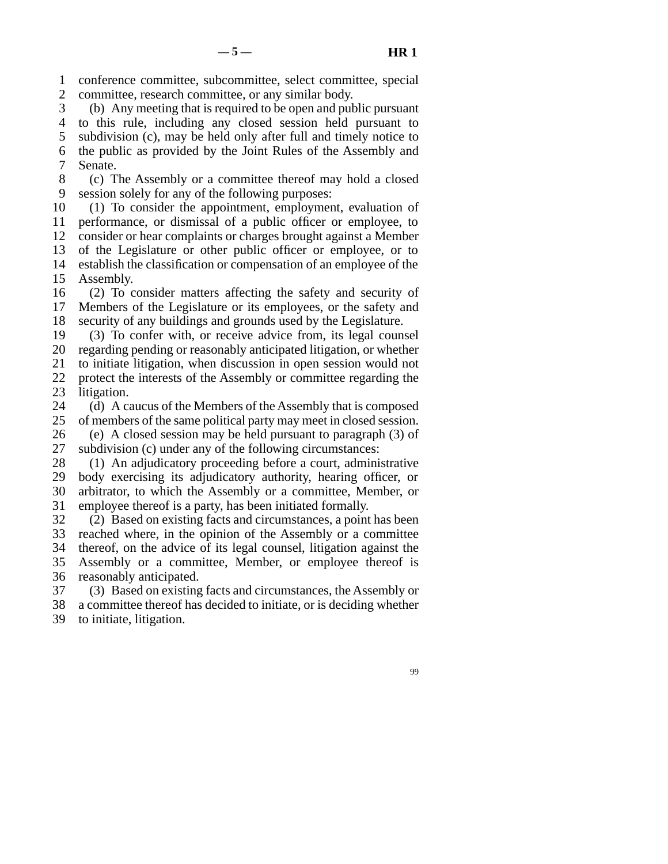line 1 conference committee, subcommittee, select committee, special 2 committee, research committee, or any similar body.

3 (b) Any meeting that is required to be open and public pursuant line 4 to this rule, including any closed session held pursuant to 5 subdivision (c), may be held only after full and timely notice to line 6 the public as provided by the Joint Rules of the Assembly and 7 Senate.

8 (c) The Assembly or a committee thereof may hold a closed 9 session solely for any of the following purposes:

10 (1) To consider the appointment, employment, evaluation of 11 performance, or dismissal of a public officer or employee, to 12 consider or hear complaints or charges brought against a Member 13 of the Legislature or other public officer or employee, or to 14 establish the classification or compensation of an employee of the 15 Assembly.

16 (2) To consider matters affecting the safety and security of 17 Members of the Legislature or its employees, or the safety and

18 security of any buildings and grounds used by the Legislature.

19 (3) To confer with, or receive advice from, its legal counsel

20 regarding pending or reasonably anticipated litigation, or whether 21 to initiate litigation, when discussion in open session would not

22 protect the interests of the Assembly or committee regarding the 23 litigation. litigation.

24 (d) A caucus of the Members of the Assembly that is composed<br>25 of members of the same political party may meet in closed session. of members of the same political party may meet in closed session.

26 (e) A closed session may be held pursuant to paragraph  $(3)$  of subdivision  $(c)$  under any of the following circumstances: subdivision (c) under any of the following circumstances:

28 (1) An adjudicatory proceeding before a court, administrative 29 body exercising its adjudicatory authority, hearing officer, or 30 arbitrator, to which the Assembly or a committee, Member, or 31 employee thereof is a party, has been initiated formally.

 line 32 (2) Based on existing facts and circumstances, a point has been 33 reached where, in the opinion of the Assembly or a committee 34 thereof, on the advice of its legal counsel, litigation against the 35 Assembly or a committee, Member, or employee thereof is 36 reasonably anticipated.

line 37 (3) Based on existing facts and circumstances, the Assembly or

38 a committee thereof has decided to initiate, or is deciding whether

39 to initiate, litigation.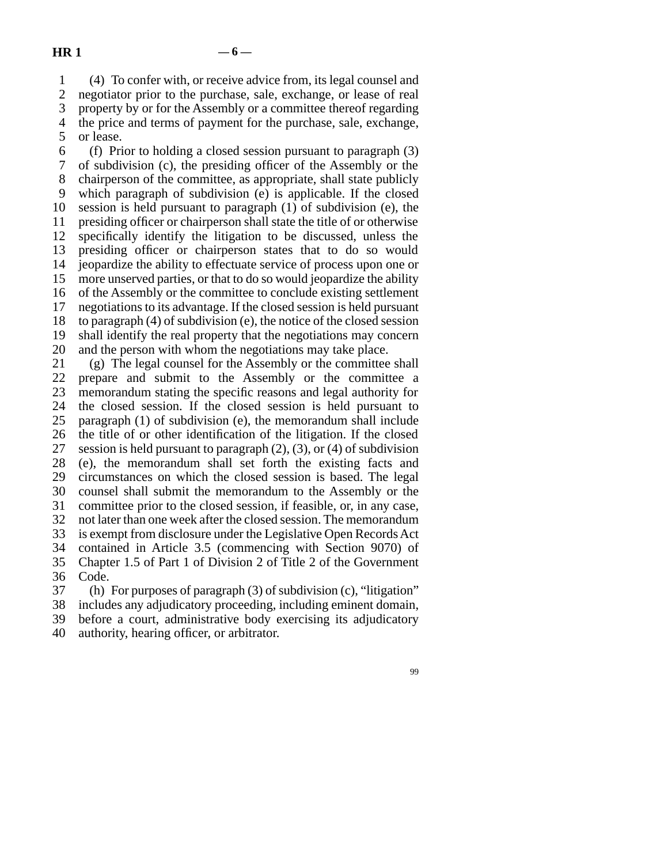line 1 (4) To confer with, or receive advice from, its legal counsel and 2 negotiator prior to the purchase, sale, exchange, or lease of real<br>3 property by or for the Assembly or a committee thereof regarding property by or for the Assembly or a committee thereof regarding 4 the price and terms of payment for the purchase, sale, exchange, 5 or lease.

6 (f) Prior to holding a closed session pursuant to paragraph  $(3)$  line 7 of subdivision (c), the presiding officer of the Assembly or the 8 chairperson of the committee, as appropriate, shall state publicly 9 which paragraph of subdivision (e) is applicable. If the closed 10 session is held pursuant to paragraph  $(1)$  of subdivision (e), the 11 presiding officer or chairperson shall state the title of or otherwise 12 specifically identify the litigation to be discussed, unless the 13 presiding officer or chairperson states that to do so would 14 jeopardize the ability to effectuate service of process upon one or 15 more unserved parties, or that to do so would jeopardize the ability 16 of the Assembly or the committee to conclude existing settlement 17 negotiations to its advantage. If the closed session is held pursuant 18 to paragraph (4) of subdivision (e), the notice of the closed session 19 shall identify the real property that the negotiations may concern

20 and the person with whom the negotiations may take place.

21 (g) The legal counsel for the Assembly or the committee shall 22 prepare and submit to the Assembly or the committee a 23 memorandum stating the specific reasons and legal authority for 24 the closed session. If the closed session is held pursuant to 25 paragraph  $(1)$  of subdivision (e), the memorandum shall include paragraph  $(1)$  of subdivision (e), the memorandum shall include 26 the title of or other identification of the litigation. If the closed 27 session is held pursuant to paragraph  $(2)$ ,  $(3)$ , or  $(4)$  of subdivision 28 (e), the memorandum shall set forth the existing facts and 29 circumstances on which the closed session is based. The legal 30 counsel shall submit the memorandum to the Assembly or the 31 committee prior to the closed session, if feasible, or, in any case, 32 not later than one week after the closed session. The memorandum 33 is exempt from disclosure under the Legislative Open Records Act 34 contained in Article 3.5 (commencing with Section 9070) of 35 Chapter 1.5 of Part 1 of Division 2 of Title 2 of the Government

36 Code.

37 (h) For purposes of paragraph (3) of subdivision (c), "litigation"

38 includes any adjudicatory proceeding, including eminent domain,

39 before a court, administrative body exercising its adjudicatory 40 authority, hearing officer, or arbitrator.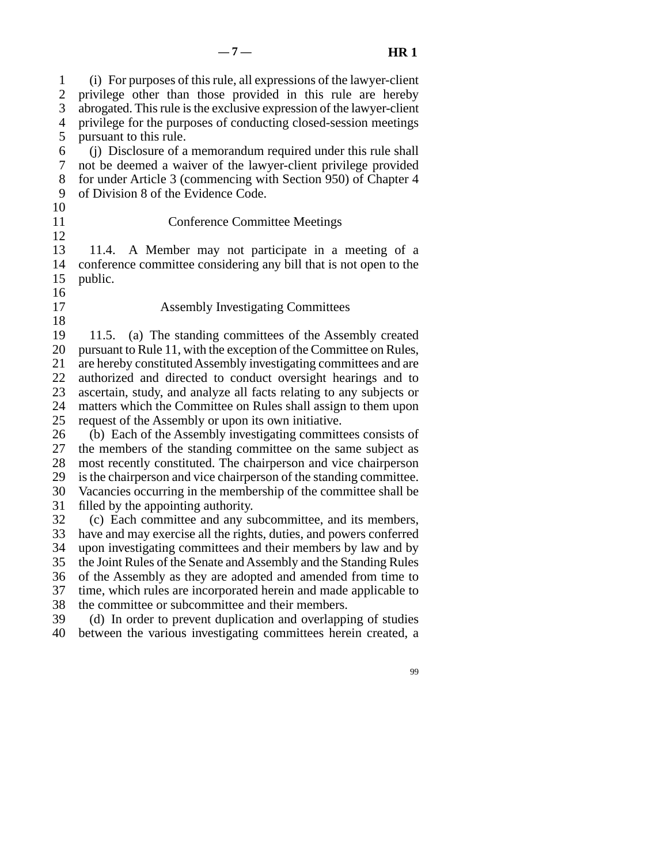line 1 (i) For purposes of this rule, all expressions of the lawyer-client 2 privilege other than those provided in this rule are hereby 3 abrogated. This rule is the exclusive expression of the lawyer-client 4 privilege for the purposes of conducting closed-session meetings 5 pursuant to this rule. line 6 (j) Disclosure of a memorandum required under this rule shall 7 not be deemed a waiver of the lawyer-client privilege provided 8 for under Article 3 (commencing with Section 950) of Chapter 4 9 of Division 8 of the Evidence Code. line 10 11 Conference Committee Meetings  $12$ 13 11.4. A Member may not participate in a meeting of a 14 conference committee considering any bill that is not open to the 15 public. 16 17 Assembly Investigating Committees line 18 19 11.5. (a) The standing committees of the Assembly created 20 pursuant to Rule 11, with the exception of the Committee on Rules, 21 are hereby constituted Assembly investigating committees and are 22 authorized and directed to conduct oversight hearings and to 23 ascertain, study, and analyze all facts relating to any subjects or 24 matters which the Committee on Rules shall assign to them upon 25 request of the Assembly or upon its own initiative. request of the Assembly or upon its own initiative. 26 (b) Each of the Assembly investigating committees consists of 27 the members of the standing committee on the same subject as 28 most recently constituted. The chairperson and vice chairperson 29 is the chairperson and vice chairperson of the standing committee. 30 Vacancies occurring in the membership of the committee shall be 31 filled by the appointing authority. 32 (c) Each committee and any subcommittee, and its members, 33 have and may exercise all the rights, duties, and powers conferred 34 upon investigating committees and their members by law and by 35 the Joint Rules of the Senate and Assembly and the Standing Rules 36 of the Assembly as they are adopted and amended from time to 37 time, which rules are incorporated herein and made applicable to 38 the committee or subcommittee and their members. 39 (d) In order to prevent duplication and overlapping of studies

40 between the various investigating committees herein created, a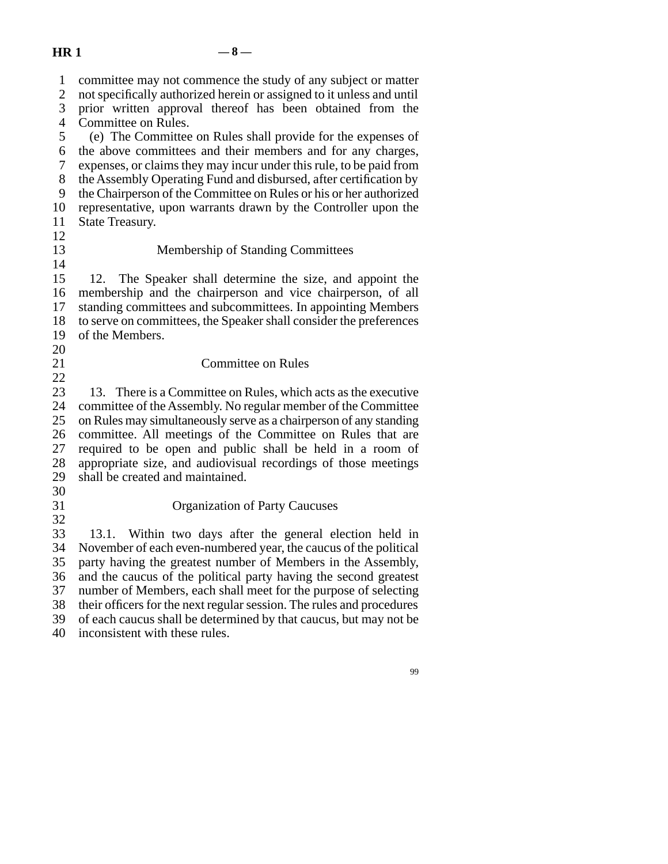1 committee may not commence the study of any subject or matter 2 not specifically authorized herein or assigned to it unless and until 3 prior written approval thereof has been obtained from the 4 Committee on Rules. line 5 (e) The Committee on Rules shall provide for the expenses of 6 the above committees and their members and for any charges, line 7 expenses, or claims they may incur under this rule, to be paid from 8 the Assembly Operating Fund and disbursed, after certification by 9 the Chairperson of the Committee on Rules or his or her authorized 10 representative, upon warrants drawn by the Controller upon the 11 State Treasury.  $12$ 13 Membership of Standing Committees  $\frac{14}{15}$ 12. The Speaker shall determine the size, and appoint the 16 membership and the chairperson and vice chairperson, of all 17 standing committees and subcommittees. In appointing Members 18 to serve on committees, the Speaker shall consider the preferences 19 of the Members. 20 21 Committee on Rules  $\frac{22}{23}$ 13. There is a Committee on Rules, which acts as the executive 24 committee of the Assembly. No regular member of the Committee<br>25 on Rules may simultaneously serve as a chairperson of any standing on Rules may simultaneously serve as a chairperson of any standing 26 committee. All meetings of the Committee on Rules that are 27 required to be open and public shall be held in a room of 28 appropriate size, and audiovisual recordings of those meetings 29 shall be created and maintained. line 30 31 Organization of Party Caucuses  $\frac{32}{33}$ 13.1. Within two days after the general election held in 34 November of each even-numbered year, the caucus of the political 35 party having the greatest number of Members in the Assembly, 36 and the caucus of the political party having the second greatest 37 number of Members, each shall meet for the purpose of selecting 38 their officers for the next regular session. The rules and procedures line 39 of each caucus shall be determined by that caucus, but may not be

40 inconsistent with these rules.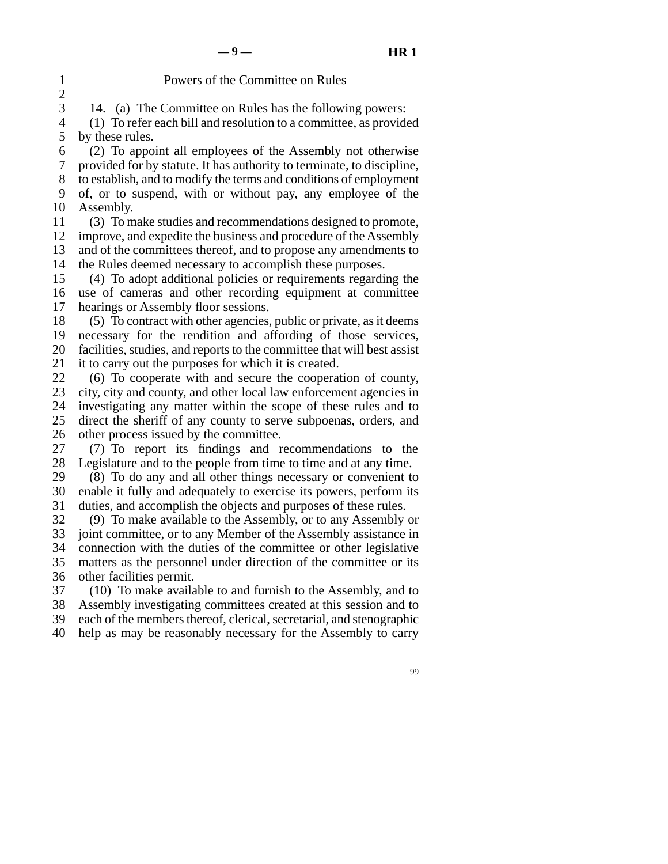| $\mathbf{1}$     | Powers of the Committee on Rules                                                                |
|------------------|-------------------------------------------------------------------------------------------------|
|                  |                                                                                                 |
| $\frac{2}{3}$    | 14. (a) The Committee on Rules has the following powers:                                        |
| $\overline{4}$   | (1) To refer each bill and resolution to a committee, as provided                               |
| 5                | by these rules.                                                                                 |
| 6                | (2) To appoint all employees of the Assembly not otherwise                                      |
| $\boldsymbol{7}$ | provided for by statute. It has authority to terminate, to discipline,                          |
| 8                | to establish, and to modify the terms and conditions of employment                              |
| 9                | of, or to suspend, with or without pay, any employee of the                                     |
| 10               | Assembly.                                                                                       |
| 11               | (3) To make studies and recommendations designed to promote,                                    |
| 12               | improve, and expedite the business and procedure of the Assembly                                |
| 13               | and of the committees thereof, and to propose any amendments to                                 |
| 14               | the Rules deemed necessary to accomplish these purposes.                                        |
| 15               | (4) To adopt additional policies or requirements regarding the                                  |
| 16               | use of cameras and other recording equipment at committee                                       |
| 17               | hearings or Assembly floor sessions.                                                            |
| 18               | (5) To contract with other agencies, public or private, as it deems                             |
| 19               | necessary for the rendition and affording of those services,                                    |
| 20               | facilities, studies, and reports to the committee that will best assist                         |
| 21               | it to carry out the purposes for which it is created.                                           |
| 22               | (6) To cooperate with and secure the cooperation of county,                                     |
| 23               | city, city and county, and other local law enforcement agencies in                              |
| 24               | investigating any matter within the scope of these rules and to                                 |
| 25<br>26         | direct the sheriff of any county to serve subpoenas, orders, and                                |
| 27               | other process issued by the committee.<br>(7) To report its findings and recommendations to the |
| 28               | Legislature and to the people from time to time and at any time.                                |
| 29               | (8) To do any and all other things necessary or convenient to                                   |
| 30               | enable it fully and adequately to exercise its powers, perform its                              |
| 31               | duties, and accomplish the objects and purposes of these rules.                                 |
| 32               | (9) To make available to the Assembly, or to any Assembly or                                    |
| 33               | joint committee, or to any Member of the Assembly assistance in                                 |
| 34               | connection with the duties of the committee or other legislative                                |
| 35               | matters as the personnel under direction of the committee or its                                |
| 36               | other facilities permit.                                                                        |
| 37               | (10) To make available to and furnish to the Assembly, and to                                   |
| 38               | Assembly investigating committees created at this session and to                                |
| 39               | each of the members thereof, clerical, secretarial, and stenographic                            |
| $\sim$           |                                                                                                 |

40 help as may be reasonably necessary for the Assembly to carry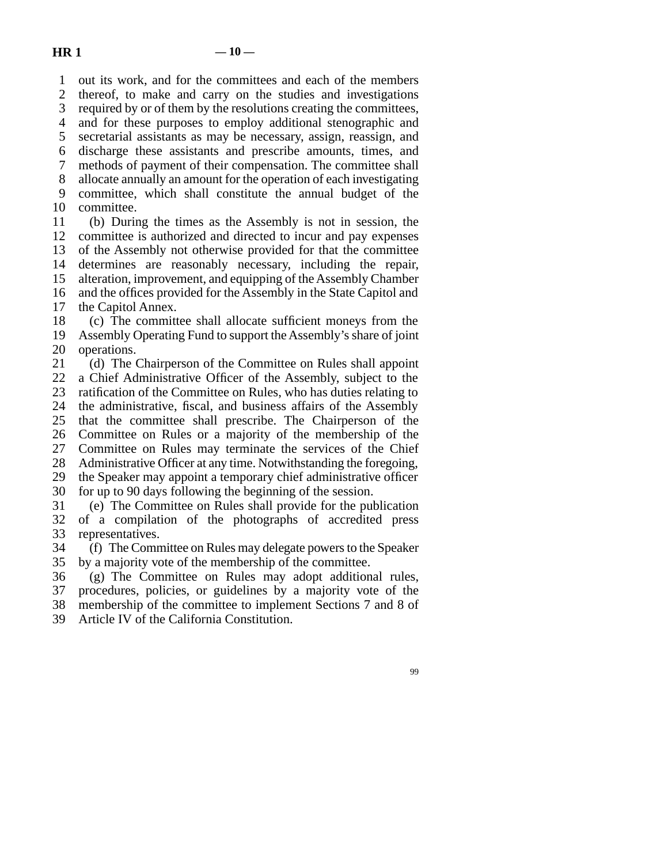line 1 out its work, and for the committees and each of the members 2 thereof, to make and carry on the studies and investigations<br>3 required by or of them by the resolutions creating the committees, required by or of them by the resolutions creating the committees, 4 and for these purposes to employ additional stenographic and 5 secretarial assistants as may be necessary, assign, reassign, and line 6 discharge these assistants and prescribe amounts, times, and 7 methods of payment of their compensation. The committee shall 8 allocate annually an amount for the operation of each investigating 9 committee, which shall constitute the annual budget of the 10 committee. line 11 (b) During the times as the Assembly is not in session, the 12 committee is authorized and directed to incur and pay expenses 13 of the Assembly not otherwise provided for that the committee 14 determines are reasonably necessary, including the repair, 15 alteration, improvement, and equipping of the Assembly Chamber 16 and the offices provided for the Assembly in the State Capitol and 17 the Capitol Annex. 18 (c) The committee shall allocate sufficient moneys from the 19 Assembly Operating Fund to support the Assembly's share of joint 20 operations. 21 (d) The Chairperson of the Committee on Rules shall appoint 22 a Chief Administrative Officer of the Assembly, subject to the 23 ratification of the Committee on Rules, who has duties relating to

24 the administrative, fiscal, and business affairs of the Assembly<br>25 that the committee shall prescribe. The Chairperson of the that the committee shall prescribe. The Chairperson of the

26 Committee on Rules or a majority of the membership of the 27 Committee on Rules may terminate the services of the Chief

28 Administrative Officer at any time. Notwithstanding the foregoing,

29 the Speaker may appoint a temporary chief administrative officer

30 for up to 90 days following the beginning of the session.

 line 31 (e) The Committee on Rules shall provide for the publication 32 of a compilation of the photographs of accredited press 33 representatives.

34 (f) The Committee on Rules may delegate powers to the Speaker 35 by a majority vote of the membership of the committee.

36 (g) The Committee on Rules may adopt additional rules, 37 procedures, policies, or guidelines by a majority vote of the

38 membership of the committee to implement Sections 7 and 8 of

39 Article IV of the California Constitution.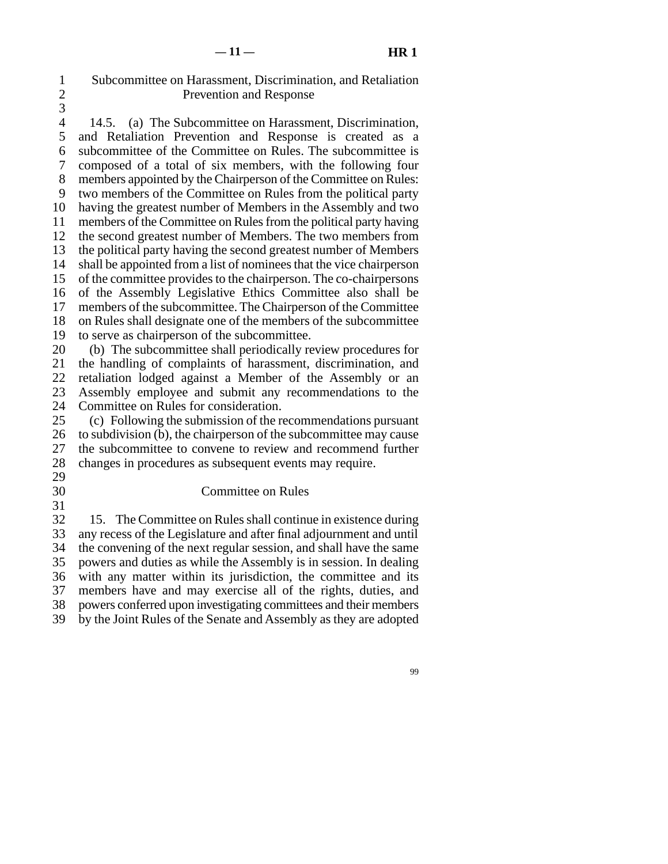#### line 1 Subcommittee on Harassment, Discrimination, and Retaliation 2 Prevention and Response  $\mathfrak{Z}$

4 14.5. (a) The Subcommittee on Harassment, Discrimination, 5 and Retaliation Prevention and Response is created as a line 6 subcommittee of the Committee on Rules. The subcommittee is 7 composed of a total of six members, with the following four 8 members appointed by the Chairperson of the Committee on Rules: 9 two members of the Committee on Rules from the political party 10 having the greatest number of Members in the Assembly and two 11 members of the Committee on Rules from the political party having 12 the second greatest number of Members. The two members from 13 the political party having the second greatest number of Members 14 shall be appointed from a list of nominees that the vice chairperson 15 of the committee provides to the chairperson. The co-chairpersons 16 of the Assembly Legislative Ethics Committee also shall be 17 members of the subcommittee. The Chairperson of the Committee 18 on Rules shall designate one of the members of the subcommittee 19 to serve as chairperson of the subcommittee. 20 (b) The subcommittee shall periodically review procedures for 21 the handling of complaints of harassment, discrimination, and 22 retaliation lodged against a Member of the Assembly or an 23 Assembly employee and submit any recommendations to the 24 Committee on Rules for consideration.<br>25 (c) Following the submission of the re-(c) Following the submission of the recommendations pursuant 26 to subdivision (b), the chairperson of the subcommittee may cause 27 the subcommittee to convene to review and recommend further 28 changes in procedures as subsequent events may require. 29

 $31$ 

### line 30 Committee on Rules

15. The Committee on Rules shall continue in existence during<br>33 any recess of the Legislature and after final adjournment and until any recess of the Legislature and after final adjournment and until 34 the convening of the next regular session, and shall have the same 35 powers and duties as while the Assembly is in session. In dealing 36 with any matter within its jurisdiction, the committee and its 37 members have and may exercise all of the rights, duties, and 38 powers conferred upon investigating committees and their members 39 by the Joint Rules of the Senate and Assembly as they are adopted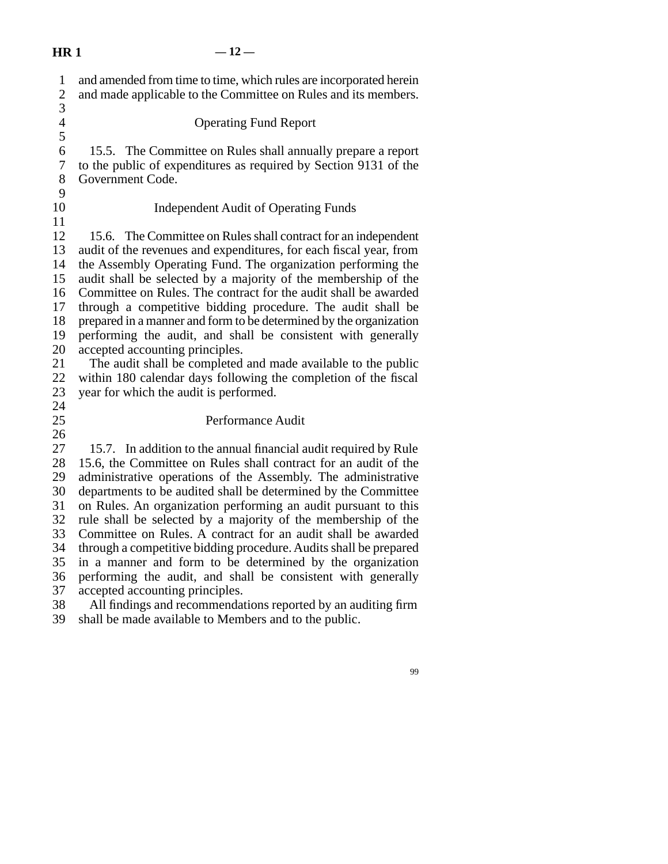1 and amended from time to time, which rules are incorporated herein 2 and made applicable to the Committee on Rules and its members.  $\frac{3}{4}$ **Operating Fund Report**  $5\overline{)}$ 6 15.5. The Committee on Rules shall annually prepare a report line 7 to the public of expenditures as required by Section 9131 of the 8 Government Code.  $\overline{9}$ 10 Independent Audit of Operating Funds  $\frac{11}{12}$ 15.6. The Committee on Rules shall contract for an independent 13 audit of the revenues and expenditures, for each fiscal year, from 14 the Assembly Operating Fund. The organization performing the 15 audit shall be selected by a majority of the membership of the 16 Committee on Rules. The contract for the audit shall be awarded 17 through a competitive bidding procedure. The audit shall be 18 prepared in a manner and form to be determined by the organization 19 performing the audit, and shall be consistent with generally 20 accepted accounting principles. 21 The audit shall be completed and made available to the public 22 within 180 calendar days following the completion of the fiscal 23 year for which the audit is performed.  $\frac{24}{25}$ Performance Audit  $\frac{26}{27}$ 15.7. In addition to the annual financial audit required by Rule 28 15.6, the Committee on Rules shall contract for an audit of the 29 administrative operations of the Assembly. The administrative 30 departments to be audited shall be determined by the Committee 31 on Rules. An organization performing an audit pursuant to this 32 rule shall be selected by a majority of the membership of the 33 Committee on Rules. A contract for an audit shall be awarded line 34 through a competitive bidding procedure. Audits shall be prepared 35 in a manner and form to be determined by the organization 36 performing the audit, and shall be consistent with generally 37 accepted accounting principles. 38 All findings and recommendations reported by an auditing firm

39 shall be made available to Members and to the public.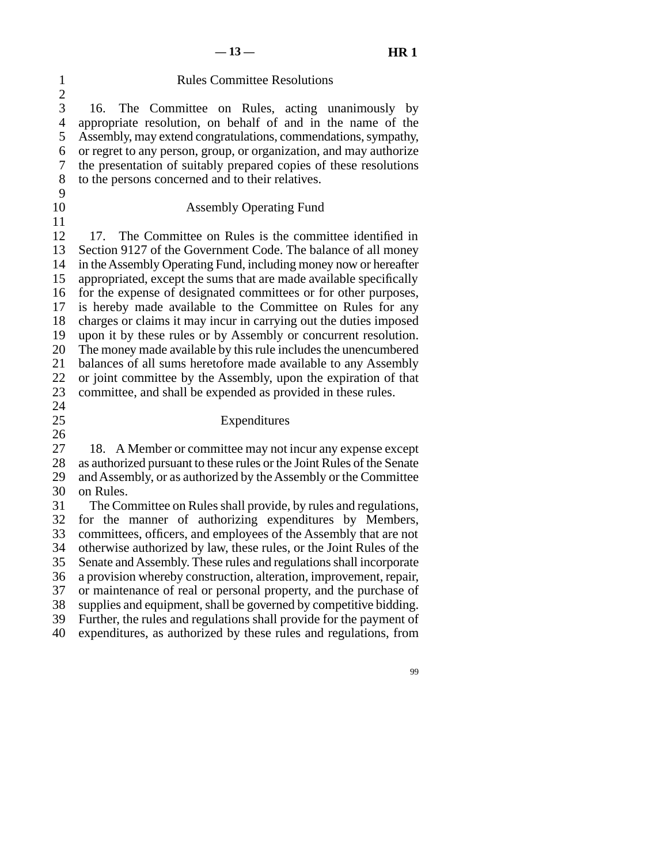| $\mathbf{1}$             | <b>Rules Committee Resolutions</b>                                                                                         |
|--------------------------|----------------------------------------------------------------------------------------------------------------------------|
| $\frac{2}{3}$            |                                                                                                                            |
|                          | 16.<br>The Committee on Rules, acting unanimously by                                                                       |
| $\overline{\mathcal{A}}$ | appropriate resolution, on behalf of and in the name of the                                                                |
| 5                        | Assembly, may extend congratulations, commendations, sympathy,                                                             |
| 6                        | or regret to any person, group, or organization, and may authorize                                                         |
| $\overline{7}$           | the presentation of suitably prepared copies of these resolutions                                                          |
| 8                        | to the persons concerned and to their relatives.                                                                           |
| 9                        |                                                                                                                            |
| 10                       | <b>Assembly Operating Fund</b>                                                                                             |
| 11                       |                                                                                                                            |
| 12                       | The Committee on Rules is the committee identified in<br>17.                                                               |
| 13                       | Section 9127 of the Government Code. The balance of all money                                                              |
| 14                       | in the Assembly Operating Fund, including money now or hereafter                                                           |
| 15                       | appropriated, except the sums that are made available specifically                                                         |
| 16                       | for the expense of designated committees or for other purposes,                                                            |
| 17                       | is hereby made available to the Committee on Rules for any                                                                 |
| 18                       | charges or claims it may incur in carrying out the duties imposed                                                          |
| 19                       | upon it by these rules or by Assembly or concurrent resolution.                                                            |
| 20                       | The money made available by this rule includes the unencumbered                                                            |
| 21                       | balances of all sums heretofore made available to any Assembly                                                             |
| 22                       | or joint committee by the Assembly, upon the expiration of that                                                            |
| 23                       | committee, and shall be expended as provided in these rules.                                                               |
| 24                       |                                                                                                                            |
| 25                       | Expenditures                                                                                                               |
| 26                       |                                                                                                                            |
| 27                       | 18. A Member or committee may not incur any expense except                                                                 |
| 28                       | as authorized pursuant to these rules or the Joint Rules of the Senate                                                     |
| 29                       | and Assembly, or as authorized by the Assembly or the Committee                                                            |
| 30<br>31                 | on Rules.                                                                                                                  |
|                          | The Committee on Rules shall provide, by rules and regulations,                                                            |
| 32<br>33                 | for the manner of authorizing expenditures by Members,<br>committees, officers, and employees of the Assembly that are not |
| 34                       | otherwise authorized by law, these rules, or the Joint Rules of the                                                        |
| 35                       | Senate and Assembly. These rules and regulations shall incorporate                                                         |
| 36                       | a provision whereby construction, alteration, improvement, repair,                                                         |
| 37                       | or maintenance of real or personal property, and the purchase of                                                           |
| 38                       | supplies and equipment, shall be governed by competitive bidding.                                                          |
| 39                       | Further, the rules and regulations shall provide for the payment of                                                        |
| 40                       | expenditures, as authorized by these rules and regulations, from                                                           |
|                          |                                                                                                                            |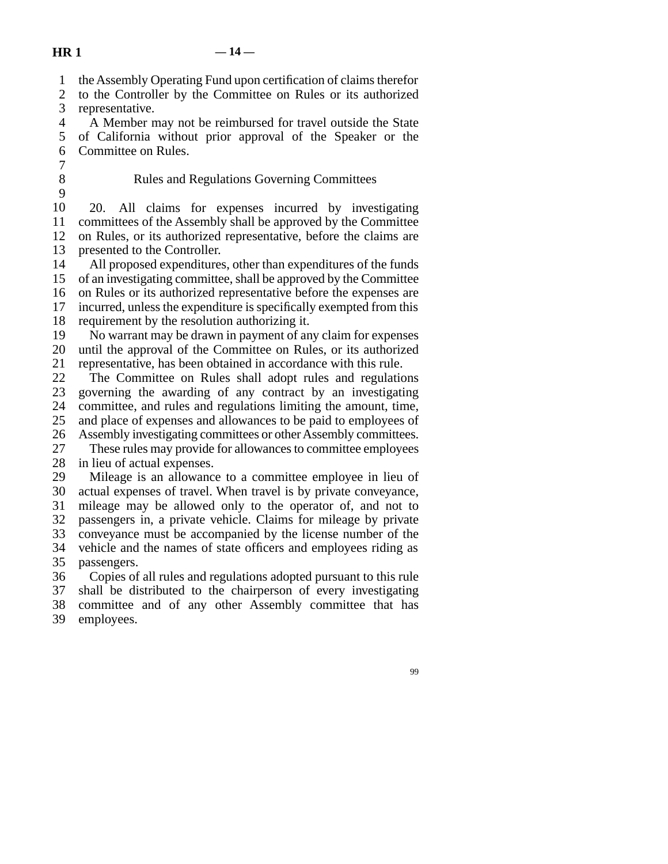line 1 the Assembly Operating Fund upon certification of claims therefor

2 to the Controller by the Committee on Rules or its authorized<br>3 representative. representative.

4 A Member may not be reimbursed for travel outside the State 5 of California without prior approval of the Speaker or the

- 6 Committee on Rules.
- $\overline{7}$

**9** 

# 8 Rules and Regulations Governing Committees

10 20. All claims for expenses incurred by investigating 11 committees of the Assembly shall be approved by the Committee 12 on Rules, or its authorized representative, before the claims are 13 presented to the Controller.

14 All proposed expenditures, other than expenditures of the funds 15 of an investigating committee, shall be approved by the Committee 16 on Rules or its authorized representative before the expenses are 17 incurred, unless the expenditure is specifically exempted from this

18 requirement by the resolution authorizing it.

19 No warrant may be drawn in payment of any claim for expenses 20 until the approval of the Committee on Rules, or its authorized 21 representative, has been obtained in accordance with this rule.

22 The Committee on Rules shall adopt rules and regulations<br>23 governing the awarding of any contract by an investigating governing the awarding of any contract by an investigating 24 committee, and rules and regulations limiting the amount, time,<br>25 and place of expenses and allowances to be paid to employees of and place of expenses and allowances to be paid to employees of 26 Assembly investigating committees or other Assembly committees. 27 These rules may provide for allowances to committee employees

28 in lieu of actual expenses.

29 Mileage is an allowance to a committee employee in lieu of 30 actual expenses of travel. When travel is by private conveyance, 31 mileage may be allowed only to the operator of, and not to 32 passengers in, a private vehicle. Claims for mileage by private 33 conveyance must be accompanied by the license number of the 34 vehicle and the names of state officers and employees riding as 35 passengers.

 line 36 Copies of all rules and regulations adopted pursuant to this rule 37 shall be distributed to the chairperson of every investigating 38 committee and of any other Assembly committee that has 39 employees.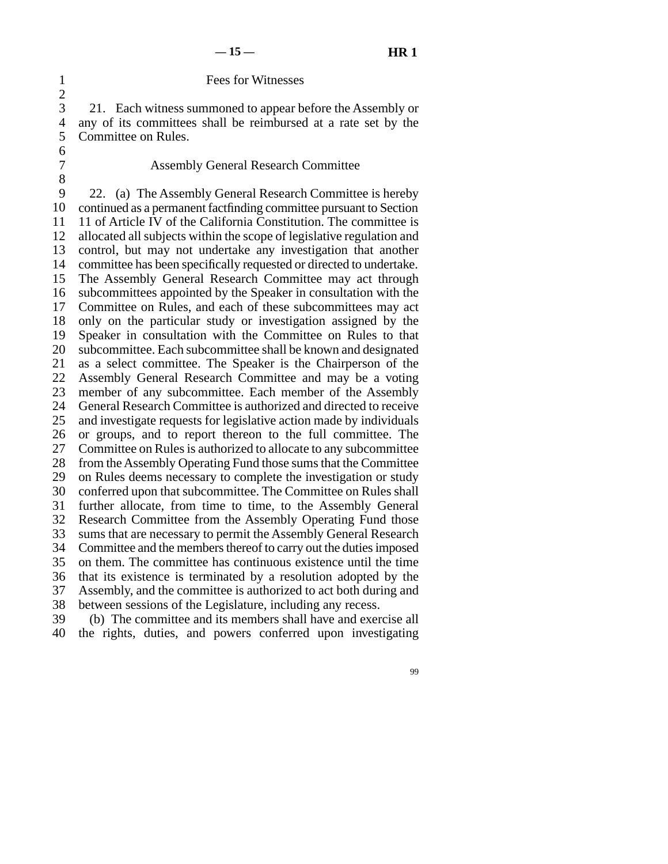### line 1 Fees for Witnesses

 $\frac{2}{3}$ 21. Each witness summoned to appear before the Assembly or line 4 any of its committees shall be reimbursed at a rate set by the 5 Committee on Rules.

6

### 7 **Assembly General Research Committee**

 $\begin{array}{c} 8 \\ 9 \end{array}$ 22. (a) The Assembly General Research Committee is hereby 10 continued as a permanent factfinding committee pursuant to Section 11 11 of Article IV of the California Constitution. The committee is 12 allocated all subjects within the scope of legislative regulation and 13 control, but may not undertake any investigation that another 14 committee has been specifically requested or directed to undertake. 15 The Assembly General Research Committee may act through 16 subcommittees appointed by the Speaker in consultation with the 17 Committee on Rules, and each of these subcommittees may act 18 only on the particular study or investigation assigned by the 19 Speaker in consultation with the Committee on Rules to that 20 subcommittee. Each subcommittee shall be known and designated 21 as a select committee. The Speaker is the Chairperson of the 22 Assembly General Research Committee and may be a voting 23 member of any subcommittee. Each member of the Assembly 24 General Research Committee is authorized and directed to receive<br>25 and investigate requests for legislative action made by individuals and investigate requests for legislative action made by individuals 26 or groups, and to report thereon to the full committee. The 27 Committee on Rules is authorized to allocate to any subcommittee 28 from the Assembly Operating Fund those sums that the Committee 29 on Rules deems necessary to complete the investigation or study 30 conferred upon that subcommittee. The Committee on Rules shall 31 further allocate, from time to time, to the Assembly General 32 Research Committee from the Assembly Operating Fund those 33 sums that are necessary to permit the Assembly General Research 34 Committee and the members thereof to carry out the duties imposed 35 on them. The committee has continuous existence until the time 36 that its existence is terminated by a resolution adopted by the 37 Assembly, and the committee is authorized to act both during and 38 between sessions of the Legislature, including any recess.

39 (b) The committee and its members shall have and exercise all 40 the rights, duties, and powers conferred upon investigating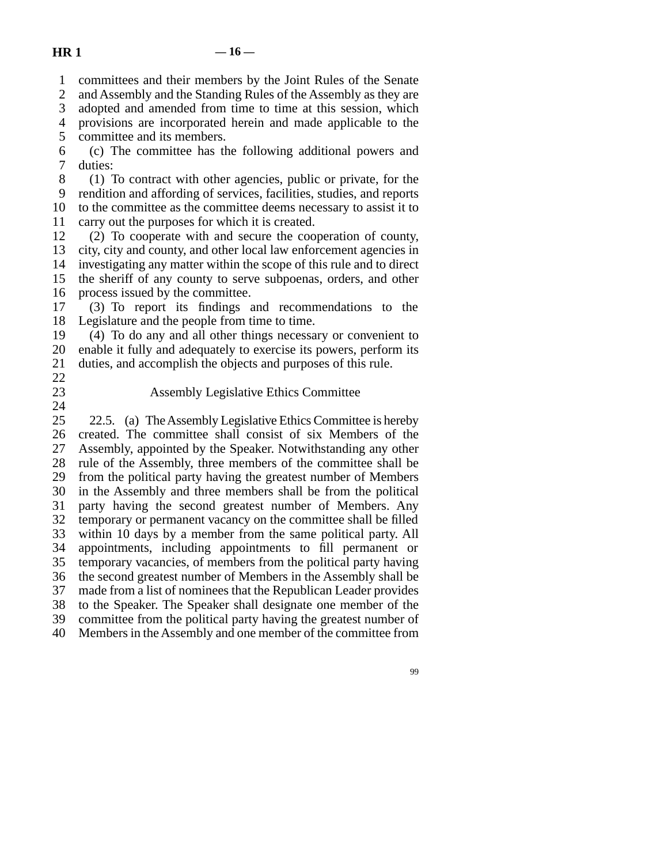1 committees and their members by the Joint Rules of the Senate

2 and Assembly and the Standing Rules of the Assembly as they are<br>3 adopted and amended from time to time at this session, which adopted and amended from time to time at this session, which line 4 provisions are incorporated herein and made applicable to the 5 committee and its members. line 6 (c) The committee has the following additional powers and 7 duties: 8 (1) To contract with other agencies, public or private, for the 9 rendition and affording of services, facilities, studies, and reports 10 to the committee as the committee deems necessary to assist it to 11 carry out the purposes for which it is created. 12 (2) To cooperate with and secure the cooperation of county, 13 city, city and county, and other local law enforcement agencies in 14 investigating any matter within the scope of this rule and to direct 15 the sheriff of any county to serve subpoenas, orders, and other 16 process issued by the committee. 17 (3) To report its findings and recommendations to the 18 Legislature and the people from time to time. 19 (4) To do any and all other things necessary or convenient to 20 enable it fully and adequately to exercise its powers, perform its 21 duties, and accomplish the objects and purposes of this rule.  $\frac{22}{23}$ Assembly Legislative Ethics Committee  $\frac{24}{25}$ 22.5. (a) The Assembly Legislative Ethics Committee is hereby 26 created. The committee shall consist of six Members of the 27 Assembly, appointed by the Speaker. Notwithstanding any other 28 rule of the Assembly, three members of the committee shall be 29 from the political party having the greatest number of Members 30 in the Assembly and three members shall be from the political 31 party having the second greatest number of Members. Any 32 temporary or permanent vacancy on the committee shall be filled 33 within 10 days by a member from the same political party. All 34 appointments, including appointments to fill permanent or 35 temporary vacancies, of members from the political party having 36 the second greatest number of Members in the Assembly shall be 37 made from a list of nominees that the Republican Leader provides 38 to the Speaker. The Speaker shall designate one member of the 39 committee from the political party having the greatest number of 40 Members in the Assembly and one member of the committee from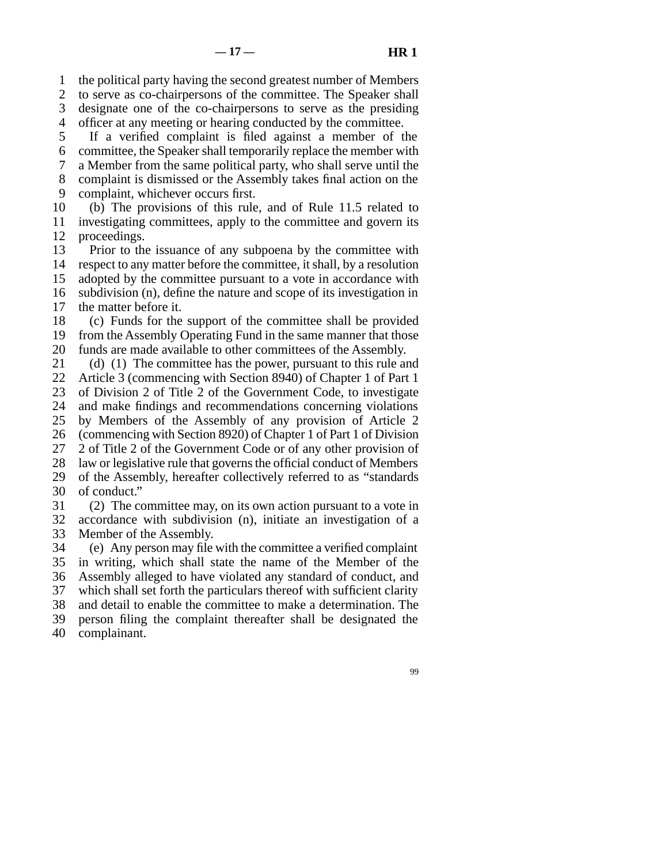line 1 the political party having the second greatest number of Members

2 to serve as co-chairpersons of the committee. The Speaker shall 3 designate one of the co-chairpersons to serve as the presiding

4 officer at any meeting or hearing conducted by the committee.

5 If a verified complaint is filed against a member of the

line 6 committee, the Speaker shall temporarily replace the member with

7 a Member from the same political party, who shall serve until the

8 complaint is dismissed or the Assembly takes final action on the

9 complaint, whichever occurs first.

10 (b) The provisions of this rule, and of Rule 11.5 related to line 11 investigating committees, apply to the committee and govern its 12 proceedings.

13 Prior to the issuance of any subpoena by the committee with 14 respect to any matter before the committee, it shall, by a resolution 15 adopted by the committee pursuant to a vote in accordance with 16 subdivision (n), define the nature and scope of its investigation in

17 the matter before it.

18 (c) Funds for the support of the committee shall be provided

19 from the Assembly Operating Fund in the same manner that those

20 funds are made available to other committees of the Assembly.

21 (d) (1) The committee has the power, pursuant to this rule and 22 Article 3 (commencing with Section 8940) of Chapter 1 of Part 1 23 of Division 2 of Title 2 of the Government Code, to investigate 24 and make findings and recommendations concerning violations 25 by Members of the Assembly of any provision of Article 2 by Members of the Assembly of any provision of Article 2 26 (commencing with Section 8920) of Chapter 1 of Part 1 of Division 27 2 of Title 2 of the Government Code or of any other provision of 28 law or legislative rule that governs the official conduct of Members 29 of the Assembly, hereafter collectively referred to as "standards" 30 of conduct." line 31 (2) The committee may, on its own action pursuant to a vote in

32 accordance with subdivision (n), initiate an investigation of a 33 Member of the Assembly.

 line 34 (e) Any person may file with the committee a verified complaint 35 in writing, which shall state the name of the Member of the 36 Assembly alleged to have violated any standard of conduct, and 37 which shall set forth the particulars thereof with sufficient clarity 38 and detail to enable the committee to make a determination. The 39 person filing the complaint thereafter shall be designated the 40 complainant.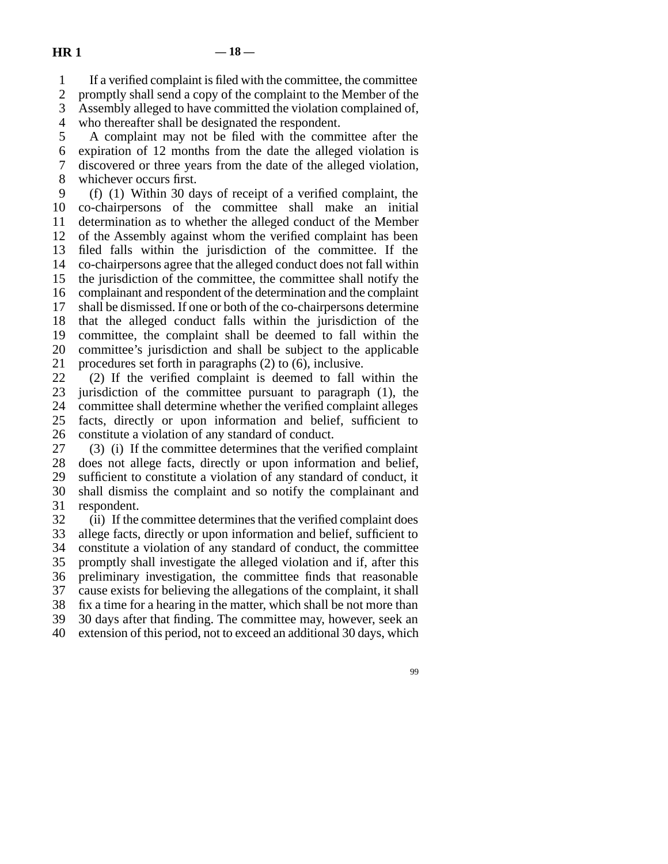line 1 If a verified complaint is filed with the committee, the committee

2 promptly shall send a copy of the complaint to the Member of the<br>3 Assembly alleged to have committed the violation complained of,

Assembly alleged to have committed the violation complained of,

4 who thereafter shall be designated the respondent.

5 A complaint may not be filed with the committee after the 6 expiration of 12 months from the date the alleged violation is 7 discovered or three years from the date of the alleged violation, 8 whichever occurs first.

9 (f) (1) Within 30 days of receipt of a verified complaint, the 10 co-chairpersons of the committee shall make an initial 11 determination as to whether the alleged conduct of the Member 12 of the Assembly against whom the verified complaint has been 13 filed falls within the jurisdiction of the committee. If the 14 co-chairpersons agree that the alleged conduct does not fall within 15 the jurisdiction of the committee, the committee shall notify the 16 complainant and respondent of the determination and the complaint 17 shall be dismissed. If one or both of the co-chairpersons determine 18 that the alleged conduct falls within the jurisdiction of the 19 committee, the complaint shall be deemed to fall within the 20 committee's jurisdiction and shall be subject to the applicable 21 procedures set forth in paragraphs  $(2)$  to  $(6)$ , inclusive.

22 (2) If the verified complaint is deemed to fall within the 23 iurisdiction of the committee pursuant to paragraph  $(1)$ , the jurisdiction of the committee pursuant to paragraph  $(1)$ , the 24 committee shall determine whether the verified complaint alleges<br>25 facts, directly or upon information and belief, sufficient to facts, directly or upon information and belief, sufficient to 26 constitute a violation of any standard of conduct.

 $27$  (3) (i) If the committee determines that the verified complaint 28 does not allege facts, directly or upon information and belief, 29 sufficient to constitute a violation of any standard of conduct, it 30 shall dismiss the complaint and so notify the complainant and 31 respondent.

32 (ii) If the committee determines that the verified complaint does 33 allege facts, directly or upon information and belief, sufficient to 34 constitute a violation of any standard of conduct, the committee 35 promptly shall investigate the alleged violation and if, after this 36 preliminary investigation, the committee finds that reasonable 37 cause exists for believing the allegations of the complaint, it shall 38 fix a time for a hearing in the matter, which shall be not more than 39 30 days after that finding. The committee may, however, seek an 40 extension of this period, not to exceed an additional 30 days, which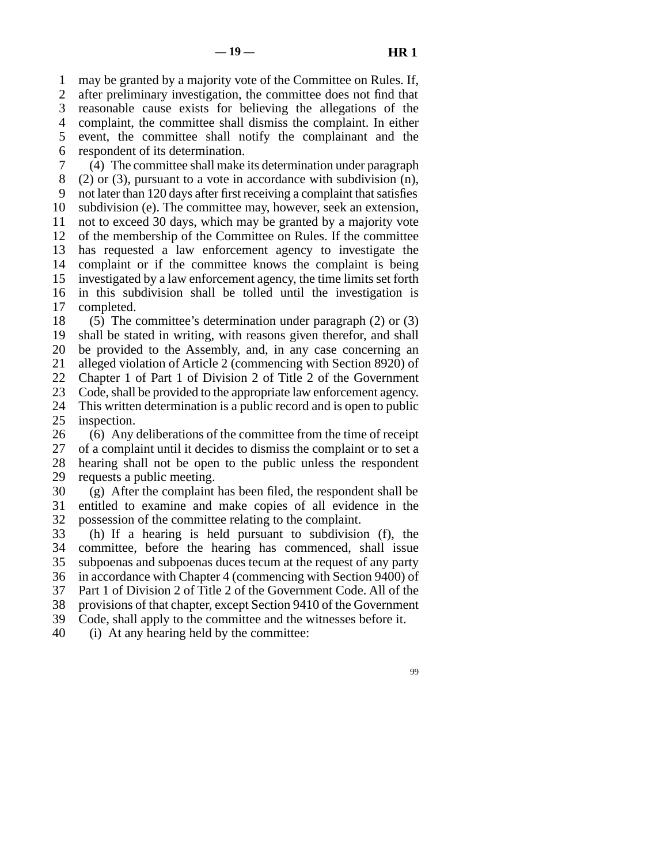line 1 may be granted by a majority vote of the Committee on Rules. If, 2 after preliminary investigation, the committee does not find that 3 reasonable cause exists for believing the allegations of the 4 complaint, the committee shall dismiss the complaint. In either 5 event, the committee shall notify the complainant and the 6 respondent of its determination.

 line 7 (4) The committee shall make its determination under paragraph 8 (2) or (3), pursuant to a vote in accordance with subdivision  $(n)$ , 9 not later than 120 days after first receiving a complaint that satisfies 10 subdivision (e). The committee may, however, seek an extension, 11 not to exceed 30 days, which may be granted by a majority vote 12 of the membership of the Committee on Rules. If the committee 13 has requested a law enforcement agency to investigate the 14 complaint or if the committee knows the complaint is being 15 investigated by a law enforcement agency, the time limits set forth 16 in this subdivision shall be tolled until the investigation is 17 completed.

18 (5) The committee's determination under paragraph  $(2)$  or  $(3)$ 19 shall be stated in writing, with reasons given therefor, and shall 20 be provided to the Assembly, and, in any case concerning an 21 alleged violation of Article 2 (commencing with Section 8920) of 22 Chapter 1 of Part 1 of Division 2 of Title 2 of the Government 23 Code, shall be provided to the appropriate law enforcement agency. 24 This written determination is a public record and is open to public inspection. inspection.

26 (6) Any deliberations of the committee from the time of receipt 27 of a complaint until it decides to dismiss the complaint or to set a of a complaint until it decides to dismiss the complaint or to set a 28 hearing shall not be open to the public unless the respondent 29 requests a public meeting.

 $\delta$  (g) After the complaint has been filed, the respondent shall be 31 entitled to examine and make copies of all evidence in the 32 possession of the committee relating to the complaint.

33 (h) If a hearing is held pursuant to subdivision (f), the 34 committee, before the hearing has commenced, shall issue 35 subpoenas and subpoenas duces tecum at the request of any party 36 in accordance with Chapter 4 (commencing with Section 9400) of

37 Part 1 of Division 2 of Title 2 of the Government Code. All of the

38 provisions of that chapter, except Section 9410 of the Government<br>39 Code, shall apply to the committee and the witnesses before it. Code, shall apply to the committee and the witnesses before it.

40 (i) At any hearing held by the committee: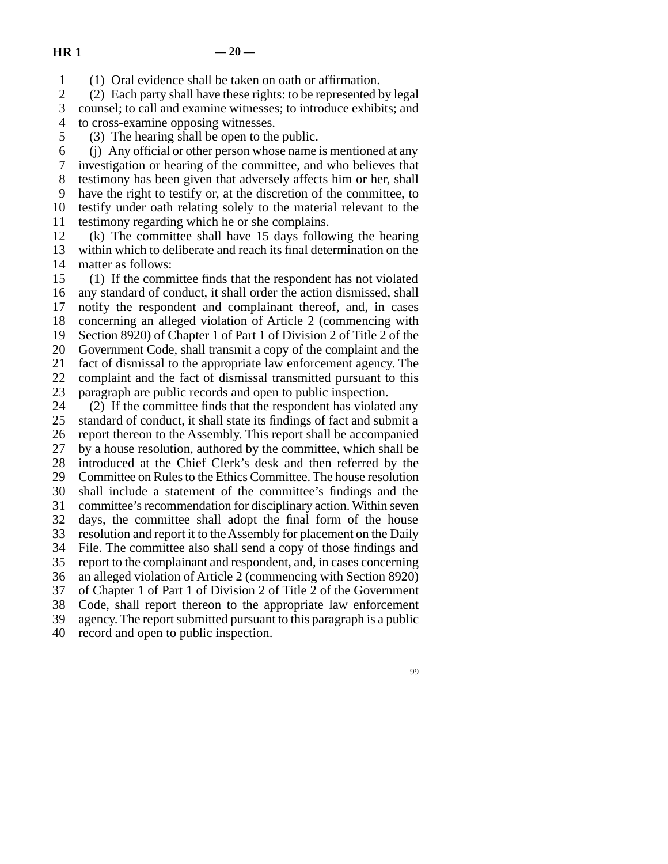line 1 (1) Oral evidence shall be taken on oath or affirmation.

2 (2) Each party shall have these rights: to be represented by legal counsel; to call and examine witnesses; to introduce exhibits; and

counsel; to call and examine witnesses; to introduce exhibits; and

4 to cross-examine opposing witnesses.

 $\overline{5}$  (3) The hearing shall be open to the public.

 $\delta$  (i) Any official or other person whose name is mentioned at any

 line 7 investigation or hearing of the committee, and who believes that 8 testimony has been given that adversely affects him or her, shall line 9 have the right to testify or, at the discretion of the committee, to 10 testify under oath relating solely to the material relevant to the

11 testimony regarding which he or she complains.

12 (k) The committee shall have 15 days following the hearing 13 within which to deliberate and reach its final determination on the 14 matter as follows:

15 (1) If the committee finds that the respondent has not violated 16 any standard of conduct, it shall order the action dismissed, shall 17 notify the respondent and complainant thereof, and, in cases 18 concerning an alleged violation of Article 2 (commencing with 19 Section 8920) of Chapter 1 of Part 1 of Division 2 of Title 2 of the 20 Government Code, shall transmit a copy of the complaint and the 21 fact of dismissal to the appropriate law enforcement agency. The 22 complaint and the fact of dismissal transmitted pursuant to this

23 paragraph are public records and open to public inspection.

24 (2) If the committee finds that the respondent has violated any standard of conduct, it shall state its findings of fact and submit a standard of conduct, it shall state its findings of fact and submit a 26 report thereon to the Assembly. This report shall be accompanied 27 by a house resolution, authored by the committee, which shall be 28 introduced at the Chief Clerk's desk and then referred by the 29 Committee on Rules to the Ethics Committee. The house resolution 30 shall include a statement of the committee's findings and the 31 committee's recommendation for disciplinary action. Within seven 32 days, the committee shall adopt the final form of the house 33 resolution and report it to the Assembly for placement on the Daily 34 File. The committee also shall send a copy of those findings and 35 report to the complainant and respondent, and, in cases concerning 36 an alleged violation of Article 2 (commencing with Section 8920) 37 of Chapter 1 of Part 1 of Division 2 of Title 2 of the Government 38 Code, shall report thereon to the appropriate law enforcement 39 agency. The report submitted pursuant to this paragraph is a public

40 record and open to public inspection.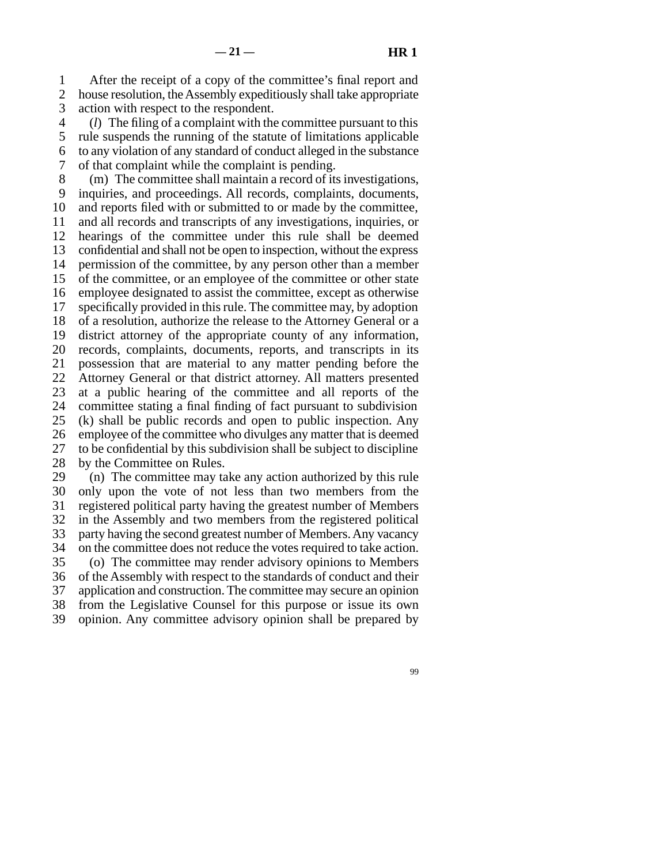1 After the receipt of a copy of the committee's final report and 2 house resolution, the Assembly expeditiously shall take appropriate 3 action with respect to the respondent.

 line 4 (*l*) The filing of a complaint with the committee pursuant to this 5 rule suspends the running of the statute of limitations applicable line 6 to any violation of any standard of conduct alleged in the substance 7 of that complaint while the complaint is pending.

8 (m) The committee shall maintain a record of its investigations, line 9 inquiries, and proceedings. All records, complaints, documents, 10 and reports filed with or submitted to or made by the committee, 11 and all records and transcripts of any investigations, inquiries, or 12 hearings of the committee under this rule shall be deemed 13 confidential and shall not be open to inspection, without the express 14 permission of the committee, by any person other than a member 15 of the committee, or an employee of the committee or other state 16 employee designated to assist the committee, except as otherwise 17 specifically provided in this rule. The committee may, by adoption 18 of a resolution, authorize the release to the Attorney General or a 19 district attorney of the appropriate county of any information, 20 records, complaints, documents, reports, and transcripts in its 21 possession that are material to any matter pending before the 22 Attorney General or that district attorney. All matters presented 23 at a public hearing of the committee and all reports of the 24 committee stating a final finding of fact pursuant to subdivision 25 (k) shall be public records and open to public inspection. Any  $\ell$  (k) shall be public records and open to public inspection. Any 26 employee of the committee who divulges any matter that is deemed 27 to be confidential by this subdivision shall be subject to discipline 28 by the Committee on Rules. 29 (n) The committee may take any action authorized by this rule

30 only upon the vote of not less than two members from the 31 registered political party having the greatest number of Members 32 in the Assembly and two members from the registered political 33 party having the second greatest number of Members. Any vacancy 34 on the committee does not reduce the votes required to take action. 35 (o) The committee may render advisory opinions to Members 36 of the Assembly with respect to the standards of conduct and their 37 application and construction. The committee may secure an opinion 38 from the Legislative Counsel for this purpose or issue its own 39 opinion. Any committee advisory opinion shall be prepared by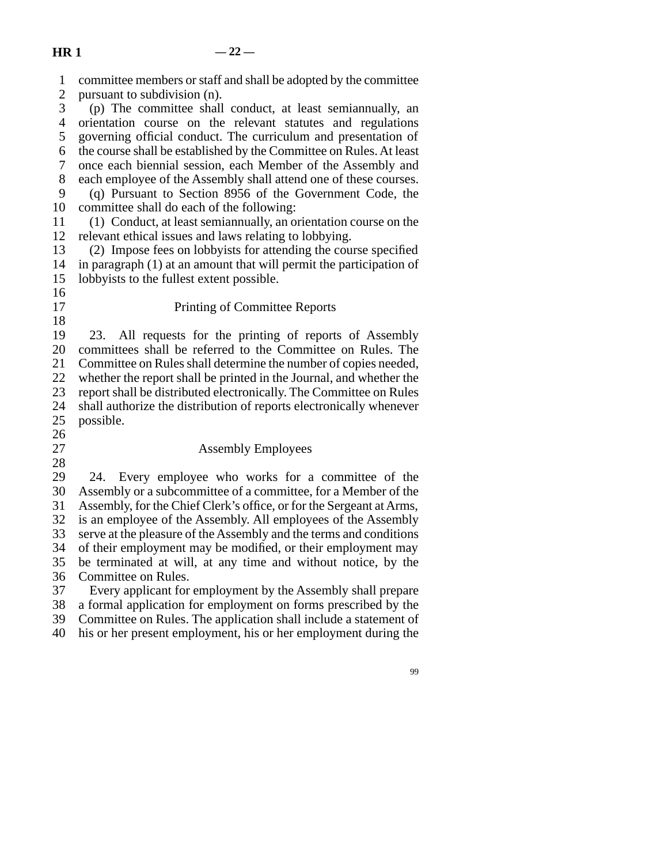| $\mathbf{1}$   | committee members or staff and shall be adopted by the committee     |
|----------------|----------------------------------------------------------------------|
| $\overline{2}$ | pursuant to subdivision (n).                                         |
| 3              | (p) The committee shall conduct, at least semiannually, an           |
| $\overline{4}$ | orientation course on the relevant statutes and regulations          |
| 5              | governing official conduct. The curriculum and presentation of       |
| 6              | the course shall be established by the Committee on Rules. At least  |
| 7              | once each biennial session, each Member of the Assembly and          |
| 8              | each employee of the Assembly shall attend one of these courses.     |
| 9              | (q) Pursuant to Section 8956 of the Government Code, the             |
| 10             | committee shall do each of the following:                            |
| 11             | (1) Conduct, at least semiannually, an orientation course on the     |
| 12             | relevant ethical issues and laws relating to lobbying.               |
| 13             | (2) Impose fees on lobbyists for attending the course specified      |
| 14             | in paragraph (1) at an amount that will permit the participation of  |
| 15             | lobbyists to the fullest extent possible.                            |
| 16             |                                                                      |
| 17             | Printing of Committee Reports                                        |
| 18             |                                                                      |
| 19             | All requests for the printing of reports of Assembly<br>23.          |
| 20             | committees shall be referred to the Committee on Rules. The          |
| 21             | Committee on Rules shall determine the number of copies needed,      |
| 22             | whether the report shall be printed in the Journal, and whether the  |
| 23             | report shall be distributed electronically. The Committee on Rules   |
| 24             | shall authorize the distribution of reports electronically whenever  |
| 25             | possible.                                                            |
| 26             |                                                                      |
| 27             | <b>Assembly Employees</b>                                            |
| 28             |                                                                      |
| 29             | 24. Every employee who works for a committee of the                  |
| 30             | Assembly or a subcommittee of a committee, for a Member of the       |
| 31             | Assembly, for the Chief Clerk's office, or for the Sergeant at Arms, |
| 32             | is an employee of the Assembly. All employees of the Assembly        |
| 33             | serve at the pleasure of the Assembly and the terms and conditions   |
| 34             | of their employment may be modified, or their employment may         |
| 35             | be terminated at will, at any time and without notice, by the        |
| 36             | Committee on Rules.                                                  |
| 37             | Every applicant for employment by the Assembly shall prepare         |
| 38             | a formal application for employment on forms prescribed by the       |
| 39             | Committee on Rules. The application shall include a statement of     |
| 40             | his or her present employment, his or her employment during the      |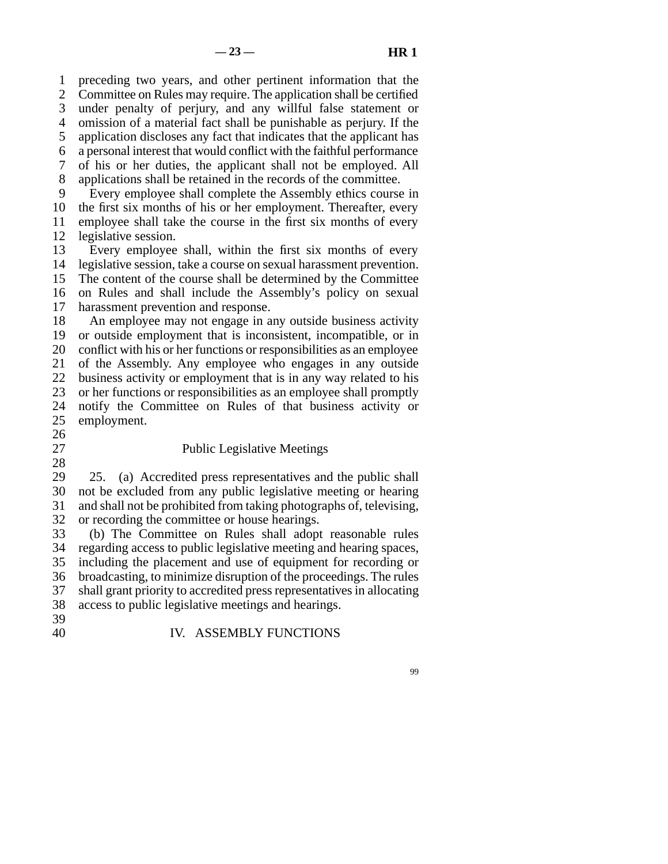line 1 preceding two years, and other pertinent information that the 2 Committee on Rules may require. The application shall be certified 3 under penalty of perjury, and any willful false statement or 4 omission of a material fact shall be punishable as perjury. If the 5 application discloses any fact that indicates that the applicant has line 6 a personal interest that would conflict with the faithful performance 7 of his or her duties, the applicant shall not be employed. All 8 applications shall be retained in the records of the committee. 9 Every employee shall complete the Assembly ethics course in 10 the first six months of his or her employment. Thereafter, every 11 employee shall take the course in the first six months of every 12 legislative session. 13 Every employee shall, within the first six months of every 14 legislative session, take a course on sexual harassment prevention.

15 The content of the course shall be determined by the Committee 16 on Rules and shall include the Assembly's policy on sexual 17 harassment prevention and response.

18 An employee may not engage in any outside business activity 19 or outside employment that is inconsistent, incompatible, or in 20 conflict with his or her functions or responsibilities as an employee 21 of the Assembly. Any employee who engages in any outside 22 business activity or employment that is in any way related to his

23 or her functions or responsibilities as an employee shall promptly 24 notify the Committee on Rules of that business activity or 25 employment. employment.

 $\frac{26}{27}$ 

line 28

# Public Legislative Meetings

29 25. (a) Accredited press representatives and the public shall 30 not be excluded from any public legislative meeting or hearing 31 and shall not be prohibited from taking photographs of, televising, 32 or recording the committee or house hearings.

33 (b) The Committee on Rules shall adopt reasonable rules 34 regarding access to public legislative meeting and hearing spaces, 35 including the placement and use of equipment for recording or 36 broadcasting, to minimize disruption of the proceedings. The rules 37 shall grant priority to accredited press representatives in allocating 38 access to public legislative meetings and hearings.

39

# 40 IV. ASSEMBLY FUNCTIONS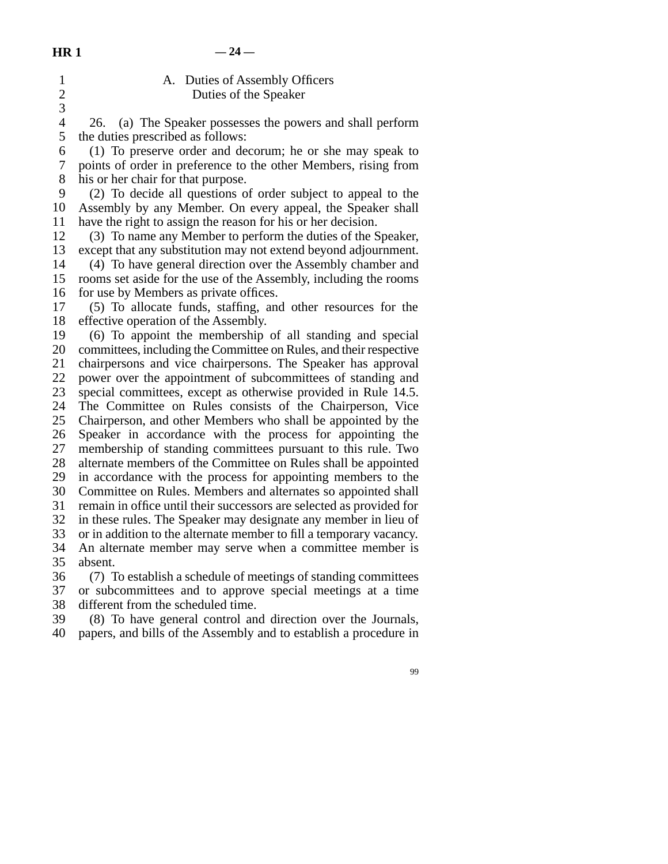# 1 A. Duties of Assembly Officers Duties of the Speaker

4 26. (a) The Speaker possesses the powers and shall perform 5 the duties prescribed as follows:

6 (1) To preserve order and decorum; he or she may speak to 7 points of order in preference to the other Members, rising from 8 his or her chair for that purpose.

 line 9 (2) To decide all questions of order subject to appeal to the 10 Assembly by any Member. On every appeal, the Speaker shall 11 have the right to assign the reason for his or her decision.

12 (3) To name any Member to perform the duties of the Speaker, 13 except that any substitution may not extend beyond adjournment.

14 (4) To have general direction over the Assembly chamber and 15 rooms set aside for the use of the Assembly, including the rooms 16 for use by Members as private offices.

17 (5) To allocate funds, staffing, and other resources for the 18 effective operation of the Assembly.

19 (6) To appoint the membership of all standing and special 20 committees, including the Committee on Rules, and their respective 21 chairpersons and vice chairpersons. The Speaker has approval 22 power over the appointment of subcommittees of standing and 23 special committees, except as otherwise provided in Rule 14.5. 24 The Committee on Rules consists of the Chairperson, Vice 25 Chairperson, and other Members who shall be appointed by the Chairperson, and other Members who shall be appointed by the 26 Speaker in accordance with the process for appointing the 27 membership of standing committees pursuant to this rule. Two 28 alternate members of the Committee on Rules shall be appointed 29 in accordance with the process for appointing members to the 30 Committee on Rules. Members and alternates so appointed shall 31 remain in office until their successors are selected as provided for 32 in these rules. The Speaker may designate any member in lieu of 33 or in addition to the alternate member to fill a temporary vacancy.

34 An alternate member may serve when a committee member is 35 absent.

 line 36 (7) To establish a schedule of meetings of standing committees 37 or subcommittees and to approve special meetings at a time 38 different from the scheduled time.

39 (8) To have general control and direction over the Journals, 40 papers, and bills of the Assembly and to establish a procedure in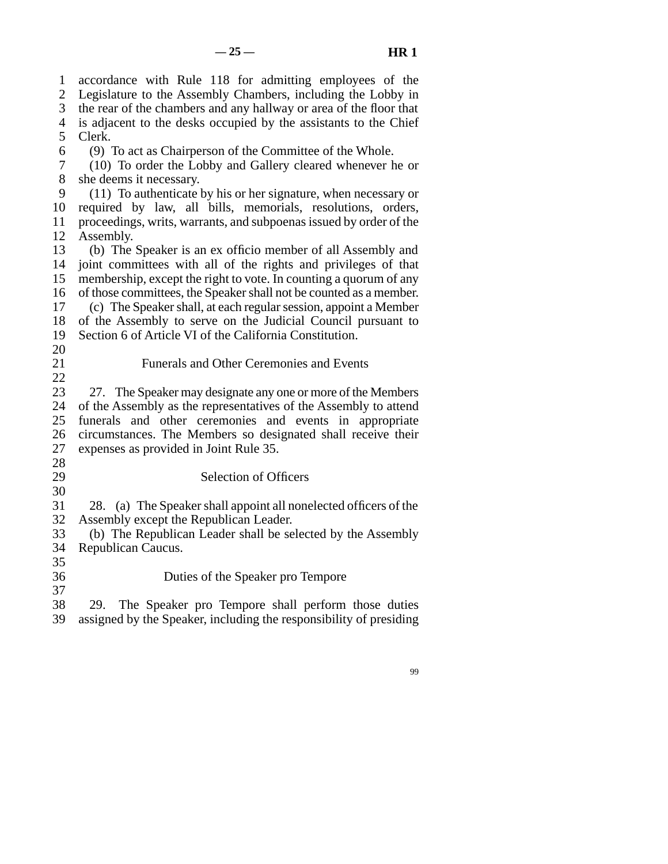1 accordance with Rule 118 for admitting employees of the 2 Legislature to the Assembly Chambers, including the Lobby in 3 the rear of the chambers and any hallway or area of the floor that 4 is adjacent to the desks occupied by the assistants to the Chief 5 Clerk. line 6 (9) To act as Chairperson of the Committee of the Whole. 7 (10) To order the Lobby and Gallery cleared whenever he or 8 she deems it necessary. 9 (11) To authenticate by his or her signature, when necessary or 10 required by law, all bills, memorials, resolutions, orders, 11 proceedings, writs, warrants, and subpoenas issued by order of the 12 Assembly. 13 (b) The Speaker is an ex officio member of all Assembly and 14 joint committees with all of the rights and privileges of that 15 membership, except the right to vote. In counting a quorum of any 16 of those committees, the Speaker shall not be counted as a member. 17 (c) The Speaker shall, at each regular session, appoint a Member 18 of the Assembly to serve on the Judicial Council pursuant to 19 Section 6 of Article VI of the California Constitution. 20 21 Funerals and Other Ceremonies and Events  $\frac{22}{23}$ 27. The Speaker may designate any one or more of the Members 24 of the Assembly as the representatives of the Assembly to attend<br>25 funerals and other ceremonies and events in appropriate funerals and other ceremonies and events in appropriate 26 circumstances. The Members so designated shall receive their 27 expenses as provided in Joint Rule 35. line 28 29 Selection of Officers line 30 31 28. (a) The Speaker shall appoint all nonelected officers of the 32 Assembly except the Republican Leader. 33 (b) The Republican Leader shall be selected by the Assembly 34 Republican Caucus. 35 36 Duties of the Speaker pro Tempore  $37$ 38 29. The Speaker pro Tempore shall perform those duties 39 assigned by the Speaker, including the responsibility of presiding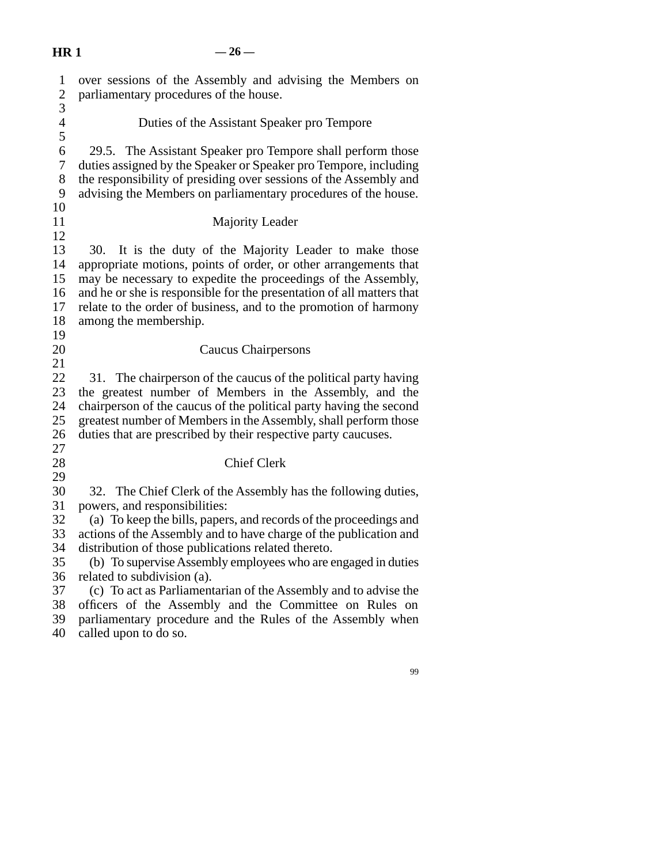| <b>HR1</b>                                                 | $-26-$                                                                                                                     |
|------------------------------------------------------------|----------------------------------------------------------------------------------------------------------------------------|
| $\mathbf{1}$<br>$\begin{array}{c} 2 \\ 3 \\ 4 \end{array}$ | over sessions of the Assembly and advising the Members on<br>parliamentary procedures of the house.                        |
| 5                                                          | Duties of the Assistant Speaker pro Tempore                                                                                |
| 6                                                          | 29.5. The Assistant Speaker pro Tempore shall perform those                                                                |
| 7                                                          | duties assigned by the Speaker or Speaker pro Tempore, including                                                           |
| 8                                                          | the responsibility of presiding over sessions of the Assembly and                                                          |
| 9                                                          | advising the Members on parliamentary procedures of the house.                                                             |
| 10                                                         |                                                                                                                            |
| 11                                                         | <b>Majority Leader</b>                                                                                                     |
| 12<br>13                                                   | 30. It is the duty of the Majority Leader to make those                                                                    |
| 14                                                         | appropriate motions, points of order, or other arrangements that                                                           |
| 15                                                         | may be necessary to expedite the proceedings of the Assembly,                                                              |
| 16                                                         | and he or she is responsible for the presentation of all matters that                                                      |
| 17                                                         | relate to the order of business, and to the promotion of harmony                                                           |
| 18                                                         | among the membership.                                                                                                      |
| 19                                                         |                                                                                                                            |
| 20                                                         | <b>Caucus Chairpersons</b>                                                                                                 |
| 21                                                         |                                                                                                                            |
| 22<br>23                                                   | 31. The chairperson of the caucus of the political party having<br>the greatest number of Members in the Assembly, and the |
| 24                                                         | chairperson of the caucus of the political party having the second                                                         |
| 25                                                         | greatest number of Members in the Assembly, shall perform those                                                            |
| 26                                                         | duties that are prescribed by their respective party caucuses.                                                             |
| 27                                                         |                                                                                                                            |
| 28                                                         | <b>Chief Clerk</b>                                                                                                         |
| 29                                                         |                                                                                                                            |
| 30                                                         | 32. The Chief Clerk of the Assembly has the following duties,                                                              |
| 31                                                         | powers, and responsibilities:                                                                                              |
| 32<br>33                                                   | (a) To keep the bills, papers, and records of the proceedings and                                                          |
| 34                                                         | actions of the Assembly and to have charge of the publication and<br>distribution of those publications related thereto.   |
| 35                                                         | (b) To supervise Assembly employees who are engaged in duties                                                              |
| 36                                                         | related to subdivision (a).                                                                                                |
| 37                                                         | (c) To act as Parliamentarian of the Assembly and to advise the                                                            |
| 38                                                         | officers of the Assembly and the Committee on Rules on                                                                     |
| 39                                                         | parliamentary procedure and the Rules of the Assembly when                                                                 |
|                                                            |                                                                                                                            |

40 called upon to do so.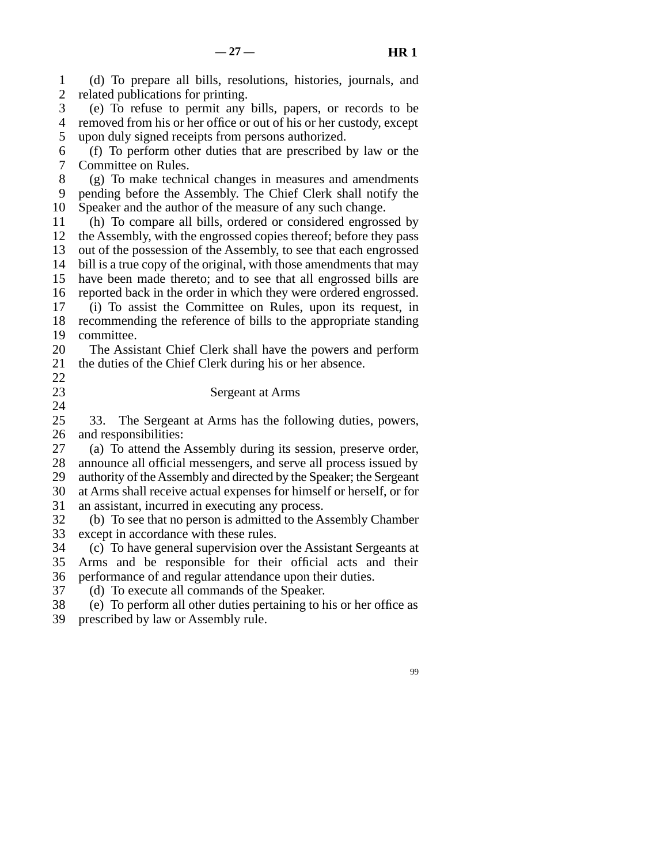line 1 (d) To prepare all bills, resolutions, histories, journals, and 2 related publications for printing. line 3 (e) To refuse to permit any bills, papers, or records to be 4 removed from his or her office or out of his or her custody, except 5 upon duly signed receipts from persons authorized. line 6 (f) To perform other duties that are prescribed by law or the 7 Committee on Rules. line 8 (g) To make technical changes in measures and amendments 9 pending before the Assembly. The Chief Clerk shall notify the 10 Speaker and the author of the measure of any such change. 11 (h) To compare all bills, ordered or considered engrossed by 12 the Assembly, with the engrossed copies thereof; before they pass 13 out of the possession of the Assembly, to see that each engrossed 14 bill is a true copy of the original, with those amendments that may 15 have been made thereto; and to see that all engrossed bills are 16 reported back in the order in which they were ordered engrossed. 17 (i) To assist the Committee on Rules, upon its request, in 18 recommending the reference of bills to the appropriate standing 19 committee. 20 The Assistant Chief Clerk shall have the powers and perform 21 the duties of the Chief Clerk during his or her absence.  $\frac{22}{23}$ Sergeant at Arms  $\frac{24}{25}$ 33. The Sergeant at Arms has the following duties, powers, 26 and responsibilities: 27 (a) To attend the Assembly during its session, preserve order, 28 announce all official messengers, and serve all process issued by 29 authority of the Assembly and directed by the Speaker; the Sergeant 30 at Arms shall receive actual expenses for himself or herself, or for 31 an assistant, incurred in executing any process. 32 (b) To see that no person is admitted to the Assembly Chamber 33 except in accordance with these rules. line 34 (c) To have general supervision over the Assistant Sergeants at 35 Arms and be responsible for their official acts and their 36 performance of and regular attendance upon their duties. 37 (d) To execute all commands of the Speaker. 38 (e) To perform all other duties pertaining to his or her office as 39 prescribed by law or Assembly rule.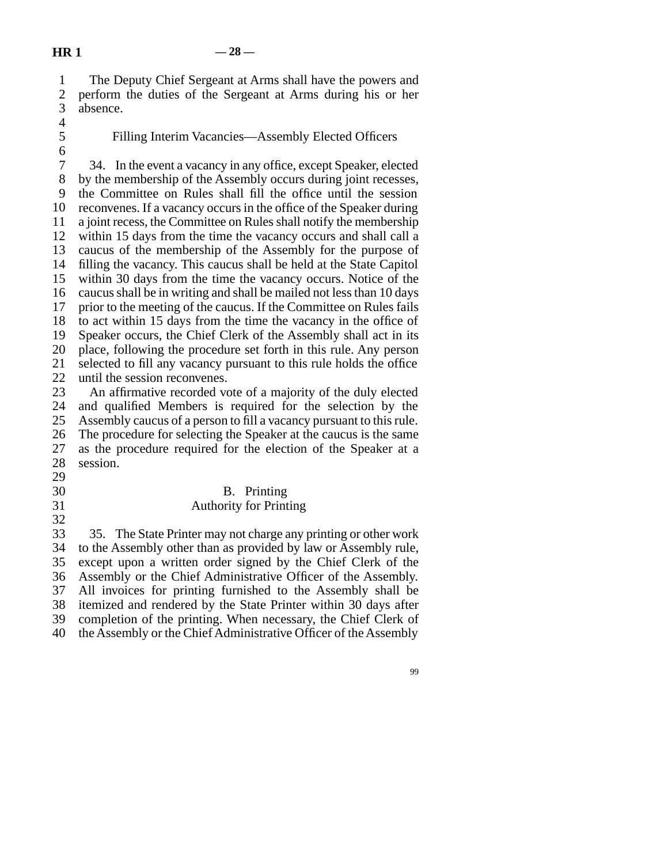line 1 The Deputy Chief Sergeant at Arms shall have the powers and 2 perform the duties of the Sergeant at Arms during his or her 3 absence. absence.

 $\overline{4}$ 

### 5 Filling Interim Vacancies—Assembly Elected Officers

6 2 34. In the event a vacancy in any office, except Speaker, elected 8 by the membership of the Assembly occurs during joint recesses, 9 the Committee on Rules shall fill the office until the session 10 reconvenes. If a vacancy occurs in the office of the Speaker during 11 a joint recess, the Committee on Rules shall notify the membership 12 within 15 days from the time the vacancy occurs and shall call a 13 caucus of the membership of the Assembly for the purpose of 14 filling the vacancy. This caucus shall be held at the State Capitol 15 within 30 days from the time the vacancy occurs. Notice of the 16 caucus shall be in writing and shall be mailed not less than 10 days 17 prior to the meeting of the caucus. If the Committee on Rules fails 18 to act within 15 days from the time the vacancy in the office of 19 Speaker occurs, the Chief Clerk of the Assembly shall act in its 20 place, following the procedure set forth in this rule. Any person 21 selected to fill any vacancy pursuant to this rule holds the office 22 until the session reconvenes.<br>23 An affirmative recorded vo An affirmative recorded vote of a majority of the duly elected 24 and qualified Members is required for the selection by the 25 Assembly caucus of a person to fill a vacancy pursuant to this rule. Assembly caucus of a person to fill a vacancy pursuant to this rule.

26 The procedure for selecting the Speaker at the caucus is the same 27 as the procedure required for the election of the Speaker at a 28 session.

29

# line 30 B. Printing

# 31 Authority for Printing

 $\frac{32}{33}$ 35. The State Printer may not charge any printing or other work 34 to the Assembly other than as provided by law or Assembly rule, 35 except upon a written order signed by the Chief Clerk of the 36 Assembly or the Chief Administrative Officer of the Assembly. 37 All invoices for printing furnished to the Assembly shall be 38 itemized and rendered by the State Printer within 30 days after 39 completion of the printing. When necessary, the Chief Clerk of 40 the Assembly or the Chief Administrative Officer of the Assembly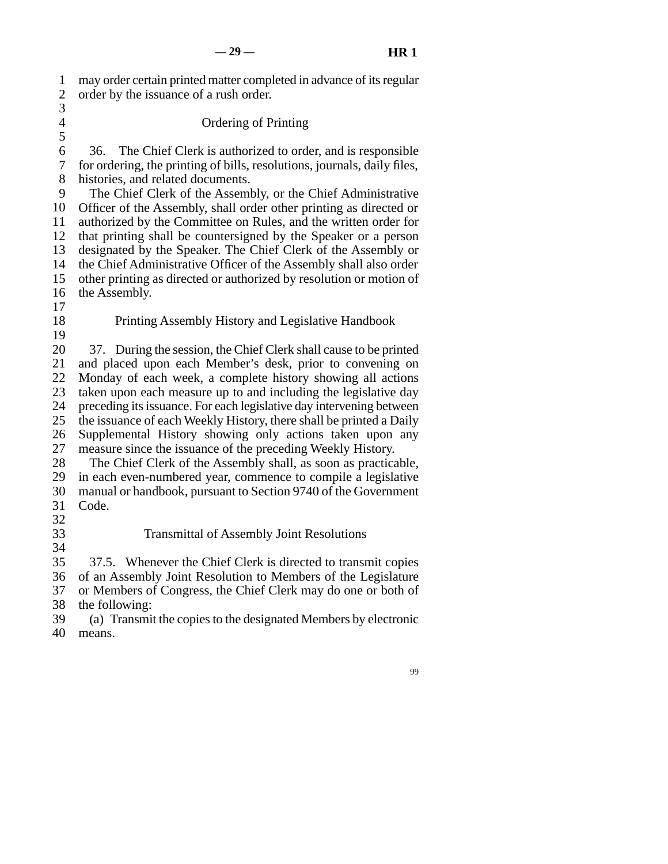line 1 may order certain printed matter completed in advance of its regular 2 order by the issuance of a rush order.  $\mathfrak{Z}$ 

 $\mathfrak{S}$ 

### 4 Ordering of Printing

6 36. The Chief Clerk is authorized to order, and is responsible 7 for ordering, the printing of bills, resolutions, journals, daily files, 8 histories, and related documents.

9 The Chief Clerk of the Assembly, or the Chief Administrative 10 Officer of the Assembly, shall order other printing as directed or 11 authorized by the Committee on Rules, and the written order for 12 that printing shall be countersigned by the Speaker or a person 13 designated by the Speaker. The Chief Clerk of the Assembly or 14 the Chief Administrative Officer of the Assembly shall also order 15 other printing as directed or authorized by resolution or motion of 16 the Assembly.

- line 17
- line 19

18 Printing Assembly History and Legislative Handbook

20 37. During the session, the Chief Clerk shall cause to be printed 21 and placed upon each Member's desk, prior to convening on 22 Monday of each week, a complete history showing all actions 23 taken upon each measure up to and including the legislative day 24 preceding its issuance. For each legislative day intervening between<br>25 the issuance of each Weekly History, there shall be printed a Daily the issuance of each Weekly History, there shall be printed a Daily 26 Supplemental History showing only actions taken upon any 27 measure since the issuance of the preceding Weekly History.

28 The Chief Clerk of the Assembly shall, as soon as practicable, 29 in each even-numbered year, commence to compile a legislative 30 manual or handbook, pursuant to Section 9740 of the Government 31 Code.

 $\frac{32}{33}$ 

line 34

Transmittal of Assembly Joint Resolutions

35 37.5. Whenever the Chief Clerk is directed to transmit copies

36 of an Assembly Joint Resolution to Members of the Legislature

37 or Members of Congress, the Chief Clerk may do one or both of 38 the following:

 line 39 (a) Transmit the copies to the designated Members by electronic 40 means.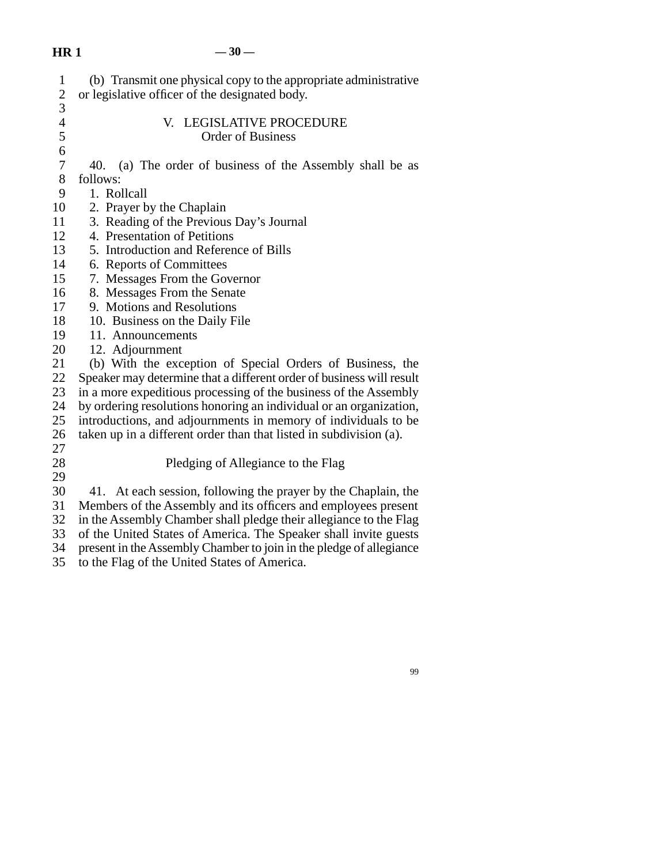| $\mathbf{1}$   | (b) Transmit one physical copy to the appropriate administrative     |
|----------------|----------------------------------------------------------------------|
| $\frac{2}{3}$  | or legislative officer of the designated body.                       |
|                |                                                                      |
| $\overline{4}$ | V. LEGISLATIVE PROCEDURE                                             |
| 5              | <b>Order of Business</b>                                             |
| 6              |                                                                      |
| $\overline{7}$ | 40.<br>(a) The order of business of the Assembly shall be as         |
| 8              | follows:                                                             |
| 9              | 1. Rollcall                                                          |
| 10             | 2. Prayer by the Chaplain                                            |
| 11             | 3. Reading of the Previous Day's Journal                             |
| 12             | 4. Presentation of Petitions                                         |
| 13             | 5. Introduction and Reference of Bills                               |
| 14             | 6. Reports of Committees                                             |
| 15             | 7. Messages From the Governor                                        |
| 16             | 8. Messages From the Senate                                          |
| 17             | 9. Motions and Resolutions                                           |
| 18             | 10. Business on the Daily File                                       |
| 19             | 11. Announcements                                                    |
| 20             | 12. Adjournment                                                      |
| 21             | (b) With the exception of Special Orders of Business, the            |
| 22             | Speaker may determine that a different order of business will result |
| 23             | in a more expeditious processing of the business of the Assembly     |
| 24             | by ordering resolutions honoring an individual or an organization,   |
| 25             | introductions, and adjournments in memory of individuals to be       |
| 26             | taken up in a different order than that listed in subdivision (a).   |
| 27             |                                                                      |
| 28             | Pledging of Allegiance to the Flag                                   |
| 29             |                                                                      |
| 30             | 41. At each session, following the prayer by the Chaplain, the       |
| 31             | Members of the Assembly and its officers and employees present       |
| 32             | in the Assembly Chamber shall pledge their allegiance to the Flag    |
| 33             | of the United States of America. The Speaker shall invite guests     |

34 present in the Assembly Chamber to join in the pledge of allegiance

99

35 to the Flag of the United States of America.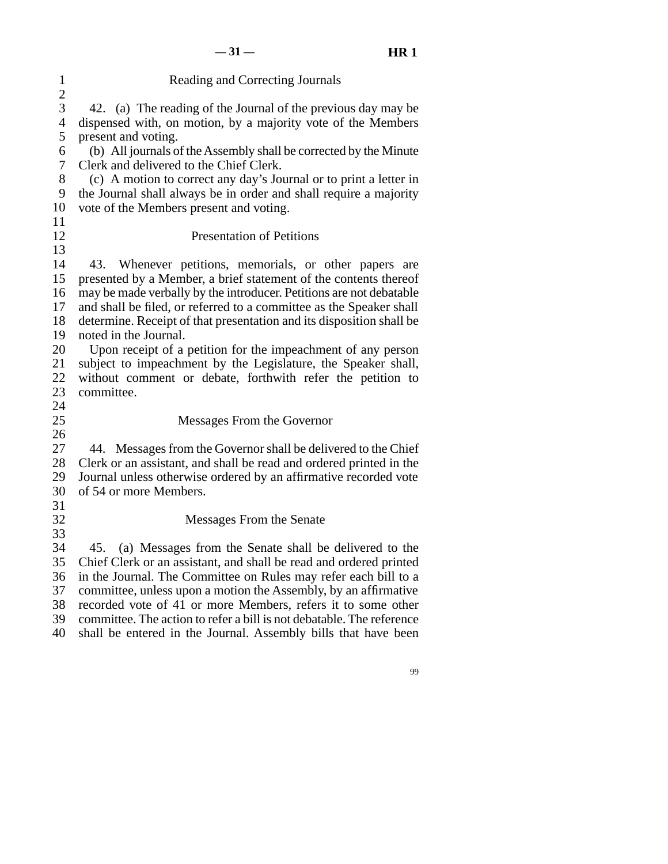| $\,1$          | Reading and Correcting Journals                                                                                                       |
|----------------|---------------------------------------------------------------------------------------------------------------------------------------|
| $\frac{2}{3}$  |                                                                                                                                       |
| $\overline{4}$ | 42. (a) The reading of the Journal of the previous day may be<br>dispensed with, on motion, by a majority vote of the Members         |
| 5              | present and voting.                                                                                                                   |
| 6              | (b) All journals of the Assembly shall be corrected by the Minute                                                                     |
| 7              | Clerk and delivered to the Chief Clerk.                                                                                               |
| 8              | (c) A motion to correct any day's Journal or to print a letter in                                                                     |
| 9              | the Journal shall always be in order and shall require a majority                                                                     |
| 10             | vote of the Members present and voting.                                                                                               |
| 11             |                                                                                                                                       |
| 12             | <b>Presentation of Petitions</b>                                                                                                      |
| 13             |                                                                                                                                       |
| 14             | Whenever petitions, memorials, or other papers are<br>43.                                                                             |
| 15             | presented by a Member, a brief statement of the contents thereof                                                                      |
| 16             | may be made verbally by the introducer. Petitions are not debatable                                                                   |
| 17             | and shall be filed, or referred to a committee as the Speaker shall                                                                   |
| 18             | determine. Receipt of that presentation and its disposition shall be                                                                  |
| 19<br>20       | noted in the Journal.                                                                                                                 |
| 21             | Upon receipt of a petition for the impeachment of any person<br>subject to impeachment by the Legislature, the Speaker shall,         |
| 22             | without comment or debate, forthwith refer the petition to                                                                            |
| 23             | committee.                                                                                                                            |
| 24             |                                                                                                                                       |
| 25             | Messages From the Governor                                                                                                            |
| 26             |                                                                                                                                       |
| 27             | 44. Messages from the Governor shall be delivered to the Chief                                                                        |
| 28             | Clerk or an assistant, and shall be read and ordered printed in the                                                                   |
| 29             | Journal unless otherwise ordered by an affirmative recorded vote                                                                      |
| 30             | of 54 or more Members.                                                                                                                |
| 31             |                                                                                                                                       |
| 32             | Messages From the Senate                                                                                                              |
| 33             |                                                                                                                                       |
| 34             | 45.<br>(a) Messages from the Senate shall be delivered to the                                                                         |
| 35             | Chief Clerk or an assistant, and shall be read and ordered printed                                                                    |
| 36             | in the Journal. The Committee on Rules may refer each bill to a                                                                       |
| 37             | committee, unless upon a motion the Assembly, by an affirmative                                                                       |
| 38<br>39       | recorded vote of 41 or more Members, refers it to some other<br>committee. The action to refer a bill is not debatable. The reference |
| 40             | shall be entered in the Journal. Assembly bills that have been                                                                        |
|                |                                                                                                                                       |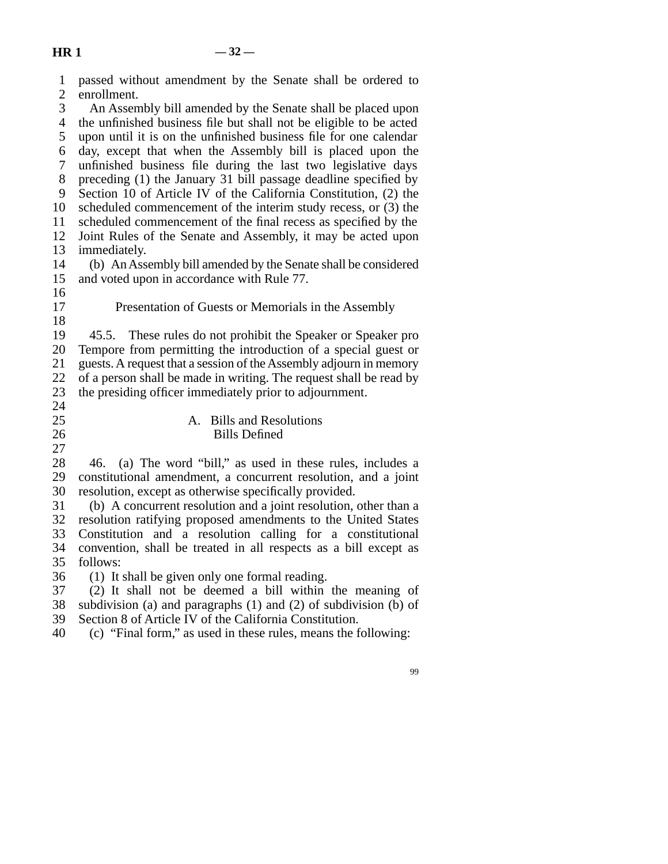line 1 passed without amendment by the Senate shall be ordered to 2 enrollment.<br>3 An Assen An Assembly bill amended by the Senate shall be placed upon 4 the unfinished business file but shall not be eligible to be acted 5 upon until it is on the unfinished business file for one calendar line 6 day, except that when the Assembly bill is placed upon the 7 unfinished business file during the last two legislative days 8 preceding (1) the January 31 bill passage deadline specified by 9 Section 10 of Article IV of the California Constitution, (2) the 10 scheduled commencement of the interim study recess, or (3) the 11 scheduled commencement of the final recess as specified by the 12 Joint Rules of the Senate and Assembly, it may be acted upon 13 immediately. 14 (b) An Assembly bill amended by the Senate shall be considered 15 and voted upon in accordance with Rule 77.  $\frac{16}{17}$ Presentation of Guests or Memorials in the Assembly line 18 19 45.5. These rules do not prohibit the Speaker or Speaker pro 20 Tempore from permitting the introduction of a special guest or 21 guests. A request that a session of the Assembly adjourn in memory 22 of a person shall be made in writing. The request shall be read by  $23$  the presiding officer immediately prior to adjournment. the presiding officer immediately prior to adjournment.  $\frac{24}{25}$ A. Bills and Resolutions 26 Bills Defined  $\frac{27}{28}$ 46. (a) The word "bill," as used in these rules, includes a 29 constitutional amendment, a concurrent resolution, and a joint 30 resolution, except as otherwise specifically provided. 31 (b) A concurrent resolution and a joint resolution, other than a 32 resolution ratifying proposed amendments to the United States 33 Constitution and a resolution calling for a constitutional 34 convention, shall be treated in all respects as a bill except as 35 follows:  $36$  (1) It shall be given only one formal reading. 37 (2) It shall not be deemed a bill within the meaning of 38 subdivision (a) and paragraphs (1) and (2) of subdivision (b) of 39 Section 8 of Article IV of the California Constitution.

40 (c) "Final form," as used in these rules, means the following: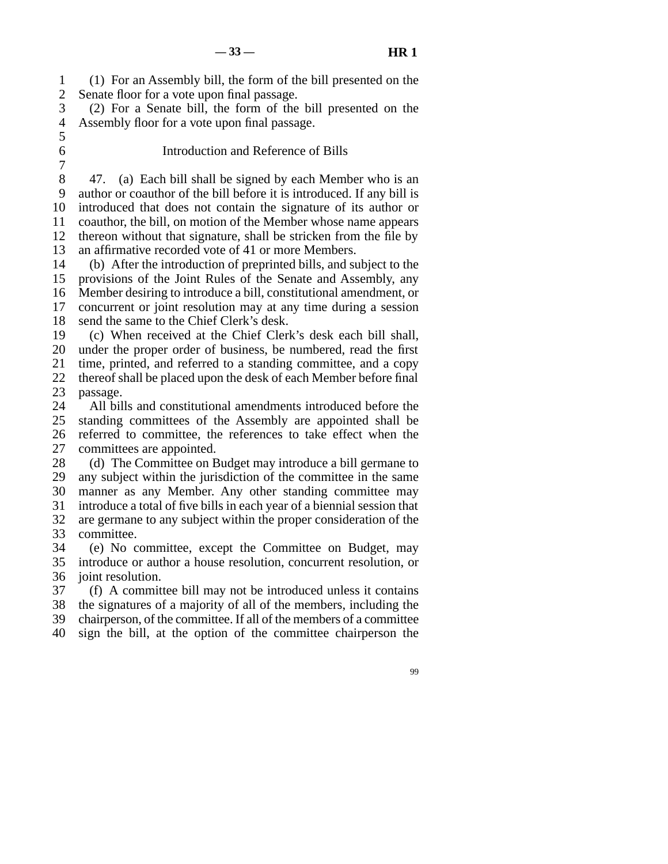line 1 (1) For an Assembly bill, the form of the bill presented on the 2 Senate floor for a vote upon final passage.

3 (2) For a Senate bill, the form of the bill presented on the 4 Assembly floor for a vote upon final passage.

 $\mathfrak{S}$ 

 $\overline{7}$ 

### line 6 Introduction and Reference of Bills

8 47. (a) Each bill shall be signed by each Member who is an 9 author or coauthor of the bill before it is introduced. If any bill is 10 introduced that does not contain the signature of its author or 11 coauthor, the bill, on motion of the Member whose name appears 12 thereon without that signature, shall be stricken from the file by 13 an affirmative recorded vote of 41 or more Members.

14 (b) After the introduction of preprinted bills, and subject to the 15 provisions of the Joint Rules of the Senate and Assembly, any 16 Member desiring to introduce a bill, constitutional amendment, or 17 concurrent or joint resolution may at any time during a session 18 send the same to the Chief Clerk's desk.

19 (c) When received at the Chief Clerk's desk each bill shall, 20 under the proper order of business, be numbered, read the first

21 time, printed, and referred to a standing committee, and a copy

22 thereof shall be placed upon the desk of each Member before final 23 passage.

24 All bills and constitutional amendments introduced before the 25 standing committees of the Assembly are appointed shall be standing committees of the Assembly are appointed shall be 26 referred to committee, the references to take effect when the 27 committees are appointed.

28 (d) The Committee on Budget may introduce a bill germane to 29 any subject within the jurisdiction of the committee in the same 30 manner as any Member. Any other standing committee may 31 introduce a total of five bills in each year of a biennial session that 32 are germane to any subject within the proper consideration of the 33 committee.

 line 34 (e) No committee, except the Committee on Budget, may 35 introduce or author a house resolution, concurrent resolution, or 36 joint resolution.

37 (f) A committee bill may not be introduced unless it contains 38 the signatures of a majority of all of the members, including the 39 chairperson, of the committee. If all of the members of a committee 40 sign the bill, at the option of the committee chairperson the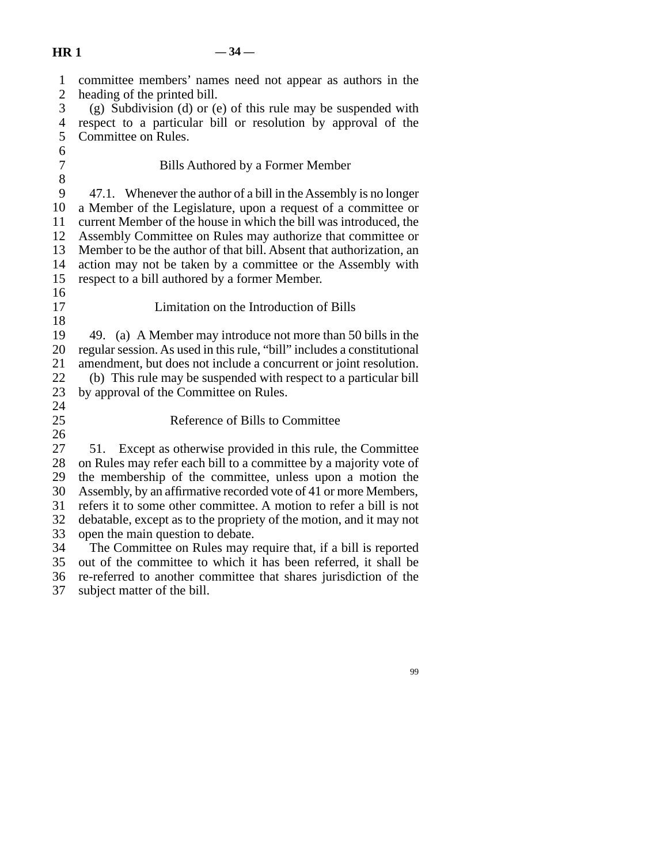| $\mathbf{1}$     | committee members' names need not appear as authors in the              |
|------------------|-------------------------------------------------------------------------|
| $\overline{2}$   | heading of the printed bill.                                            |
| 3                | $(g)$ Subdivision (d) or (e) of this rule may be suspended with         |
| $\overline{4}$   | respect to a particular bill or resolution by approval of the           |
| 5                | Committee on Rules.                                                     |
| 6                |                                                                         |
| $\sqrt{ }$       | Bills Authored by a Former Member                                       |
| $\boldsymbol{8}$ |                                                                         |
| 9                | 47.1. Whenever the author of a bill in the Assembly is no longer        |
| 10               | a Member of the Legislature, upon a request of a committee or           |
| 11               | current Member of the house in which the bill was introduced, the       |
| 12               | Assembly Committee on Rules may authorize that committee or             |
| 13               | Member to be the author of that bill. Absent that authorization, an     |
| 14               | action may not be taken by a committee or the Assembly with             |
| 15               | respect to a bill authored by a former Member.                          |
| 16               |                                                                         |
| 17               | Limitation on the Introduction of Bills                                 |
| 18               |                                                                         |
| 19               | 49. (a) A Member may introduce not more than 50 bills in the            |
| 20               | regular session. As used in this rule, "bill" includes a constitutional |
| 21               | amendment, but does not include a concurrent or joint resolution.       |
| 22               | (b) This rule may be suspended with respect to a particular bill        |
| 23               | by approval of the Committee on Rules.                                  |
| 24               |                                                                         |
| 25               | Reference of Bills to Committee                                         |
| 26               |                                                                         |
| 27               | Except as otherwise provided in this rule, the Committee<br>51.         |
| 28               | on Rules may refer each bill to a committee by a majority vote of       |
| 29               | the membership of the committee, unless upon a motion the               |
| 30               | Assembly, by an affirmative recorded vote of 41 or more Members,        |
| 31               | refers it to some other committee. A motion to refer a bill is not      |
| 32               | debatable, except as to the propriety of the motion, and it may not     |
| 33               | open the main question to debate.                                       |
| 34               | The Committee on Rules may require that, if a bill is reported          |
| 35               | out of the committee to which it has been referred, it shall be         |
| 36               | re-referred to another committee that shares jurisdiction of the        |
| 37               | subject matter of the bill.                                             |
|                  |                                                                         |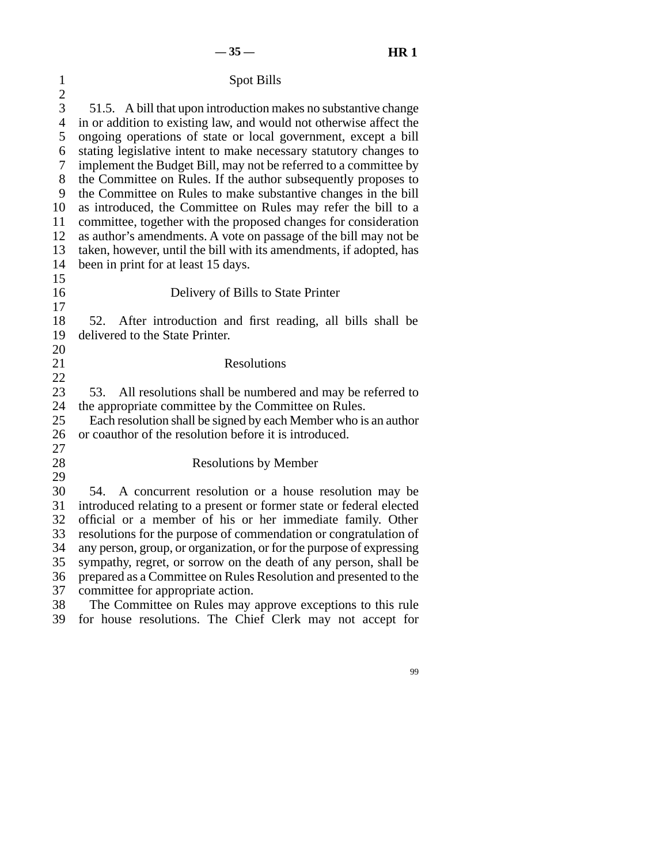| $\mathbf{1}$   | Spot Bills                                                                                         |
|----------------|----------------------------------------------------------------------------------------------------|
| $\overline{c}$ |                                                                                                    |
| $\overline{3}$ | 51.5. A bill that upon introduction makes no substantive change                                    |
| $\overline{4}$ | in or addition to existing law, and would not otherwise affect the                                 |
| 5              | ongoing operations of state or local government, except a bill                                     |
| 6              | stating legislative intent to make necessary statutory changes to                                  |
| 7              | implement the Budget Bill, may not be referred to a committee by                                   |
| 8              | the Committee on Rules. If the author subsequently proposes to                                     |
| 9              | the Committee on Rules to make substantive changes in the bill                                     |
| 10             | as introduced, the Committee on Rules may refer the bill to a                                      |
| 11             | committee, together with the proposed changes for consideration                                    |
| 12             | as author's amendments. A vote on passage of the bill may not be                                   |
| 13             | taken, however, until the bill with its amendments, if adopted, has                                |
| 14             | been in print for at least 15 days.                                                                |
| 15             |                                                                                                    |
| 16             | Delivery of Bills to State Printer                                                                 |
| 17<br>18       |                                                                                                    |
| 19             | 52.<br>After introduction and first reading, all bills shall be<br>delivered to the State Printer. |
| 20             |                                                                                                    |
| 21             | <b>Resolutions</b>                                                                                 |
| 22             |                                                                                                    |
| 23             | 53.<br>All resolutions shall be numbered and may be referred to                                    |
| 24             | the appropriate committee by the Committee on Rules.                                               |
| 25             | Each resolution shall be signed by each Member who is an author                                    |
| 26             | or coauthor of the resolution before it is introduced.                                             |
| 27             |                                                                                                    |
| 28             | <b>Resolutions by Member</b>                                                                       |
| 29             |                                                                                                    |
| 30             | A concurrent resolution or a house resolution may be<br>54.                                        |
| 31             | introduced relating to a present or former state or federal elected                                |
| 32             | official or a member of his or her immediate family. Other                                         |
| 33             | resolutions for the purpose of commendation or congratulation of                                   |
| 34             | any person, group, or organization, or for the purpose of expressing                               |
| 35             | sympathy, regret, or sorrow on the death of any person, shall be                                   |
| 36             | prepared as a Committee on Rules Resolution and presented to the                                   |
| 37             | committee for appropriate action.                                                                  |
| 38             | The Committee on Rules may approve exceptions to this rule                                         |

39 for house resolutions. The Chief Clerk may not accept for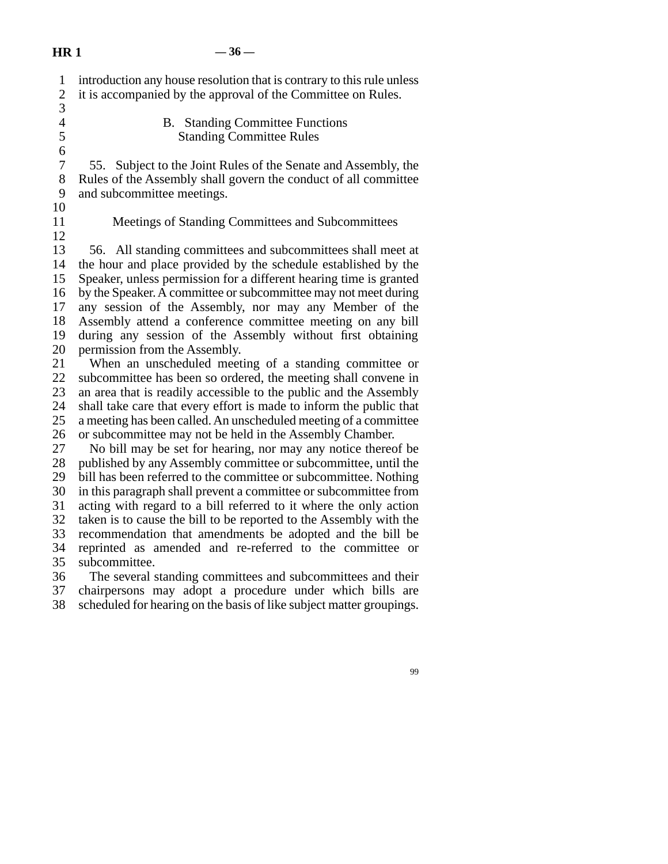| $\mathbf{1}$   | introduction any house resolution that is contrary to this rule unless                                                        |
|----------------|-------------------------------------------------------------------------------------------------------------------------------|
| $\overline{c}$ | it is accompanied by the approval of the Committee on Rules.                                                                  |
| 3              |                                                                                                                               |
| $\overline{4}$ | <b>B.</b> Standing Committee Functions                                                                                        |
| 5              | <b>Standing Committee Rules</b>                                                                                               |
| 6              |                                                                                                                               |
| $\overline{7}$ | 55. Subject to the Joint Rules of the Senate and Assembly, the                                                                |
| $8\,$          | Rules of the Assembly shall govern the conduct of all committee                                                               |
| 9              | and subcommittee meetings.                                                                                                    |
| 10             |                                                                                                                               |
| 11             | Meetings of Standing Committees and Subcommittees                                                                             |
| 12             |                                                                                                                               |
| 13<br>14       | 56. All standing committees and subcommittees shall meet at<br>the hour and place provided by the schedule established by the |
| 15             | Speaker, unless permission for a different hearing time is granted                                                            |
| 16             | by the Speaker. A committee or subcommittee may not meet during                                                               |
| 17             | any session of the Assembly, nor may any Member of the                                                                        |
| 18             | Assembly attend a conference committee meeting on any bill                                                                    |
| 19             | during any session of the Assembly without first obtaining                                                                    |
| $20\,$         | permission from the Assembly.                                                                                                 |
| 21             | When an unscheduled meeting of a standing committee or                                                                        |
| 22             | subcommittee has been so ordered, the meeting shall convene in                                                                |
| 23             | an area that is readily accessible to the public and the Assembly                                                             |
| 24             | shall take care that every effort is made to inform the public that                                                           |
| 25             | a meeting has been called. An unscheduled meeting of a committee                                                              |
| 26             | or subcommittee may not be held in the Assembly Chamber.                                                                      |
| 27             | No bill may be set for hearing, nor may any notice thereof be                                                                 |
| 28             | published by any Assembly committee or subcommittee, until the                                                                |
| 29             | bill has been referred to the committee or subcommittee. Nothing                                                              |
| 30             | in this paragraph shall prevent a committee or subcommittee from                                                              |
| 31             | acting with regard to a bill referred to it where the only action                                                             |
| 32             | taken is to cause the bill to be reported to the Assembly with the                                                            |
| 33             | recommendation that amendments be adopted and the bill be                                                                     |
| 34             | reprinted as amended and re-referred to the committee or                                                                      |
| 35             | subcommittee.                                                                                                                 |
| 36             | The several standing committees and subcommittees and their                                                                   |
| 37             | chairpersons may adopt a procedure under which bills are                                                                      |
| 38             | scheduled for hearing on the basis of like subject matter groupings.                                                          |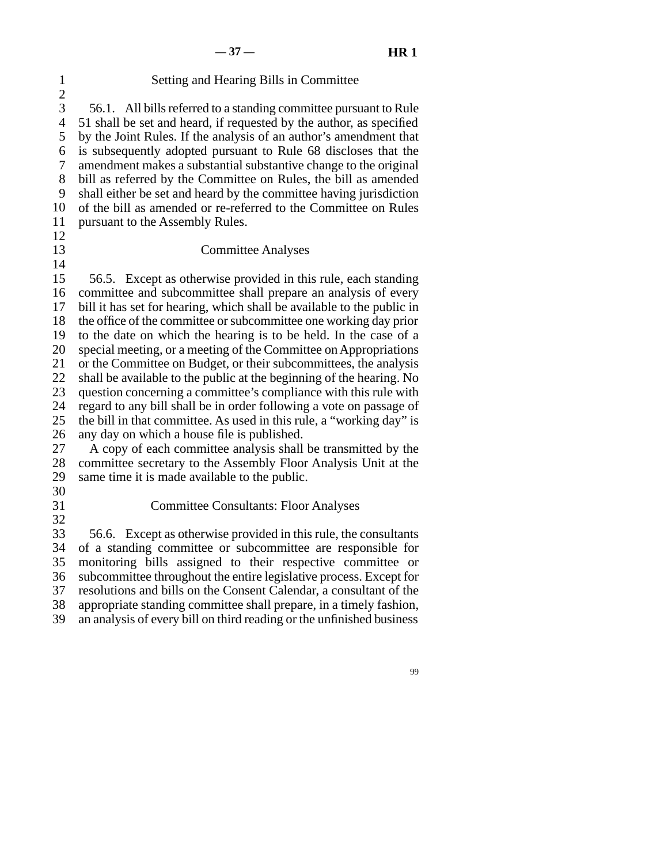| $\mathbf{1}$            | Setting and Hearing Bills in Committee                                                                                                |
|-------------------------|---------------------------------------------------------------------------------------------------------------------------------------|
| $\frac{2}{3}$           |                                                                                                                                       |
|                         | 56.1. All bills referred to a standing committee pursuant to Rule                                                                     |
| $\overline{\mathbf{4}}$ | 51 shall be set and heard, if requested by the author, as specified                                                                   |
| 5                       | by the Joint Rules. If the analysis of an author's amendment that                                                                     |
| 6                       | is subsequently adopted pursuant to Rule 68 discloses that the                                                                        |
| 7<br>8                  | amendment makes a substantial substantive change to the original                                                                      |
| 9                       | bill as referred by the Committee on Rules, the bill as amended                                                                       |
| 10                      | shall either be set and heard by the committee having jurisdiction<br>of the bill as amended or re-referred to the Committee on Rules |
| 11                      | pursuant to the Assembly Rules.                                                                                                       |
| 12                      |                                                                                                                                       |
| 13                      | <b>Committee Analyses</b>                                                                                                             |
| 14                      |                                                                                                                                       |
| 15                      | 56.5. Except as otherwise provided in this rule, each standing                                                                        |
| 16                      | committee and subcommittee shall prepare an analysis of every                                                                         |
| 17                      | bill it has set for hearing, which shall be available to the public in                                                                |
| 18                      | the office of the committee or subcommittee one working day prior                                                                     |
| 19                      | to the date on which the hearing is to be held. In the case of a                                                                      |
| 20                      | special meeting, or a meeting of the Committee on Appropriations                                                                      |
| 21                      | or the Committee on Budget, or their subcommittees, the analysis                                                                      |
| 22                      | shall be available to the public at the beginning of the hearing. No                                                                  |
| 23                      | question concerning a committee's compliance with this rule with                                                                      |
| 24                      | regard to any bill shall be in order following a vote on passage of                                                                   |
| 25                      | the bill in that committee. As used in this rule, a "working day" is                                                                  |
| 26                      | any day on which a house file is published.                                                                                           |
| 27                      | A copy of each committee analysis shall be transmitted by the                                                                         |
| 28                      | committee secretary to the Assembly Floor Analysis Unit at the                                                                        |
| 29                      | same time it is made available to the public.                                                                                         |
| 30                      |                                                                                                                                       |
| 31                      | <b>Committee Consultants: Floor Analyses</b>                                                                                          |
| 32                      |                                                                                                                                       |
| 33                      | 56.6. Except as otherwise provided in this rule, the consultants                                                                      |
| 34                      | of a standing committee or subcommittee are responsible for                                                                           |
| 35                      | monitoring bills assigned to their respective committee or                                                                            |
| 36                      | subcommittee throughout the entire legislative process. Except for                                                                    |
| 37                      | resolutions and bills on the Consent Calendar, a consultant of the                                                                    |
| 38                      | appropriate standing committee shall prepare, in a timely fashion,                                                                    |
| 39                      | an analysis of every bill on third reading or the unfinished business                                                                 |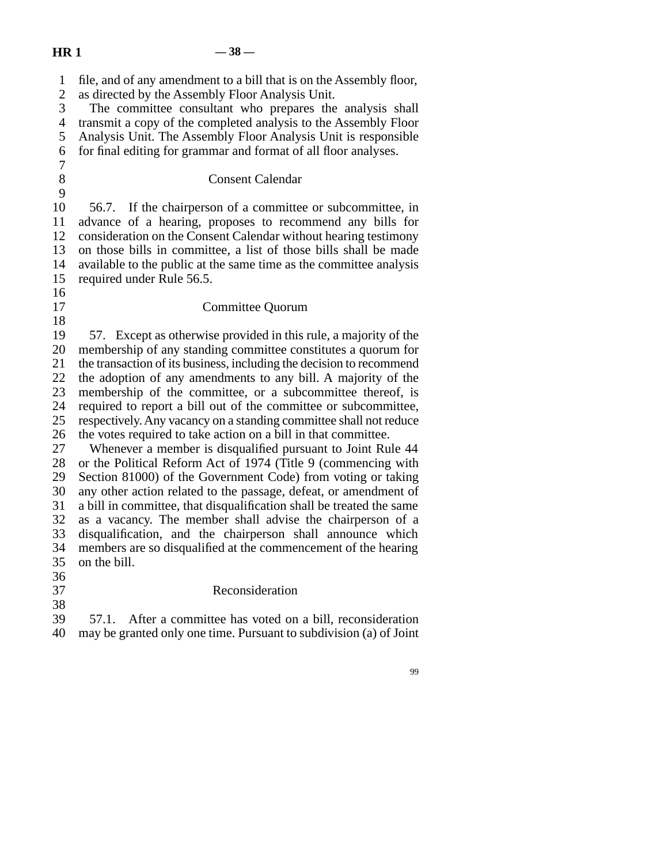| $\mathbf{1}$   | file, and of any amendment to a bill that is on the Assembly floor,  |
|----------------|----------------------------------------------------------------------|
| 2              | as directed by the Assembly Floor Analysis Unit.                     |
| 3              | The committee consultant who prepares the analysis shall             |
| $\overline{4}$ | transmit a copy of the completed analysis to the Assembly Floor      |
| 5              | Analysis Unit. The Assembly Floor Analysis Unit is responsible       |
| 6              | for final editing for grammar and format of all floor analyses.      |
| 7              |                                                                      |
| 8              | <b>Consent Calendar</b>                                              |
| 9              |                                                                      |
| 10             | If the chairperson of a committee or subcommittee, in<br>56.7.       |
| 11             | advance of a hearing, proposes to recommend any bills for            |
| 12             | consideration on the Consent Calendar without hearing testimony      |
| 13             | on those bills in committee, a list of those bills shall be made     |
| 14             | available to the public at the same time as the committee analysis   |
| 15             | required under Rule 56.5.                                            |
| 16             |                                                                      |
| 17             | <b>Committee Quorum</b>                                              |
| 18             |                                                                      |
| 19             | 57. Except as otherwise provided in this rule, a majority of the     |
| 20             | membership of any standing committee constitutes a quorum for        |
| 21             | the transaction of its business, including the decision to recommend |
| 22             | the adoption of any amendments to any bill. A majority of the        |
| 23             | membership of the committee, or a subcommittee thereof, is           |
| 24             | required to report a bill out of the committee or subcommittee,      |
| 25             | respectively. Any vacancy on a standing committee shall not reduce   |
| 26             | the votes required to take action on a bill in that committee.       |
| 27             | Whenever a member is disqualified pursuant to Joint Rule 44          |
| 28             | or the Political Reform Act of 1974 (Title 9 (commencing with        |
| 29             | Section 81000) of the Government Code) from voting or taking         |
| 30             | any other action related to the passage, defeat, or amendment of     |
| 31             | a bill in committee, that disqualification shall be treated the same |
| 32             | as a vacancy. The member shall advise the chairperson of a           |
| 33             | disqualification, and the chairperson shall announce which           |
| 34             | members are so disqualified at the commencement of the hearing       |
| 35             | on the bill.                                                         |
| 36             |                                                                      |
| 37             | Reconsideration                                                      |
| 38             |                                                                      |
| 39             | After a committee has voted on a bill, reconsideration<br>57.1.      |
| 40             | may be granted only one time. Pursuant to subdivision (a) of Joint   |
|                |                                                                      |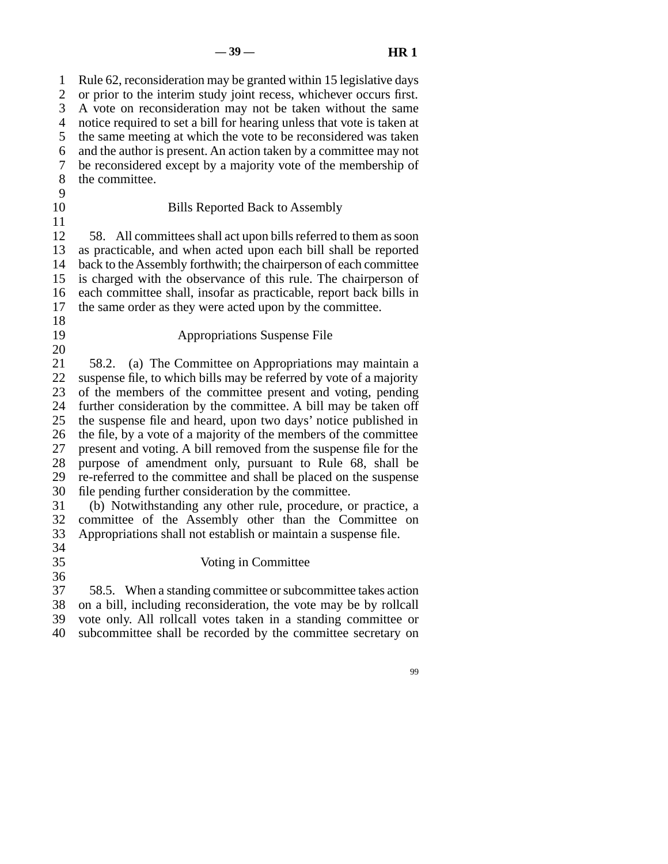1 Rule 62, reconsideration may be granted within 15 legislative days 2 or prior to the interim study joint recess, whichever occurs first. 3 A vote on reconsideration may not be taken without the same 4 notice required to set a bill for hearing unless that vote is taken at 5 the same meeting at which the vote to be reconsidered was taken line 6 and the author is present. An action taken by a committee may not 7 be reconsidered except by a majority vote of the membership of 8 the committee.  $\overline{9}$ 10 Bills Reported Back to Assembly  $11$ 12 58. All committees shall act upon bills referred to them as soon 13 as practicable, and when acted upon each bill shall be reported 14 back to the Assembly forthwith; the chairperson of each committee 15 is charged with the observance of this rule. The chairperson of 16 each committee shall, insofar as practicable, report back bills in 17 the same order as they were acted upon by the committee. line 18 19 Appropriations Suspense File 20 21 58.2. (a) The Committee on Appropriations may maintain a 22 suspense file, to which bills may be referred by vote of a majority 23 of the members of the committee present and voting, pending 24 further consideration by the committee. A bill may be taken off 25 the suspense file and heard, upon two days' notice published in the suspense file and heard, upon two days' notice published in 26 the file, by a vote of a majority of the members of the committee 27 present and voting. A bill removed from the suspense file for the 28 purpose of amendment only, pursuant to Rule 68, shall be 29 re-referred to the committee and shall be placed on the suspense 30 file pending further consideration by the committee. 31 (b) Notwithstanding any other rule, procedure, or practice, a 32 committee of the Assembly other than the Committee on 33 Appropriations shall not establish or maintain a suspense file. line 34 35 Voting in Committee 36 37 58.5. When a standing committee or subcommittee takes action 38 on a bill, including reconsideration, the vote may be by rollcall 39 vote only. All rollcall votes taken in a standing committee or

40 subcommittee shall be recorded by the committee secretary on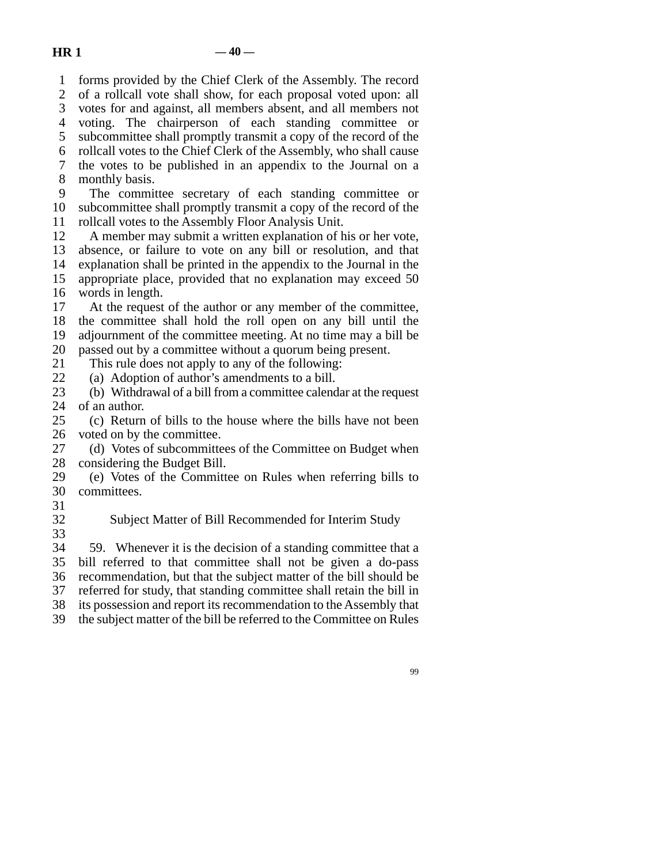1 forms provided by the Chief Clerk of the Assembly. The record 2 of a rollcall vote shall show, for each proposal voted upon: all 3 votes for and against, all members absent, and all members not line 4 voting. The chairperson of each standing committee or 5 subcommittee shall promptly transmit a copy of the record of the line 6 rollcall votes to the Chief Clerk of the Assembly, who shall cause line 7 the votes to be published in an appendix to the Journal on a 8 monthly basis. 9 The committee secretary of each standing committee or 10 subcommittee shall promptly transmit a copy of the record of the 11 rollcall votes to the Assembly Floor Analysis Unit. 12 A member may submit a written explanation of his or her vote, 13 absence, or failure to vote on any bill or resolution, and that 14 explanation shall be printed in the appendix to the Journal in the 15 appropriate place, provided that no explanation may exceed 50 16 words in length. 17 At the request of the author or any member of the committee, 18 the committee shall hold the roll open on any bill until the 19 adjournment of the committee meeting. At no time may a bill be 20 passed out by a committee without a quorum being present. 21 This rule does not apply to any of the following: 22 (a) Adoption of author's amendments to a bill.<br>23 (b) Withdrawal of a bill from a committee calend (b) Withdrawal of a bill from a committee calendar at the request 24 of an author.<br>25 (c) Return (c) Return of bills to the house where the bills have not been 26 voted on by the committee. 27 (d) Votes of subcommittees of the Committee on Budget when<br>28 considering the Budget Bill. considering the Budget Bill. 29 (e) Votes of the Committee on Rules when referring bills to 30 committees.  $31$ 32 Subject Matter of Bill Recommended for Interim Study 33 34 59. Whenever it is the decision of a standing committee that a 35 bill referred to that committee shall not be given a do-pass 36 recommendation, but that the subject matter of the bill should be 37 referred for study, that standing committee shall retain the bill in 38 its possession and report its recommendation to the Assembly that 39 the subject matter of the bill be referred to the Committee on Rules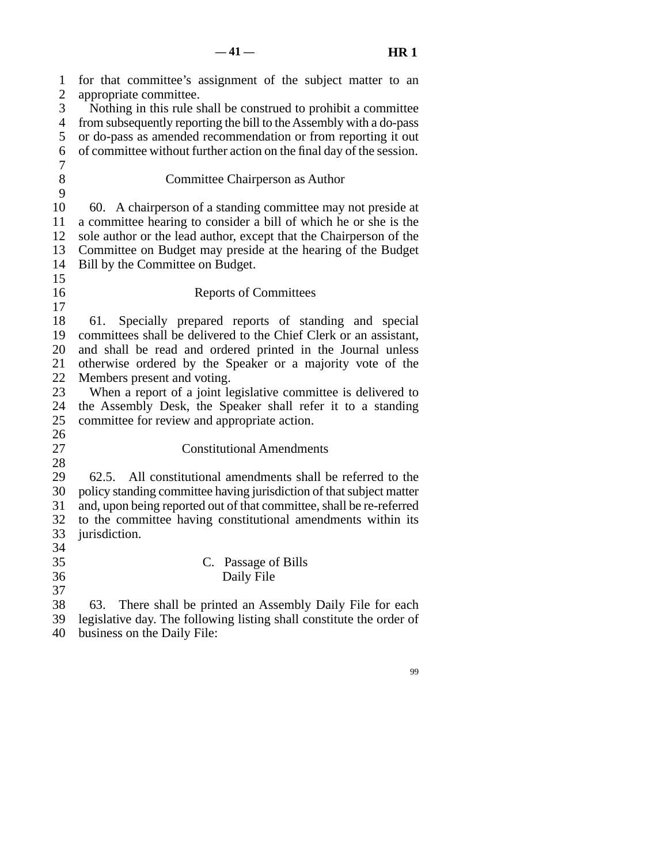1 for that committee's assignment of the subject matter to an 2 appropriate committee. 3 Nothing in this rule shall be construed to prohibit a committee 4 from subsequently reporting the bill to the Assembly with a do-pass 5 or do-pass as amended recommendation or from reporting it out 6 of committee without further action on the final day of the session.  $\overline{7}$ 8 Committee Chairperson as Author  $\overline{9}$ 10 60. A chairperson of a standing committee may not preside at 11 a committee hearing to consider a bill of which he or she is the 12 sole author or the lead author, except that the Chairperson of the 13 Committee on Budget may preside at the hearing of the Budget 14 Bill by the Committee on Budget. 15 16 Reports of Committees line 17 18 61. Specially prepared reports of standing and special 19 committees shall be delivered to the Chief Clerk or an assistant, 20 and shall be read and ordered printed in the Journal unless 21 otherwise ordered by the Speaker or a majority vote of the 22 Members present and voting.<br>23 When a report of a joint le When a report of a joint legislative committee is delivered to 24 the Assembly Desk, the Speaker shall refer it to a standing 25 committee for review and appropriate action. committee for review and appropriate action.  $\frac{26}{27}$ **Constitutional Amendments**  line 28 29 62.5. All constitutional amendments shall be referred to the 30 policy standing committee having jurisdiction of that subject matter 31 and, upon being reported out of that committee, shall be re-referred 32 to the committee having constitutional amendments within its 33 jurisdiction. line 34 line 35 C. Passage of Bills 36 Daily File  $37$ 38 63. There shall be printed an Assembly Daily File for each 39 legislative day. The following listing shall constitute the order of

40 business on the Daily File: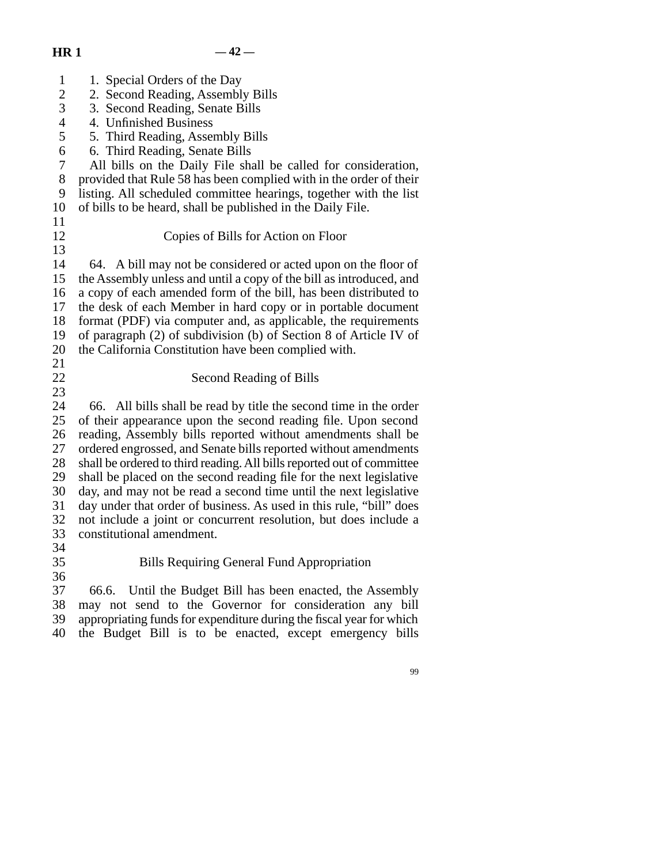| $\mathbf{1}$   | 1. Special Orders of the Day                                           |
|----------------|------------------------------------------------------------------------|
| $\overline{2}$ | 2. Second Reading, Assembly Bills                                      |
| 3              | 3. Second Reading, Senate Bills                                        |
| $\overline{4}$ | 4. Unfinished Business                                                 |
| 5              | 5. Third Reading, Assembly Bills                                       |
| 6              | 6. Third Reading, Senate Bills                                         |
| $\overline{7}$ | All bills on the Daily File shall be called for consideration,         |
| $8\,$          | provided that Rule 58 has been complied with in the order of their     |
| 9              | listing. All scheduled committee hearings, together with the list      |
| 10             | of bills to be heard, shall be published in the Daily File.            |
| 11             |                                                                        |
| 12             | Copies of Bills for Action on Floor                                    |
| 13             |                                                                        |
| 14             | 64. A bill may not be considered or acted upon on the floor of         |
| 15             | the Assembly unless and until a copy of the bill as introduced, and    |
| 16             | a copy of each amended form of the bill, has been distributed to       |
| 17             | the desk of each Member in hard copy or in portable document           |
| 18             | format (PDF) via computer and, as applicable, the requirements         |
| 19             | of paragraph (2) of subdivision (b) of Section 8 of Article IV of      |
| 20             | the California Constitution have been complied with.                   |
| 21             |                                                                        |
| 22             | Second Reading of Bills                                                |
| 23             |                                                                        |
| 24             | 66. All bills shall be read by title the second time in the order      |
| 25             | of their appearance upon the second reading file. Upon second          |
| 26             | reading, Assembly bills reported without amendments shall be           |
| 27             | ordered engrossed, and Senate bills reported without amendments        |
| 28             | shall be ordered to third reading. All bills reported out of committee |
| 29             | shall be placed on the second reading file for the next legislative    |
| 30             | day, and may not be read a second time until the next legislative      |
| 31             | day under that order of business. As used in this rule, "bill" does    |
| 32             | not include a joint or concurrent resolution, but does include a       |
| 33             | constitutional amendment.                                              |
| 34             |                                                                        |
| 35             | <b>Bills Requiring General Fund Appropriation</b>                      |
| 36             |                                                                        |
| 37             | 66.6. Until the Budget Bill has been enacted, the Assembly             |
| 38             | may not send to the Governor for consideration any bill                |
| 39             | appropriating funds for expenditure during the fiscal year for which   |
| 40             | the Budget Bill is to be enacted, except emergency bills               |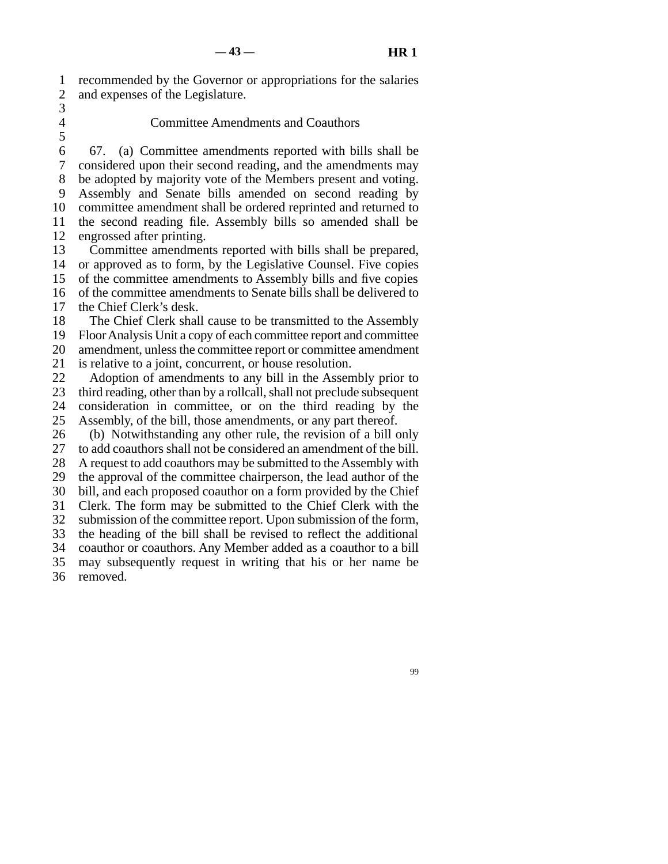line 1 recommended by the Governor or appropriations for the salaries 2 and expenses of the Legislature.

 $\mathfrak{Z}$  $5\overline{)}$ 

### 4 Committee Amendments and Coauthors

6 67. (a) Committee amendments reported with bills shall be line 7 considered upon their second reading, and the amendments may 8 be adopted by majority vote of the Members present and voting. 9 Assembly and Senate bills amended on second reading by 10 committee amendment shall be ordered reprinted and returned to 11 the second reading file. Assembly bills so amended shall be 12 engrossed after printing.

13 Committee amendments reported with bills shall be prepared, 14 or approved as to form, by the Legislative Counsel. Five copies 15 of the committee amendments to Assembly bills and five copies 16 of the committee amendments to Senate bills shall be delivered to 17 the Chief Clerk's desk.

18 The Chief Clerk shall cause to be transmitted to the Assembly 19 Floor Analysis Unit a copy of each committee report and committee 20 amendment, unless the committee report or committee amendment 21 is relative to a joint, concurrent, or house resolution.

22 Adoption of amendments to any bill in the Assembly prior to<br>23 third reading, other than by a rollcall, shall not preclude subsequent third reading, other than by a rollcall, shall not preclude subsequent 24 consideration in committee, or on the third reading by the 25 Assembly, of the bill, those amendments, or any part thereof. Assembly, of the bill, those amendments, or any part thereof.

26 (b) Notwithstanding any other rule, the revision of a bill only 27 to add coauthors shall not be considered an amendment of the bill. to add coauthors shall not be considered an amendment of the bill. 28 A request to add coauthors may be submitted to the Assembly with 29 the approval of the committee chairperson, the lead author of the 30 bill, and each proposed coauthor on a form provided by the Chief 31 Clerk. The form may be submitted to the Chief Clerk with the 32 submission of the committee report. Upon submission of the form, 33 the heading of the bill shall be revised to reflect the additional 34 coauthor or coauthors. Any Member added as a coauthor to a bill

35 may subsequently request in writing that his or her name be

36 removed.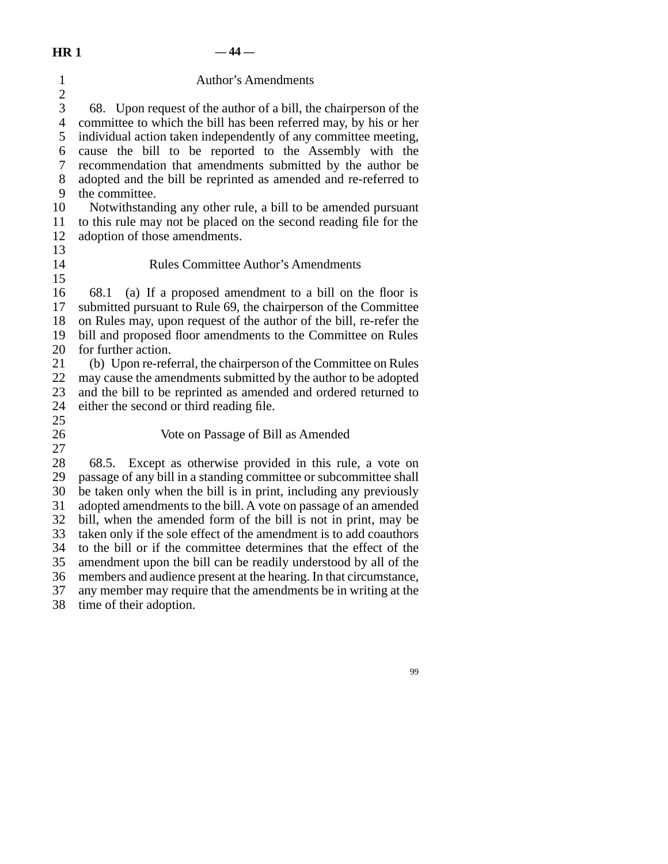# line 1 Author's Amendments  $\frac{2}{3}$ 68. Upon request of the author of a bill, the chairperson of the 4 committee to which the bill has been referred may, by his or her 5 individual action taken independently of any committee meeting, 6 cause the bill to be reported to the Assembly with the line 7 recommendation that amendments submitted by the author be 8 adopted and the bill be reprinted as amended and re-referred to 9 the committee. 10 Notwithstanding any other rule, a bill to be amended pursuant 11 to this rule may not be placed on the second reading file for the 12 adoption of those amendments.  $\frac{13}{14}$ Rules Committee Author's Amendments line 15 16 68.1 (a) If a proposed amendment to a bill on the floor is 17 submitted pursuant to Rule 69, the chairperson of the Committee 18 on Rules may, upon request of the author of the bill, re-refer the 19 bill and proposed floor amendments to the Committee on Rules **HR** 1 **— 44** —

20 for further action.

21 (b) Upon re-referral, the chairperson of the Committee on Rules 22 may cause the amendments submitted by the author to be adopted 23 and the bill to be reprinted as amended and ordered returned to 24 either the second or third reading file.

25

# 26 Vote on Passage of Bill as Amended

 $\frac{27}{28}$ 68.5. Except as otherwise provided in this rule, a vote on 29 passage of any bill in a standing committee or subcommittee shall 30 be taken only when the bill is in print, including any previously 31 adopted amendments to the bill. A vote on passage of an amended 32 bill, when the amended form of the bill is not in print, may be 33 taken only if the sole effect of the amendment is to add coauthors 34 to the bill or if the committee determines that the effect of the 35 amendment upon the bill can be readily understood by all of the 36 members and audience present at the hearing. In that circumstance, line 37 any member may require that the amendments be in writing at the 38 time of their adoption.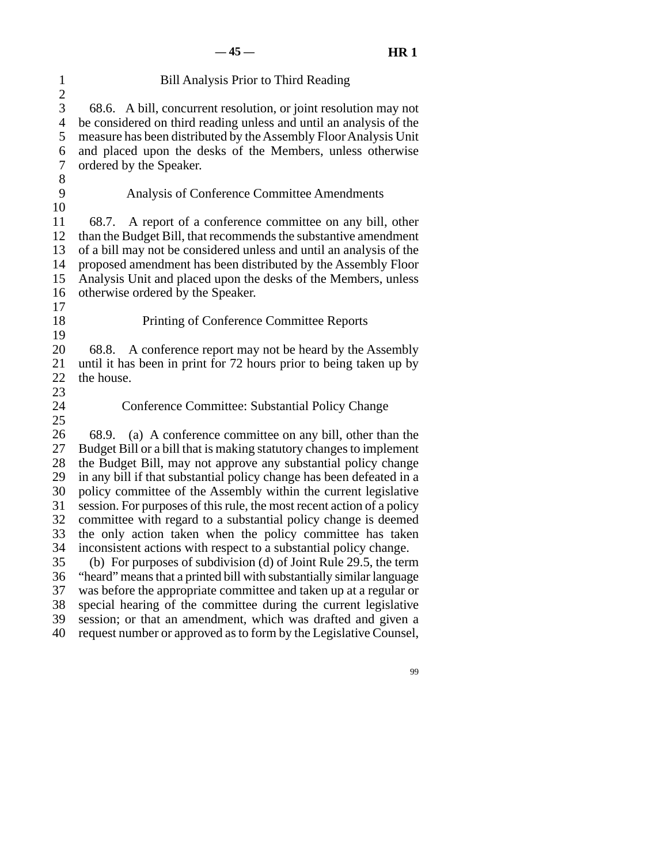| $\mathbf{1}$     | <b>Bill Analysis Prior to Third Reading</b>                                                                                            |
|------------------|----------------------------------------------------------------------------------------------------------------------------------------|
| $\overline{c}$   |                                                                                                                                        |
| 3                | 68.6. A bill, concurrent resolution, or joint resolution may not                                                                       |
| $\overline{4}$   | be considered on third reading unless and until an analysis of the                                                                     |
| 5                | measure has been distributed by the Assembly Floor Analysis Unit                                                                       |
| 6                | and placed upon the desks of the Members, unless otherwise                                                                             |
| $\boldsymbol{7}$ | ordered by the Speaker.                                                                                                                |
| 8                |                                                                                                                                        |
| 9                | Analysis of Conference Committee Amendments                                                                                            |
| 10               |                                                                                                                                        |
| 11               | A report of a conference committee on any bill, other<br>68.7.                                                                         |
| 12               | than the Budget Bill, that recommends the substantive amendment                                                                        |
| 13               | of a bill may not be considered unless and until an analysis of the                                                                    |
| 14               | proposed amendment has been distributed by the Assembly Floor                                                                          |
| 15               | Analysis Unit and placed upon the desks of the Members, unless                                                                         |
| 16               | otherwise ordered by the Speaker.                                                                                                      |
| 17               |                                                                                                                                        |
| 18               | Printing of Conference Committee Reports                                                                                               |
| 19               |                                                                                                                                        |
| 20               | A conference report may not be heard by the Assembly<br>68.8.                                                                          |
| 21               | until it has been in print for 72 hours prior to being taken up by                                                                     |
| 22               | the house.                                                                                                                             |
| 23               |                                                                                                                                        |
| 24               | Conference Committee: Substantial Policy Change                                                                                        |
| 25<br>26         |                                                                                                                                        |
| 27               | (a) A conference committee on any bill, other than the<br>68.9.<br>Budget Bill or a bill that is making statutory changes to implement |
| 28               | the Budget Bill, may not approve any substantial policy change                                                                         |
| 29               | in any bill if that substantial policy change has been defeated in a                                                                   |
| 30               | policy committee of the Assembly within the current legislative                                                                        |
| 31               | session. For purposes of this rule, the most recent action of a policy                                                                 |
| 32               | committee with regard to a substantial policy change is deemed                                                                         |
| 33               | the only action taken when the policy committee has taken                                                                              |
| 34               | inconsistent actions with respect to a substantial policy change.                                                                      |
| 35               | (b) For purposes of subdivision (d) of Joint Rule 29.5, the term                                                                       |
| 36               | "heard" means that a printed bill with substantially similar language                                                                  |
| 37               | was before the appropriate committee and taken up at a regular or                                                                      |
| 38               | special hearing of the committee during the current legislative                                                                        |
| 39               | session; or that an amendment, which was drafted and given a                                                                           |
| 40               | request number or approved as to form by the Legislative Counsel,                                                                      |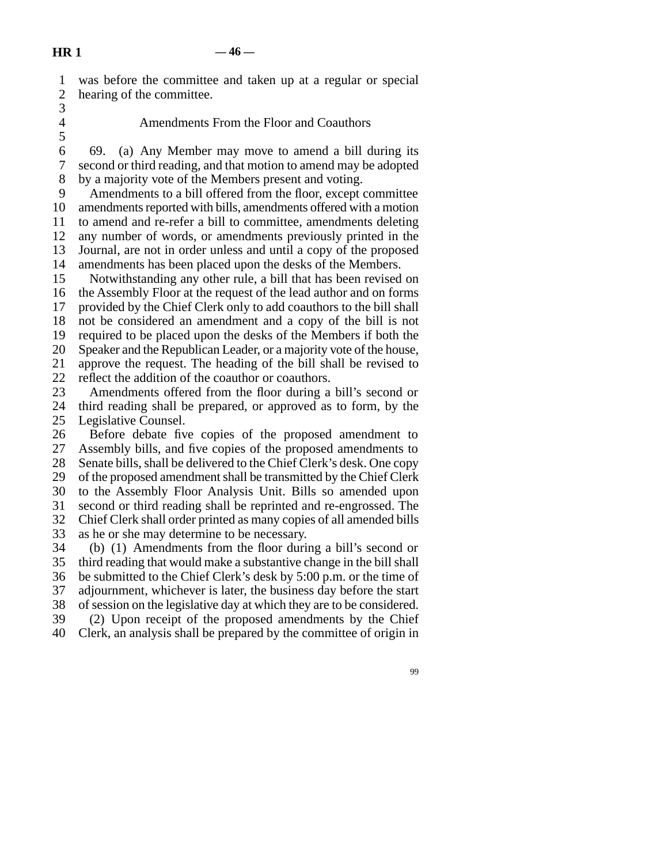line 1 was before the committee and taken up at a regular or special 2 hearing of the committee.

 $\mathfrak{Z}$ 

# $5\overline{)}$

# 4 Amendments From the Floor and Coauthors

6 69. (a) Any Member may move to amend a bill during its line 7 second or third reading, and that motion to amend may be adopted 8 by a majority vote of the Members present and voting.

9 Amendments to a bill offered from the floor, except committee 10 amendments reported with bills, amendments offered with a motion

11 to amend and re-refer a bill to committee, amendments deleting

12 any number of words, or amendments previously printed in the

13 Journal, are not in order unless and until a copy of the proposed

14 amendments has been placed upon the desks of the Members.

15 Notwithstanding any other rule, a bill that has been revised on 16 the Assembly Floor at the request of the lead author and on forms

17 provided by the Chief Clerk only to add coauthors to the bill shall

18 not be considered an amendment and a copy of the bill is not

19 required to be placed upon the desks of the Members if both the

20 Speaker and the Republican Leader, or a majority vote of the house,

21 approve the request. The heading of the bill shall be revised to 22 reflect the addition of the coauthor or coauthors.

23 Amendments offered from the floor during a bill's second or

24 third reading shall be prepared, or approved as to form, by the 25 Legislative Counsel.

Legislative Counsel.

26 Before debate five copies of the proposed amendment to 27 Assembly bills, and five copies of the proposed amendments to 28 Senate bills, shall be delivered to the Chief Clerk's desk. One copy 29 of the proposed amendment shall be transmitted by the Chief Clerk 30 to the Assembly Floor Analysis Unit. Bills so amended upon 31 second or third reading shall be reprinted and re-engrossed. The 32 Chief Clerk shall order printed as many copies of all amended bills 33 as he or she may determine to be necessary.

34 (b) (1) Amendments from the floor during a bill's second or 35 third reading that would make a substantive change in the bill shall 36 be submitted to the Chief Clerk's desk by 5:00 p.m. or the time of 37 adjournment, whichever is later, the business day before the start 38 of session on the legislative day at which they are to be considered. 39 (2) Upon receipt of the proposed amendments by the Chief 40 Clerk, an analysis shall be prepared by the committee of origin in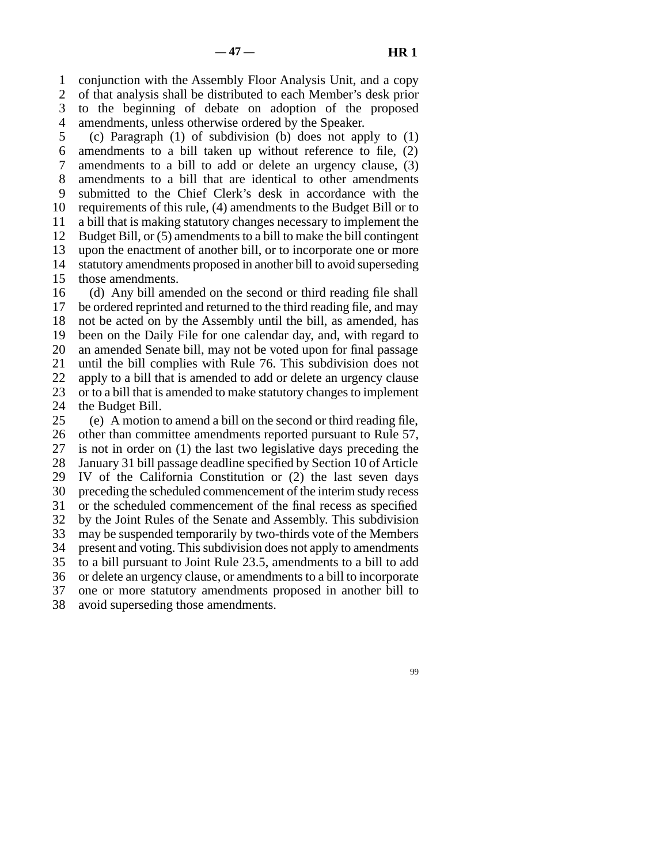1 conjunction with the Assembly Floor Analysis Unit, and a copy 2 of that analysis shall be distributed to each Member's desk prior 3 to the beginning of debate on adoption of the proposed 4 amendments, unless otherwise ordered by the Speaker.

5 (c) Paragraph (1) of subdivision (b) does not apply to  $(1)$ 6 amendments to a bill taken up without reference to file,  $(2)$ 7 amendments to a bill to add or delete an urgency clause, (3) 8 amendments to a bill that are identical to other amendments line 9 submitted to the Chief Clerk's desk in accordance with the 10 requirements of this rule, (4) amendments to the Budget Bill or to 11 a bill that is making statutory changes necessary to implement the 12 Budget Bill, or (5) amendments to a bill to make the bill contingent 13 upon the enactment of another bill, or to incorporate one or more 14 statutory amendments proposed in another bill to avoid superseding 15 those amendments.

16 (d) Any bill amended on the second or third reading file shall 17 be ordered reprinted and returned to the third reading file, and may 18 not be acted on by the Assembly until the bill, as amended, has 19 been on the Daily File for one calendar day, and, with regard to 20 an amended Senate bill, may not be voted upon for final passage 21 until the bill complies with Rule 76. This subdivision does not 22 apply to a bill that is amended to add or delete an urgency clause 23 or to a bill that is amended to make statutory changes to implement 24 the Budget Bill.<br>25 (e) A motion

 $\ell$ ) A motion to amend a bill on the second or third reading file, 26 other than committee amendments reported pursuant to Rule 57, 27 is not in order on  $(1)$  the last two legislative days preceding the 28 January 31 bill passage deadline specified by Section 10 of Article 29 IV of the California Constitution or (2) the last seven days 30 preceding the scheduled commencement of the interim study recess 31 or the scheduled commencement of the final recess as specified 32 by the Joint Rules of the Senate and Assembly. This subdivision 33 may be suspended temporarily by two-thirds vote of the Members 34 present and voting. This subdivision does not apply to amendments 35 to a bill pursuant to Joint Rule 23.5, amendments to a bill to add 36 or delete an urgency clause, or amendments to a bill to incorporate 37 one or more statutory amendments proposed in another bill to 38 avoid superseding those amendments.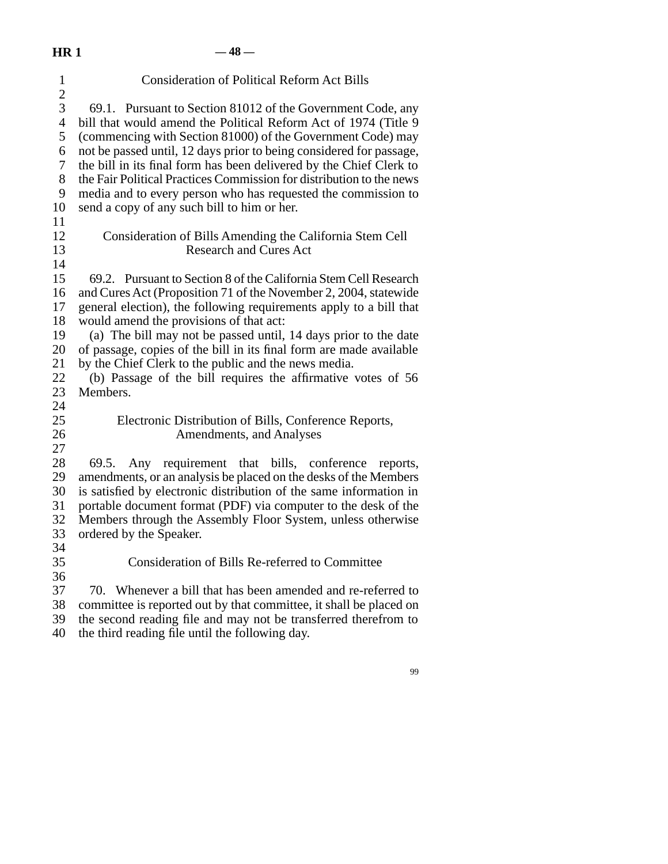# **HR** 1 **—48** —

| $\mathbf{1}$   | <b>Consideration of Political Reform Act Bills</b>                   |
|----------------|----------------------------------------------------------------------|
| $\overline{2}$ |                                                                      |
| 3              | 69.1. Pursuant to Section 81012 of the Government Code, any          |
| $\overline{4}$ | bill that would amend the Political Reform Act of 1974 (Title 9)     |
| 5              | (commencing with Section 81000) of the Government Code) may          |
| 6              | not be passed until, 12 days prior to being considered for passage,  |
| $\tau$         | the bill in its final form has been delivered by the Chief Clerk to  |
| 8              | the Fair Political Practices Commission for distribution to the news |
| 9              | media and to every person who has requested the commission to        |
| 10             | send a copy of any such bill to him or her.                          |
| 11             |                                                                      |
| 12             | Consideration of Bills Amending the California Stem Cell             |
| 13             | <b>Research and Cures Act</b>                                        |
| 14             |                                                                      |
| 15             | 69.2. Pursuant to Section 8 of the California Stem Cell Research     |
| 16             | and Cures Act (Proposition 71 of the November 2, 2004, statewide     |
| 17             | general election), the following requirements apply to a bill that   |
| 18             | would amend the provisions of that act:                              |
| 19             | (a) The bill may not be passed until, 14 days prior to the date      |
| 20             | of passage, copies of the bill in its final form are made available  |
| 21             | by the Chief Clerk to the public and the news media.                 |
| 22             | (b) Passage of the bill requires the affirmative votes of 56         |
| 23             | Members.                                                             |
| 24             |                                                                      |
| 25             | Electronic Distribution of Bills, Conference Reports,                |
| 26             | Amendments, and Analyses                                             |
| 27             |                                                                      |
| 28             | 69.5. Any requirement that bills, conference<br>reports,             |
| 29             | amendments, or an analysis be placed on the desks of the Members     |
| 30             | is satisfied by electronic distribution of the same information in   |
| 31             | portable document format (PDF) via computer to the desk of the       |
| 32             | Members through the Assembly Floor System, unless otherwise          |
| 33             | ordered by the Speaker.                                              |
| 34             |                                                                      |
| 35             | Consideration of Bills Re-referred to Committee                      |
| 36             |                                                                      |
| 37             | 70. Whenever a bill that has been amended and re-referred to         |
| 38             | committee is reported out by that committee, it shall be placed on   |
| 39             | the second reading file and may not be transferred therefrom to      |
| 40             | the third reading file until the following day.                      |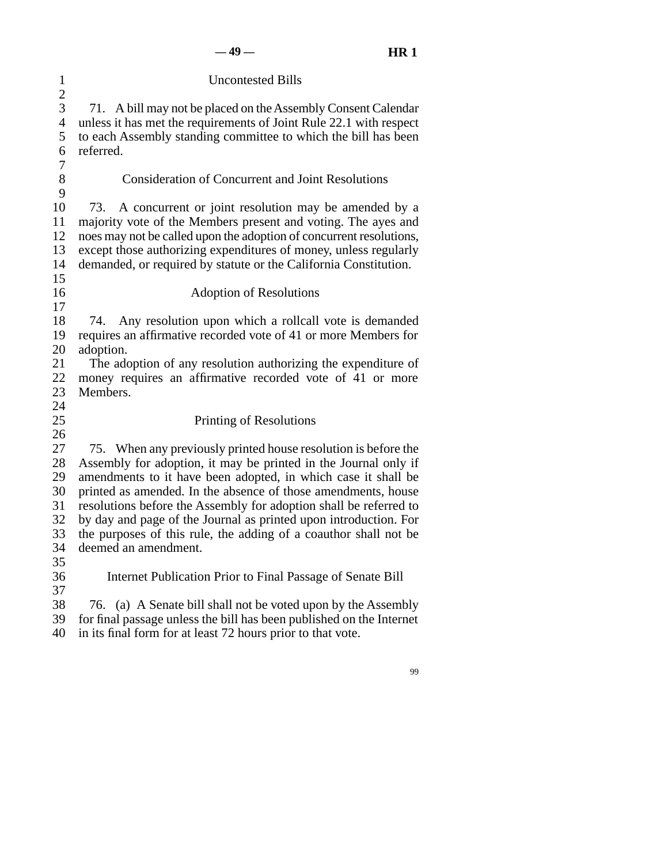| $\mathbf{1}$   | <b>Uncontested Bills</b>                                                    |
|----------------|-----------------------------------------------------------------------------|
| $\overline{2}$ |                                                                             |
| $\overline{3}$ | 71. A bill may not be placed on the Assembly Consent Calendar               |
| $\overline{4}$ | unless it has met the requirements of Joint Rule 22.1 with respect          |
| 5              | to each Assembly standing committee to which the bill has been<br>referred. |
| 6<br>7         |                                                                             |
| 8              | <b>Consideration of Concurrent and Joint Resolutions</b>                    |
| 9              |                                                                             |
| 10             | A concurrent or joint resolution may be amended by a<br>73.                 |
| 11             | majority vote of the Members present and voting. The ayes and               |
| 12             | noes may not be called upon the adoption of concurrent resolutions,         |
| 13             | except those authorizing expenditures of money, unless regularly            |
| 14             | demanded, or required by statute or the California Constitution.            |
| 15             |                                                                             |
| 16             | <b>Adoption of Resolutions</b>                                              |
| 17             |                                                                             |
| 18             | Any resolution upon which a rollcall vote is demanded<br>74.                |
| 19             | requires an affirmative recorded vote of 41 or more Members for             |
| 20             | adoption.                                                                   |
| 21             | The adoption of any resolution authorizing the expenditure of               |
| 22             | money requires an affirmative recorded vote of 41 or more                   |
| 23             | Members.                                                                    |
| 24             |                                                                             |
| 25<br>26       | Printing of Resolutions                                                     |
| 27             | 75. When any previously printed house resolution is before the              |
| 28             | Assembly for adoption, it may be printed in the Journal only if             |
| 29             | amendments to it have been adopted, in which case it shall be               |
| 30             | printed as amended. In the absence of those amendments, house               |
| 31             | resolutions before the Assembly for adoption shall be referred to           |
| 32             | by day and page of the Journal as printed upon introduction. For            |
| 33             | the purposes of this rule, the adding of a coauthor shall not be            |
| 34             | deemed an amendment.                                                        |
| 35             |                                                                             |
| 36             | Internet Publication Prior to Final Passage of Senate Bill                  |
| 37             |                                                                             |
| 38             | (a) A Senate bill shall not be voted upon by the Assembly<br>76.            |
| 39             | for final passage unless the bill has been published on the Internet        |
| 40             | in its final form for at least 72 hours prior to that vote.                 |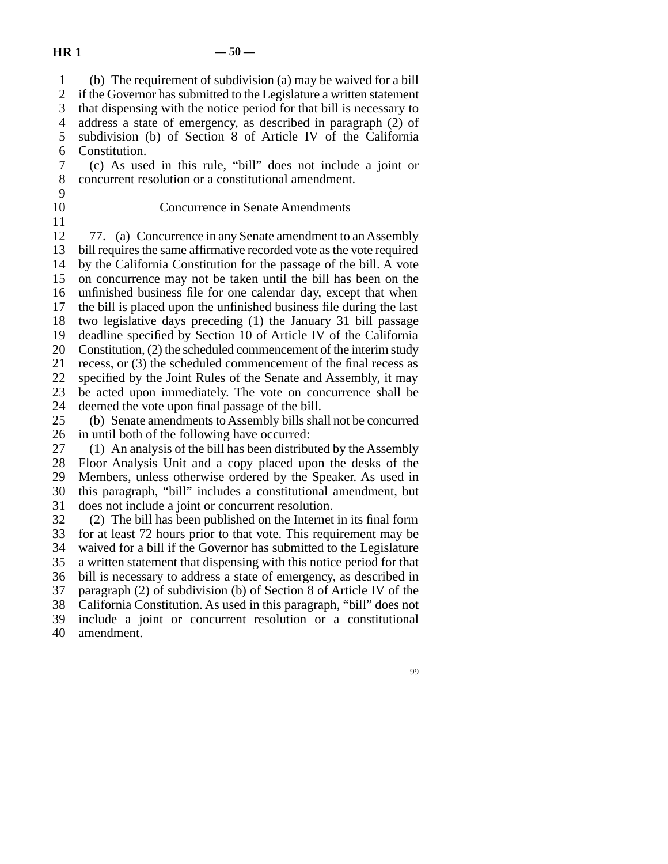line 1 (b) The requirement of subdivision (a) may be waived for a bill 2 if the Governor has submitted to the Legislature a written statement<br>3 that dispensing with the notice period for that bill is necessary to that dispensing with the notice period for that bill is necessary to 4 address a state of emergency, as described in paragraph (2) of 5 subdivision (b) of Section 8 of Article IV of the California 6 Constitution. 7 (c) As used in this rule, "bill" does not include a joint or 8 concurrent resolution or a constitutional amendment.  $\overline{9}$ 10 Concurrence in Senate Amendments  $11$ 12 77. (a) Concurrence in any Senate amendment to an Assembly 13 bill requires the same affirmative recorded vote as the vote required 14 by the California Constitution for the passage of the bill. A vote 15 on concurrence may not be taken until the bill has been on the 16 unfinished business file for one calendar day, except that when 17 the bill is placed upon the unfinished business file during the last 18 two legislative days preceding (1) the January 31 bill passage 19 deadline specified by Section 10 of Article IV of the California 20 Constitution,  $(2)$  the scheduled commencement of the interim study 21 recess, or  $(3)$  the scheduled commencement of the final recess as 22 specified by the Joint Rules of the Senate and Assembly, it may 23 be acted upon immediately. The vote on concurrence shall be 24 deemed the vote upon final passage of the bill.<br>25 (b) Senate amendments to Assembly bills sha (b) Senate amendments to Assembly bills shall not be concurred 26 in until both of the following have occurred: 27  $\hspace{0.1cm}$  (1) An analysis of the bill has been distributed by the Assembly 28 Floor Analysis Unit and a copy placed upon the desks of the 29 Members, unless otherwise ordered by the Speaker. As used in 30 this paragraph, "bill" includes a constitutional amendment, but 31 does not include a joint or concurrent resolution. 32 (2) The bill has been published on the Internet in its final form 33 for at least 72 hours prior to that vote. This requirement may be 34 waived for a bill if the Governor has submitted to the Legislature 35 a written statement that dispensing with this notice period for that 36 bill is necessary to address a state of emergency, as described in 37 paragraph (2) of subdivision (b) of Section 8 of Article IV of the 38 California Constitution. As used in this paragraph, "bill" does not line 39 include a joint or concurrent resolution or a constitutional 40 amendment.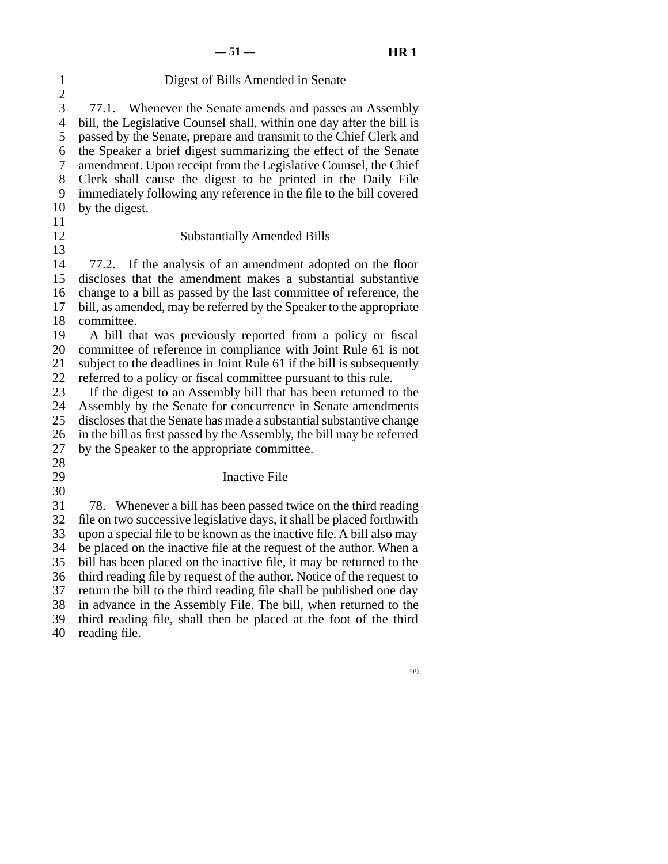line 1 Digest of Bills Amended in Senate  $\frac{2}{3}$ 77.1. Whenever the Senate amends and passes an Assembly 4 bill, the Legislative Counsel shall, within one day after the bill is 5 passed by the Senate, prepare and transmit to the Chief Clerk and line 6 the Speaker a brief digest summarizing the effect of the Senate 7 amendment. Upon receipt from the Legislative Counsel, the Chief 8 Clerk shall cause the digest to be printed in the Daily File line 9 immediately following any reference in the file to the bill covered  $10$  by the digest.  $\frac{11}{12}$ Substantially Amended Bills  $\frac{13}{14}$ 77.2. If the analysis of an amendment adopted on the floor 15 discloses that the amendment makes a substantial substantive 16 change to a bill as passed by the last committee of reference, the 17 bill, as amended, may be referred by the Speaker to the appropriate 18 committee. 19 A bill that was previously reported from a policy or fiscal 20 committee of reference in compliance with Joint Rule 61 is not 21 subject to the deadlines in Joint Rule 61 if the bill is subsequently 22 referred to a policy or fiscal committee pursuant to this rule.<br>23 If the digest to an Assembly bill that has been returned to If the digest to an Assembly bill that has been returned to the 24 Assembly by the Senate for concurrence in Senate amendments<br>25 discloses that the Senate has made a substantial substantive change discloses that the Senate has made a substantial substantive change 26 in the bill as first passed by the Assembly, the bill may be referred 27 by the Speaker to the appropriate committee. 28<br>29 **Inactive File**  line 30 31 78. Whenever a bill has been passed twice on the third reading 32 file on two successive legislative days, it shall be placed forthwith 33 upon a special file to be known as the inactive file. A bill also may 34 be placed on the inactive file at the request of the author. When a 35 bill has been placed on the inactive file, it may be returned to the 36 third reading file by request of the author. Notice of the request to 37 return the bill to the third reading file shall be published one day 38 in advance in the Assembly File. The bill, when returned to the 39 third reading file, shall then be placed at the foot of the third

40 reading file.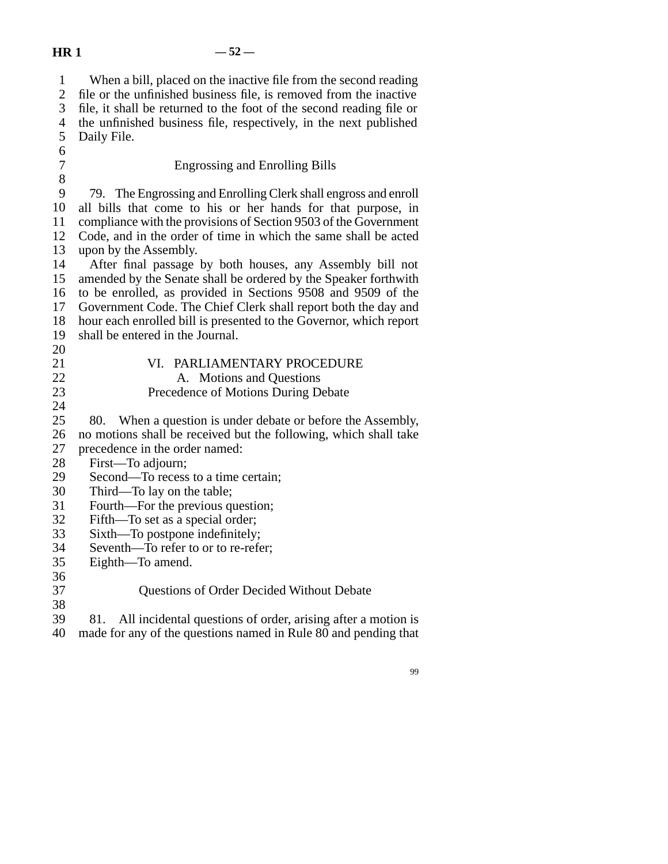line 1 When a bill, placed on the inactive file from the second reading 2 file or the unfinished business file, is removed from the inactive 3 file, it shall be returned to the foot of the second reading file or file, it shall be returned to the foot of the second reading file or 4 the unfinished business file, respectively, in the next published 5 Daily File. 6 line 7 Engrossing and Enrolling Bills  $\begin{array}{c} 8 \\ 9 \end{array}$ 79. The Engrossing and Enrolling Clerk shall engross and enroll 10 all bills that come to his or her hands for that purpose, in 11 compliance with the provisions of Section 9503 of the Government 12 Code, and in the order of time in which the same shall be acted 13 upon by the Assembly. 14 After final passage by both houses, any Assembly bill not 15 amended by the Senate shall be ordered by the Speaker forthwith 16 to be enrolled, as provided in Sections 9508 and 9509 of the 17 Government Code. The Chief Clerk shall report both the day and 18 hour each enrolled bill is presented to the Governor, which report 19 shall be entered in the Journal. line 20 21 VI. PARLIAMENTARY PROCEDURE<br>22 A. Motions and Ouestions 22 A. Motions and Questions<br>23 Precedence of Motions During De Precedence of Motions During Debate  $\frac{24}{25}$ 80. When a question is under debate or before the Assembly, 26 no motions shall be received but the following, which shall take 27 precedence in the order named:<br>28 First—To adjourn; 28 First—To adjourn;<br>29 Second—To recess Second—To recess to a time certain; 30 Third—To lay on the table; 31 Fourth—For the previous question; 32 Fifth—To set as a special order;<br>33 Sixth—To postpone indefinitely: Sixth—To postpone indefinitely; 34 Seventh—To refer to or to re-refer: 35 Eighth—To amend. line 36 37 Questions of Order Decided Without Debate 38<br>39 81. All incidental questions of order, arising after a motion is 40 made for any of the questions named in Rule 80 and pending that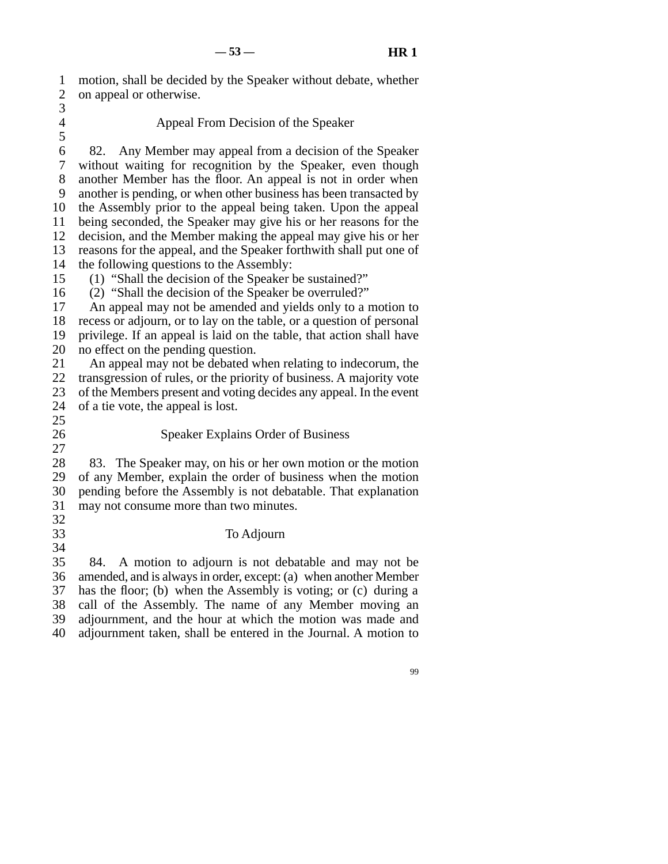line 1 motion, shall be decided by the Speaker without debate, whether 2 on appeal or otherwise.

 $\mathfrak{Z}$ 

# 4 Appeal From Decision of the Speaker

 $\mathfrak{S}$ 6 82. Any Member may appeal from a decision of the Speaker 7 without waiting for recognition by the Speaker, even though 8 another Member has the floor. An appeal is not in order when 9 another is pending, or when other business has been transacted by 10 the Assembly prior to the appeal being taken. Upon the appeal 11 being seconded, the Speaker may give his or her reasons for the 12 decision, and the Member making the appeal may give his or her 13 reasons for the appeal, and the Speaker forthwith shall put one of 14 the following questions to the Assembly:

15 (1) "Shall the decision of the Speaker be sustained?"

16 (2) "Shall the decision of the Speaker be overruled?"

17 An appeal may not be amended and yields only to a motion to 18 recess or adjourn, or to lay on the table, or a question of personal 19 privilege. If an appeal is laid on the table, that action shall have 20 no effect on the pending question.

21 An appeal may not be debated when relating to indecorum, the 22 transgression of rules, or the priority of business. A majority vote 23 of the Members present and voting decides any appeal. In the event 24 of a tie vote, the appeal is lost.

25

line 34

# 26 Speaker Explains Order of Business

 $\frac{27}{28}$ 83. The Speaker may, on his or her own motion or the motion 29 of any Member, explain the order of business when the motion 30 pending before the Assembly is not debatable. That explanation 31 may not consume more than two minutes.  $\frac{32}{33}$ 

# To Adjourn

35 84. A motion to adjourn is not debatable and may not be 36 amended, and is always in order, except: (a) when another Member 37 has the floor; (b) when the Assembly is voting; or (c) during a 38 call of the Assembly. The name of any Member moving an 39 adjournment, and the hour at which the motion was made and 40 adjournment taken, shall be entered in the Journal. A motion to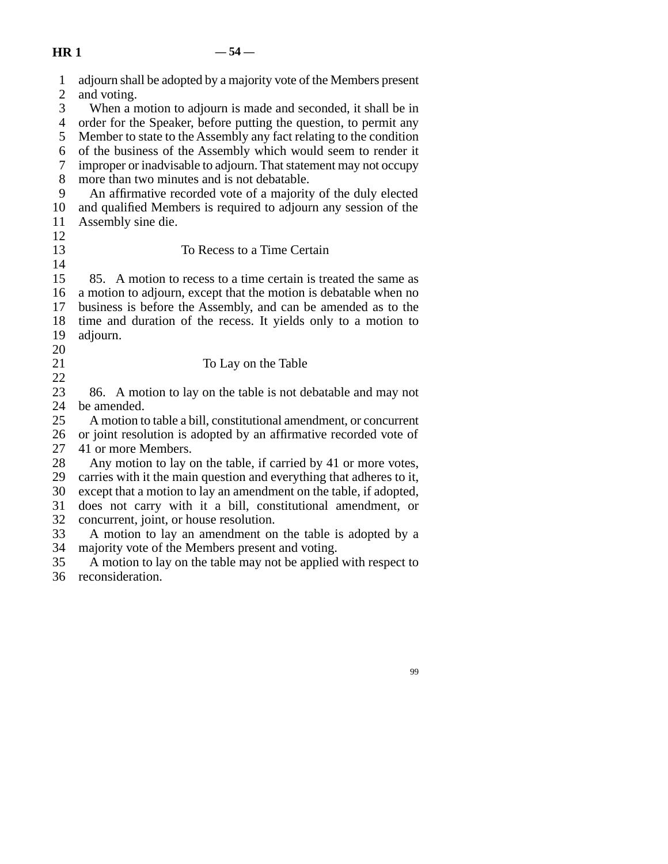| 1              | adjourn shall be adopted by a majority vote of the Members present   |
|----------------|----------------------------------------------------------------------|
| $\mathbf{2}$   | and voting.                                                          |
| 3              | When a motion to adjourn is made and seconded, it shall be in        |
| $\overline{4}$ | order for the Speaker, before putting the question, to permit any    |
| 5              | Member to state to the Assembly any fact relating to the condition   |
| 6              | of the business of the Assembly which would seem to render it        |
| 7              | improper or inadvisable to adjourn. That statement may not occupy    |
| 8              | more than two minutes and is not debatable.                          |
| 9              | An affirmative recorded vote of a majority of the duly elected       |
| 10             | and qualified Members is required to adjourn any session of the      |
| 11             | Assembly sine die.                                                   |
| 12             |                                                                      |
| 13             | To Recess to a Time Certain                                          |
| 14             |                                                                      |
| 15             | 85. A motion to recess to a time certain is treated the same as      |
| 16             | a motion to adjourn, except that the motion is debatable when no     |
| 17             | business is before the Assembly, and can be amended as to the        |
| 18             | time and duration of the recess. It yields only to a motion to       |
| 19             | adjourn.                                                             |
| 20             |                                                                      |
| 21             | To Lay on the Table                                                  |
| 22             |                                                                      |
| 23             | 86. A motion to lay on the table is not debatable and may not        |
| 24             | be amended.                                                          |
| 25             | A motion to table a bill, constitutional amendment, or concurrent    |
| 26             | or joint resolution is adopted by an affirmative recorded vote of    |
| 27             | 41 or more Members.                                                  |
| 28             | Any motion to lay on the table, if carried by 41 or more votes,      |
| 29             | carries with it the main question and everything that adheres to it, |
| 30             | except that a motion to lay an amendment on the table, if adopted,   |
| 31             | does not carry with it a bill, constitutional amendment, or          |
| 32             | concurrent, joint, or house resolution.                              |
| 33             | A motion to lay an amendment on the table is adopted by a            |
| 34             | majority vote of the Members present and voting.                     |
| 35             | A motion to lay on the table may not be applied with respect to      |

36 reconsideration.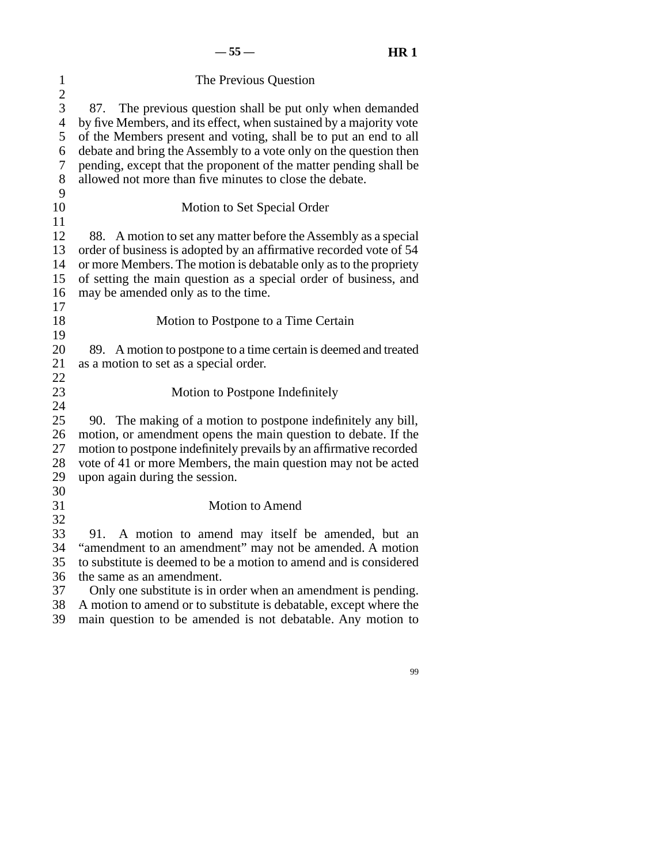$-55 -$  **HR** 1

| $\mathbf 1$    | The Previous Question                                               |
|----------------|---------------------------------------------------------------------|
| $\overline{c}$ |                                                                     |
| 3              | The previous question shall be put only when demanded<br>87.        |
| $\overline{4}$ | by five Members, and its effect, when sustained by a majority vote  |
| 5              | of the Members present and voting, shall be to put an end to all    |
| 6              | debate and bring the Assembly to a vote only on the question then   |
| 7              | pending, except that the proponent of the matter pending shall be   |
| 8              | allowed not more than five minutes to close the debate.             |
| 9              |                                                                     |
| 10             | Motion to Set Special Order                                         |
| 11             |                                                                     |
| 12             | 88. A motion to set any matter before the Assembly as a special     |
| 13             | order of business is adopted by an affirmative recorded vote of 54  |
| 14             | or more Members. The motion is debatable only as to the propriety   |
| 15             | of setting the main question as a special order of business, and    |
| 16             | may be amended only as to the time.                                 |
| 17             |                                                                     |
| 18             | Motion to Postpone to a Time Certain                                |
| 19             |                                                                     |
| 20             | A motion to postpone to a time certain is deemed and treated<br>89. |
| 21             | as a motion to set as a special order.                              |
| 22             |                                                                     |
| 23             | Motion to Postpone Indefinitely                                     |
| 24             |                                                                     |
| 25             | 90. The making of a motion to postpone indefinitely any bill,       |
| 26             | motion, or amendment opens the main question to debate. If the      |
| 27             | motion to postpone indefinitely prevails by an affirmative recorded |
| 28             | vote of 41 or more Members, the main question may not be acted      |
| 29             | upon again during the session.                                      |
| 30             |                                                                     |
| 31             | Motion to Amend                                                     |
| 32             |                                                                     |
| 33             | A motion to amend may itself be amended, but an<br>91.              |
| 34             | "amendment to an amendment" may not be amended. A motion            |
| 35             | to substitute is deemed to be a motion to amend and is considered   |
| 36             | the same as an amendment.                                           |
| 37             | Only one substitute is in order when an amendment is pending.       |
| 38             | A motion to amend or to substitute is debatable, except where the   |

39 main question to be amended is not debatable. Any motion to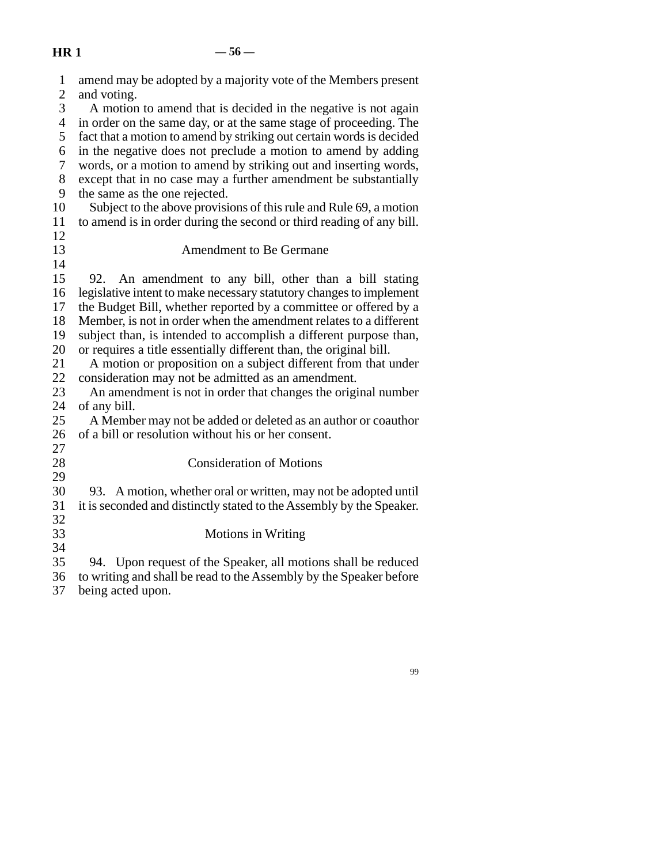| $\mathbf{2}$<br>and voting.<br>3<br>A motion to amend that is decided in the negative is not again<br>$\overline{4}$<br>in order on the same day, or at the same stage of proceeding. The<br>5<br>fact that a motion to amend by striking out certain words is decided<br>6<br>in the negative does not preclude a motion to amend by adding<br>words, or a motion to amend by striking out and inserting words,<br>$\tau$<br>8<br>except that in no case may a further amendment be substantially<br>9<br>the same as the one rejected.<br>10<br>Subject to the above provisions of this rule and Rule 69, a motion<br>to amend is in order during the second or third reading of any bill.<br>11<br>12<br>13<br><b>Amendment to Be Germane</b><br>14<br>15<br>An amendment to any bill, other than a bill stating<br>92.<br>legislative intent to make necessary statutory changes to implement<br>16<br>the Budget Bill, whether reported by a committee or offered by a<br>17<br>18<br>Member, is not in order when the amendment relates to a different<br>19<br>subject than, is intended to accomplish a different purpose than,<br>20<br>or requires a title essentially different than, the original bill.<br>21<br>A motion or proposition on a subject different from that under<br>22<br>consideration may not be admitted as an amendment.<br>23<br>An amendment is not in order that changes the original number<br>24<br>of any bill.<br>25<br>A Member may not be added or deleted as an author or coauthor<br>26<br>of a bill or resolution without his or her consent.<br>27<br>28<br><b>Consideration of Motions</b><br>29<br>30<br>93. A motion, whether oral or written, may not be adopted until<br>31<br>it is seconded and distinctly stated to the Assembly by the Speaker.<br>32<br>33<br><b>Motions in Writing</b><br>34<br>35<br>94. Upon request of the Speaker, all motions shall be reduced | $\mathbf{1}$ | amend may be adopted by a majority vote of the Members present     |
|----------------------------------------------------------------------------------------------------------------------------------------------------------------------------------------------------------------------------------------------------------------------------------------------------------------------------------------------------------------------------------------------------------------------------------------------------------------------------------------------------------------------------------------------------------------------------------------------------------------------------------------------------------------------------------------------------------------------------------------------------------------------------------------------------------------------------------------------------------------------------------------------------------------------------------------------------------------------------------------------------------------------------------------------------------------------------------------------------------------------------------------------------------------------------------------------------------------------------------------------------------------------------------------------------------------------------------------------------------------------------------------------------------------------------------------------------------------------------------------------------------------------------------------------------------------------------------------------------------------------------------------------------------------------------------------------------------------------------------------------------------------------------------------------------------------------------------------------------------------------------------------------------------------------------|--------------|--------------------------------------------------------------------|
|                                                                                                                                                                                                                                                                                                                                                                                                                                                                                                                                                                                                                                                                                                                                                                                                                                                                                                                                                                                                                                                                                                                                                                                                                                                                                                                                                                                                                                                                                                                                                                                                                                                                                                                                                                                                                                                                                                                            |              |                                                                    |
|                                                                                                                                                                                                                                                                                                                                                                                                                                                                                                                                                                                                                                                                                                                                                                                                                                                                                                                                                                                                                                                                                                                                                                                                                                                                                                                                                                                                                                                                                                                                                                                                                                                                                                                                                                                                                                                                                                                            |              |                                                                    |
|                                                                                                                                                                                                                                                                                                                                                                                                                                                                                                                                                                                                                                                                                                                                                                                                                                                                                                                                                                                                                                                                                                                                                                                                                                                                                                                                                                                                                                                                                                                                                                                                                                                                                                                                                                                                                                                                                                                            |              |                                                                    |
|                                                                                                                                                                                                                                                                                                                                                                                                                                                                                                                                                                                                                                                                                                                                                                                                                                                                                                                                                                                                                                                                                                                                                                                                                                                                                                                                                                                                                                                                                                                                                                                                                                                                                                                                                                                                                                                                                                                            |              |                                                                    |
|                                                                                                                                                                                                                                                                                                                                                                                                                                                                                                                                                                                                                                                                                                                                                                                                                                                                                                                                                                                                                                                                                                                                                                                                                                                                                                                                                                                                                                                                                                                                                                                                                                                                                                                                                                                                                                                                                                                            |              |                                                                    |
|                                                                                                                                                                                                                                                                                                                                                                                                                                                                                                                                                                                                                                                                                                                                                                                                                                                                                                                                                                                                                                                                                                                                                                                                                                                                                                                                                                                                                                                                                                                                                                                                                                                                                                                                                                                                                                                                                                                            |              |                                                                    |
|                                                                                                                                                                                                                                                                                                                                                                                                                                                                                                                                                                                                                                                                                                                                                                                                                                                                                                                                                                                                                                                                                                                                                                                                                                                                                                                                                                                                                                                                                                                                                                                                                                                                                                                                                                                                                                                                                                                            |              |                                                                    |
|                                                                                                                                                                                                                                                                                                                                                                                                                                                                                                                                                                                                                                                                                                                                                                                                                                                                                                                                                                                                                                                                                                                                                                                                                                                                                                                                                                                                                                                                                                                                                                                                                                                                                                                                                                                                                                                                                                                            |              |                                                                    |
|                                                                                                                                                                                                                                                                                                                                                                                                                                                                                                                                                                                                                                                                                                                                                                                                                                                                                                                                                                                                                                                                                                                                                                                                                                                                                                                                                                                                                                                                                                                                                                                                                                                                                                                                                                                                                                                                                                                            |              |                                                                    |
|                                                                                                                                                                                                                                                                                                                                                                                                                                                                                                                                                                                                                                                                                                                                                                                                                                                                                                                                                                                                                                                                                                                                                                                                                                                                                                                                                                                                                                                                                                                                                                                                                                                                                                                                                                                                                                                                                                                            |              |                                                                    |
|                                                                                                                                                                                                                                                                                                                                                                                                                                                                                                                                                                                                                                                                                                                                                                                                                                                                                                                                                                                                                                                                                                                                                                                                                                                                                                                                                                                                                                                                                                                                                                                                                                                                                                                                                                                                                                                                                                                            |              |                                                                    |
|                                                                                                                                                                                                                                                                                                                                                                                                                                                                                                                                                                                                                                                                                                                                                                                                                                                                                                                                                                                                                                                                                                                                                                                                                                                                                                                                                                                                                                                                                                                                                                                                                                                                                                                                                                                                                                                                                                                            |              |                                                                    |
|                                                                                                                                                                                                                                                                                                                                                                                                                                                                                                                                                                                                                                                                                                                                                                                                                                                                                                                                                                                                                                                                                                                                                                                                                                                                                                                                                                                                                                                                                                                                                                                                                                                                                                                                                                                                                                                                                                                            |              |                                                                    |
|                                                                                                                                                                                                                                                                                                                                                                                                                                                                                                                                                                                                                                                                                                                                                                                                                                                                                                                                                                                                                                                                                                                                                                                                                                                                                                                                                                                                                                                                                                                                                                                                                                                                                                                                                                                                                                                                                                                            |              |                                                                    |
|                                                                                                                                                                                                                                                                                                                                                                                                                                                                                                                                                                                                                                                                                                                                                                                                                                                                                                                                                                                                                                                                                                                                                                                                                                                                                                                                                                                                                                                                                                                                                                                                                                                                                                                                                                                                                                                                                                                            |              |                                                                    |
|                                                                                                                                                                                                                                                                                                                                                                                                                                                                                                                                                                                                                                                                                                                                                                                                                                                                                                                                                                                                                                                                                                                                                                                                                                                                                                                                                                                                                                                                                                                                                                                                                                                                                                                                                                                                                                                                                                                            |              |                                                                    |
|                                                                                                                                                                                                                                                                                                                                                                                                                                                                                                                                                                                                                                                                                                                                                                                                                                                                                                                                                                                                                                                                                                                                                                                                                                                                                                                                                                                                                                                                                                                                                                                                                                                                                                                                                                                                                                                                                                                            |              |                                                                    |
|                                                                                                                                                                                                                                                                                                                                                                                                                                                                                                                                                                                                                                                                                                                                                                                                                                                                                                                                                                                                                                                                                                                                                                                                                                                                                                                                                                                                                                                                                                                                                                                                                                                                                                                                                                                                                                                                                                                            |              |                                                                    |
|                                                                                                                                                                                                                                                                                                                                                                                                                                                                                                                                                                                                                                                                                                                                                                                                                                                                                                                                                                                                                                                                                                                                                                                                                                                                                                                                                                                                                                                                                                                                                                                                                                                                                                                                                                                                                                                                                                                            |              |                                                                    |
|                                                                                                                                                                                                                                                                                                                                                                                                                                                                                                                                                                                                                                                                                                                                                                                                                                                                                                                                                                                                                                                                                                                                                                                                                                                                                                                                                                                                                                                                                                                                                                                                                                                                                                                                                                                                                                                                                                                            |              |                                                                    |
|                                                                                                                                                                                                                                                                                                                                                                                                                                                                                                                                                                                                                                                                                                                                                                                                                                                                                                                                                                                                                                                                                                                                                                                                                                                                                                                                                                                                                                                                                                                                                                                                                                                                                                                                                                                                                                                                                                                            |              |                                                                    |
|                                                                                                                                                                                                                                                                                                                                                                                                                                                                                                                                                                                                                                                                                                                                                                                                                                                                                                                                                                                                                                                                                                                                                                                                                                                                                                                                                                                                                                                                                                                                                                                                                                                                                                                                                                                                                                                                                                                            |              |                                                                    |
|                                                                                                                                                                                                                                                                                                                                                                                                                                                                                                                                                                                                                                                                                                                                                                                                                                                                                                                                                                                                                                                                                                                                                                                                                                                                                                                                                                                                                                                                                                                                                                                                                                                                                                                                                                                                                                                                                                                            |              |                                                                    |
|                                                                                                                                                                                                                                                                                                                                                                                                                                                                                                                                                                                                                                                                                                                                                                                                                                                                                                                                                                                                                                                                                                                                                                                                                                                                                                                                                                                                                                                                                                                                                                                                                                                                                                                                                                                                                                                                                                                            |              |                                                                    |
|                                                                                                                                                                                                                                                                                                                                                                                                                                                                                                                                                                                                                                                                                                                                                                                                                                                                                                                                                                                                                                                                                                                                                                                                                                                                                                                                                                                                                                                                                                                                                                                                                                                                                                                                                                                                                                                                                                                            |              |                                                                    |
|                                                                                                                                                                                                                                                                                                                                                                                                                                                                                                                                                                                                                                                                                                                                                                                                                                                                                                                                                                                                                                                                                                                                                                                                                                                                                                                                                                                                                                                                                                                                                                                                                                                                                                                                                                                                                                                                                                                            |              |                                                                    |
|                                                                                                                                                                                                                                                                                                                                                                                                                                                                                                                                                                                                                                                                                                                                                                                                                                                                                                                                                                                                                                                                                                                                                                                                                                                                                                                                                                                                                                                                                                                                                                                                                                                                                                                                                                                                                                                                                                                            |              |                                                                    |
|                                                                                                                                                                                                                                                                                                                                                                                                                                                                                                                                                                                                                                                                                                                                                                                                                                                                                                                                                                                                                                                                                                                                                                                                                                                                                                                                                                                                                                                                                                                                                                                                                                                                                                                                                                                                                                                                                                                            |              |                                                                    |
|                                                                                                                                                                                                                                                                                                                                                                                                                                                                                                                                                                                                                                                                                                                                                                                                                                                                                                                                                                                                                                                                                                                                                                                                                                                                                                                                                                                                                                                                                                                                                                                                                                                                                                                                                                                                                                                                                                                            |              |                                                                    |
|                                                                                                                                                                                                                                                                                                                                                                                                                                                                                                                                                                                                                                                                                                                                                                                                                                                                                                                                                                                                                                                                                                                                                                                                                                                                                                                                                                                                                                                                                                                                                                                                                                                                                                                                                                                                                                                                                                                            |              |                                                                    |
|                                                                                                                                                                                                                                                                                                                                                                                                                                                                                                                                                                                                                                                                                                                                                                                                                                                                                                                                                                                                                                                                                                                                                                                                                                                                                                                                                                                                                                                                                                                                                                                                                                                                                                                                                                                                                                                                                                                            |              |                                                                    |
|                                                                                                                                                                                                                                                                                                                                                                                                                                                                                                                                                                                                                                                                                                                                                                                                                                                                                                                                                                                                                                                                                                                                                                                                                                                                                                                                                                                                                                                                                                                                                                                                                                                                                                                                                                                                                                                                                                                            |              |                                                                    |
|                                                                                                                                                                                                                                                                                                                                                                                                                                                                                                                                                                                                                                                                                                                                                                                                                                                                                                                                                                                                                                                                                                                                                                                                                                                                                                                                                                                                                                                                                                                                                                                                                                                                                                                                                                                                                                                                                                                            |              |                                                                    |
|                                                                                                                                                                                                                                                                                                                                                                                                                                                                                                                                                                                                                                                                                                                                                                                                                                                                                                                                                                                                                                                                                                                                                                                                                                                                                                                                                                                                                                                                                                                                                                                                                                                                                                                                                                                                                                                                                                                            | 36           | to writing and shall be read to the Assembly by the Speaker before |
| 37<br>being acted upon.                                                                                                                                                                                                                                                                                                                                                                                                                                                                                                                                                                                                                                                                                                                                                                                                                                                                                                                                                                                                                                                                                                                                                                                                                                                                                                                                                                                                                                                                                                                                                                                                                                                                                                                                                                                                                                                                                                    |              |                                                                    |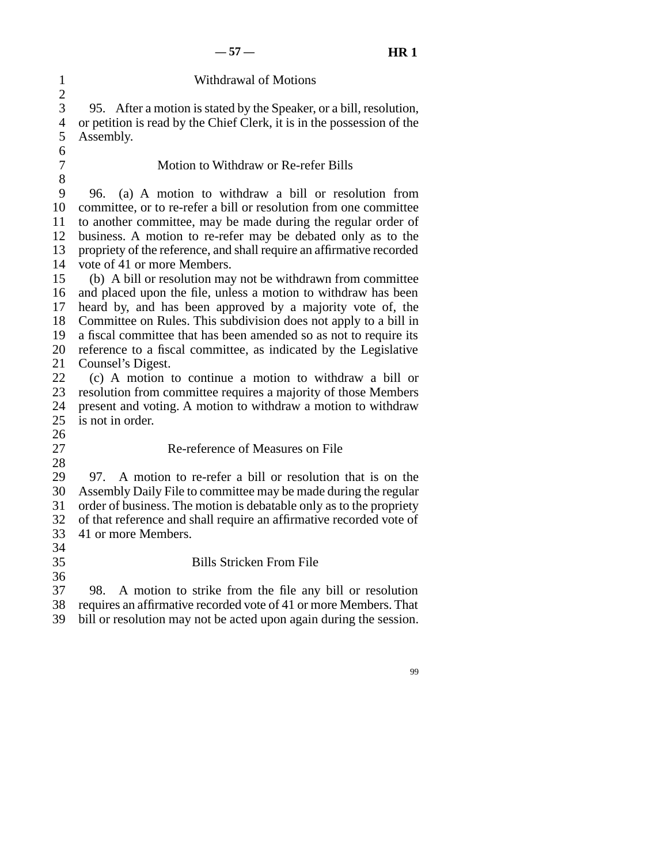| $\,1\,$        | <b>Withdrawal of Motions</b>                                           |
|----------------|------------------------------------------------------------------------|
| $\overline{c}$ |                                                                        |
| $\overline{3}$ | 95. After a motion is stated by the Speaker, or a bill, resolution,    |
| $\overline{4}$ | or petition is read by the Chief Clerk, it is in the possession of the |
| 5              | Assembly.                                                              |
| 6              |                                                                        |
| $\tau$         | Motion to Withdraw or Re-refer Bills                                   |
| 8              |                                                                        |
| 9              | (a) A motion to withdraw a bill or resolution from<br>96.              |
| 10             | committee, or to re-refer a bill or resolution from one committee      |
| 11             | to another committee, may be made during the regular order of          |
| 12             | business. A motion to re-refer may be debated only as to the           |
| 13             | propriety of the reference, and shall require an affirmative recorded  |
| 14             | vote of 41 or more Members.                                            |
| 15             | (b) A bill or resolution may not be withdrawn from committee           |
| 16             | and placed upon the file, unless a motion to withdraw has been         |
| 17             | heard by, and has been approved by a majority vote of, the             |
| 18             | Committee on Rules. This subdivision does not apply to a bill in       |
| 19             | a fiscal committee that has been amended so as not to require its      |
| 20             | reference to a fiscal committee, as indicated by the Legislative       |
| 21             | Counsel's Digest.                                                      |
| 22             | (c) A motion to continue a motion to withdraw a bill or                |
| 23             | resolution from committee requires a majority of those Members         |
| 24             | present and voting. A motion to withdraw a motion to withdraw          |
| 25             | is not in order.                                                       |
| 26             |                                                                        |
| 27             | Re-reference of Measures on File                                       |
| 28             |                                                                        |
| 29             | A motion to re-refer a bill or resolution that is on the<br>97.        |
| 30             | Assembly Daily File to committee may be made during the regular        |
| 31             | order of business. The motion is debatable only as to the propriety    |
| 32             | of that reference and shall require an affirmative recorded vote of    |
| 33             | 41 or more Members.                                                    |
| 34             |                                                                        |
| 35             | <b>Bills Stricken From File</b>                                        |
| 36             |                                                                        |
| 37             | A motion to strike from the file any bill or resolution<br>98.         |
| 38             | requires an affirmative recorded vote of 41 or more Members. That      |
| 39             | bill or resolution may not be acted upon again during the session.     |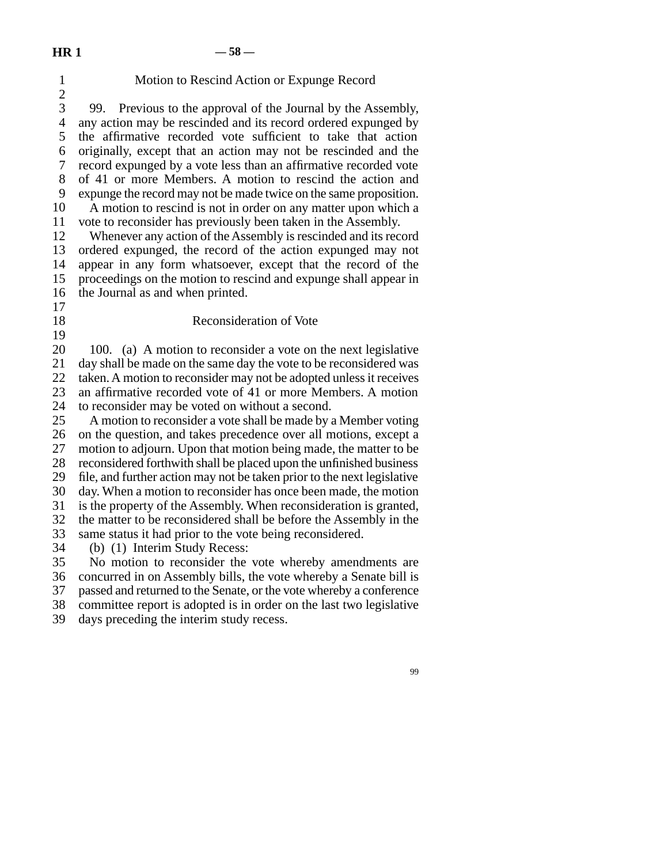| $\mathbf{1}$   | Motion to Rescind Action or Expunge Record                                                                                             |
|----------------|----------------------------------------------------------------------------------------------------------------------------------------|
|                |                                                                                                                                        |
| $\frac{2}{3}$  | Previous to the approval of the Journal by the Assembly,<br>99.                                                                        |
| $\overline{4}$ | any action may be rescinded and its record ordered expunged by                                                                         |
| 5              | the affirmative recorded vote sufficient to take that action                                                                           |
| 6              | originally, except that an action may not be rescinded and the                                                                         |
| 7              | record expunged by a vote less than an affirmative recorded vote                                                                       |
| 8              | of 41 or more Members. A motion to rescind the action and                                                                              |
| 9              | expunge the record may not be made twice on the same proposition.                                                                      |
| 10             | A motion to rescind is not in order on any matter upon which a                                                                         |
| 11             | vote to reconsider has previously been taken in the Assembly.                                                                          |
| 12             | Whenever any action of the Assembly is rescinded and its record                                                                        |
| 13             | ordered expunged, the record of the action expunged may not                                                                            |
| 14             | appear in any form whatsoever, except that the record of the                                                                           |
| 15             | proceedings on the motion to rescind and expunge shall appear in                                                                       |
| 16             | the Journal as and when printed.                                                                                                       |
| 17             |                                                                                                                                        |
| 18             | <b>Reconsideration of Vote</b>                                                                                                         |
| 19             |                                                                                                                                        |
| 20             | 100. (a) A motion to reconsider a vote on the next legislative                                                                         |
| 21             | day shall be made on the same day the vote to be reconsidered was                                                                      |
| 22             | taken. A motion to reconsider may not be adopted unless it receives                                                                    |
| 23             | an affirmative recorded vote of 41 or more Members. A motion                                                                           |
| 24             | to reconsider may be voted on without a second.                                                                                        |
| 25             | A motion to reconsider a vote shall be made by a Member voting                                                                         |
| 26             | on the question, and takes precedence over all motions, except a                                                                       |
| 27             | motion to adjourn. Upon that motion being made, the matter to be                                                                       |
| 28             | reconsidered forthwith shall be placed upon the unfinished business                                                                    |
| 29             | file, and further action may not be taken prior to the next legislative                                                                |
| 30<br>31       | day. When a motion to reconsider has once been made, the motion                                                                        |
| 32             | is the property of the Assembly. When reconsideration is granted,<br>the matter to be reconsidered shall be before the Assembly in the |
| 33             | same status it had prior to the vote being reconsidered.                                                                               |
| 34             | (b) (1) Interim Study Recess:                                                                                                          |
| 35             | No motion to reconsider the vote whereby amendments are                                                                                |
| 36             | concurred in on Assembly bills, the vote whereby a Senate bill is                                                                      |
| 37             | passed and returned to the Senate, or the vote whereby a conference                                                                    |
| 38             | committee report is adopted is in order on the last two legislative                                                                    |
| 39             | days preceding the interim study recess.                                                                                               |
|                |                                                                                                                                        |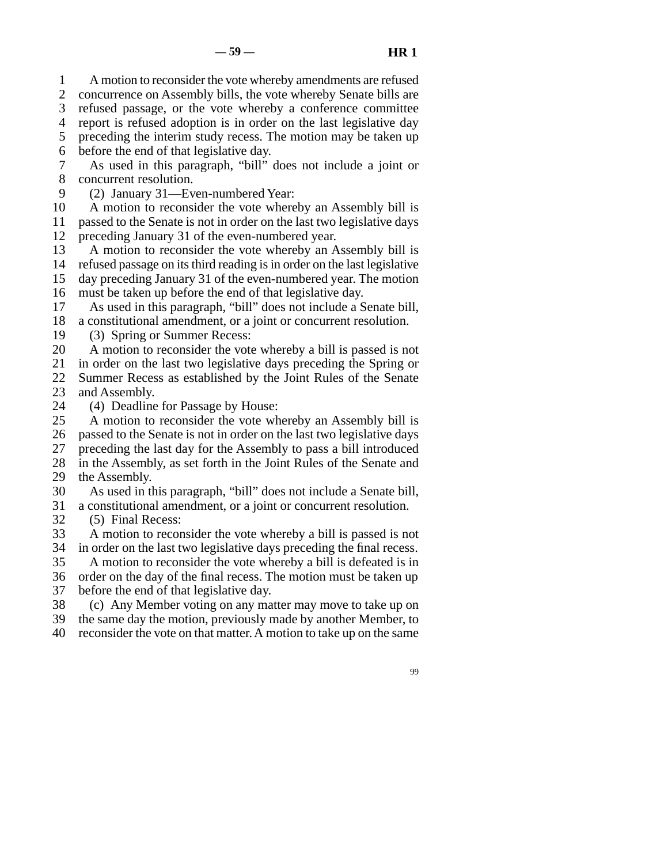1 A motion to reconsider the vote whereby amendments are refused 2 concurrence on Assembly bills, the vote whereby Senate bills are 3 refused passage, or the vote whereby a conference committee 4 report is refused adoption is in order on the last legislative day 5 preceding the interim study recess. The motion may be taken up

6 before the end of that legislative day.

 line 7 As used in this paragraph, "bill" does not include a joint or 8 concurrent resolution.

9 (2) January 31—Even-numbered Year:

10 A motion to reconsider the vote whereby an Assembly bill is 11 passed to the Senate is not in order on the last two legislative days

12 preceding January 31 of the even-numbered year.

13 A motion to reconsider the vote whereby an Assembly bill is

14 refused passage on its third reading is in order on the last legislative 15 day preceding January 31 of the even-numbered year. The motion

16 must be taken up before the end of that legislative day.

17 As used in this paragraph, "bill" does not include a Senate bill, 18 a constitutional amendment, or a joint or concurrent resolution.

19 (3) Spring or Summer Recess:

20 A motion to reconsider the vote whereby a bill is passed is not

21 in order on the last two legislative days preceding the Spring or

22 Summer Recess as established by the Joint Rules of the Senate 23 and Assembly.

24 (4) Deadline for Passage by House:<br>25 A motion to reconsider the vote wh A motion to reconsider the vote whereby an Assembly bill is 26 passed to the Senate is not in order on the last two legislative days 27 preceding the last day for the Assembly to pass a bill introduced 28 in the Assembly, as set forth in the Joint Rules of the Senate and 29 the Assembly. 30 As used in this paragraph, "bill" does not include a Senate bill,

31 a constitutional amendment, or a joint or concurrent resolution.

32 (5) Final Recess:

33 A motion to reconsider the vote whereby a bill is passed is not 34 in order on the last two legislative days preceding the final recess.

35 A motion to reconsider the vote whereby a bill is defeated is in 36 order on the day of the final recess. The motion must be taken up

37 before the end of that legislative day.

38 (c) Any Member voting on any matter may move to take up on

39 the same day the motion, previously made by another Member, to

40 reconsider the vote on that matter. A motion to take up on the same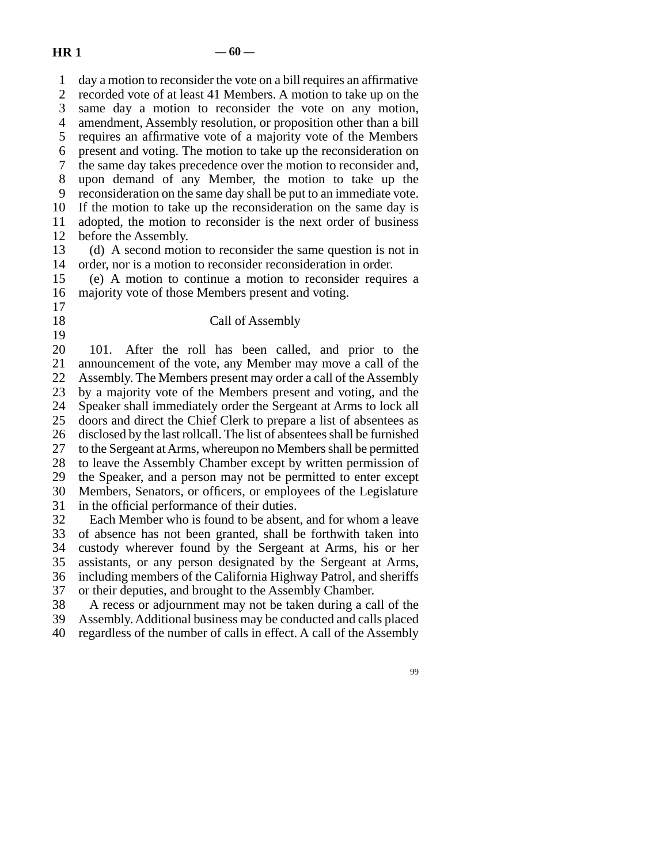line 1 day a motion to reconsider the vote on a bill requires an affirmative 2 recorded vote of at least 41 Members. A motion to take up on the 3 same day a motion to reconsider the vote on any motion, 4 amendment, Assembly resolution, or proposition other than a bill 5 requires an affirmative vote of a majority vote of the Members line 6 present and voting. The motion to take up the reconsideration on line 7 the same day takes precedence over the motion to reconsider and, 8 upon demand of any Member, the motion to take up the 9 reconsideration on the same day shall be put to an immediate vote. 10 If the motion to take up the reconsideration on the same day is 11 adopted, the motion to reconsider is the next order of business 12 before the Assembly. 13 (d) A second motion to reconsider the same question is not in 14 order, nor is a motion to reconsider reconsideration in order. order, nor is a motion to reconsider reconsideration in order. 15 (e) A motion to continue a motion to reconsider requires a 16 majority vote of those Members present and voting. line 17 18 Call of Assembly  $\frac{19}{20}$ 101. After the roll has been called, and prior to the 21 announcement of the vote, any Member may move a call of the 22 Assembly. The Members present may order a call of the Assembly<br>23 by a majority vote of the Members present and voting, and the by a majority vote of the Members present and voting, and the 24 Speaker shall immediately order the Sergeant at Arms to lock all<br>25 doors and direct the Chief Clerk to prepare a list of absentees as doors and direct the Chief Clerk to prepare a list of absentees as 26 disclosed by the last rollcall. The list of absentees shall be furnished 27 to the Sergeant at Arms, whereupon no Members shall be permitted 28 to leave the Assembly Chamber except by written permission of 29 the Speaker, and a person may not be permitted to enter except 30 Members, Senators, or officers, or employees of the Legislature 31 in the official performance of their duties. 32 Each Member who is found to be absent, and for whom a leave 33 of absence has not been granted, shall be forthwith taken into 34 custody wherever found by the Sergeant at Arms, his or her 35 assistants, or any person designated by the Sergeant at Arms,

36 including members of the California Highway Patrol, and sheriffs 37 or their deputies, and brought to the Assembly Chamber.

38 A recess or adjournment may not be taken during a call of the line 39 Assembly. Additional business may be conducted and calls placed

40 regardless of the number of calls in effect. A call of the Assembly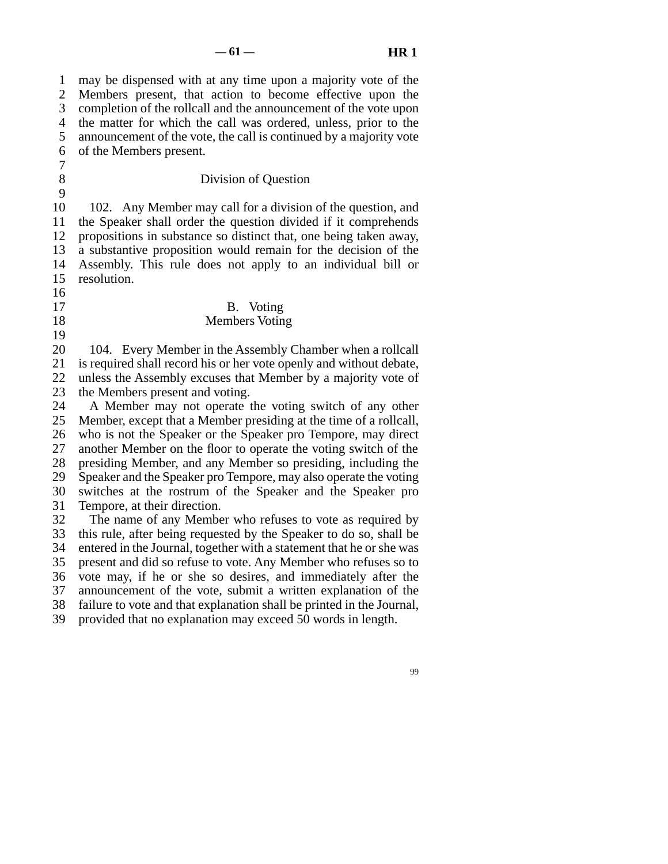line 1 may be dispensed with at any time upon a majority vote of the 2 Members present, that action to become effective upon the 3 completion of the rollcall and the announcement of the vote upon 4 the matter for which the call was ordered, unless, prior to the 5 announcement of the vote, the call is continued by a majority vote 6 of the Members present.

#### 8 Division of Question

10 102. Any Member may call for a division of the question, and 11 the Speaker shall order the question divided if it comprehends 12 propositions in substance so distinct that, one being taken away, 13 a substantive proposition would remain for the decision of the 14 Assembly. This rule does not apply to an individual bill or 15 resolution.

16

 $\overline{7}$ 

**9** 

line 19

# line 17 B. Voting

# 18 Members Voting

20 104. Every Member in the Assembly Chamber when a rollcall 21 is required shall record his or her vote openly and without debate, 22 unless the Assembly excuses that Member by a majority vote of 23 the Members present and voting.

24 A Member may not operate the voting switch of any other 25 Member, except that a Member presiding at the time of a rollcall, Member, except that a Member presiding at the time of a rollcall, 26 who is not the Speaker or the Speaker pro Tempore, may direct 27 another Member on the floor to operate the voting switch of the 28 presiding Member, and any Member so presiding, including the 29 Speaker and the Speaker pro Tempore, may also operate the voting 30 switches at the rostrum of the Speaker and the Speaker pro 31 Tempore, at their direction. 32 The name of any Member who refuses to vote as required by

33 this rule, after being requested by the Speaker to do so, shall be 34 entered in the Journal, together with a statement that he or she was 35 present and did so refuse to vote. Any Member who refuses so to 36 vote may, if he or she so desires, and immediately after the 37 announcement of the vote, submit a written explanation of the 38 failure to vote and that explanation shall be printed in the Journal,

39 provided that no explanation may exceed 50 words in length.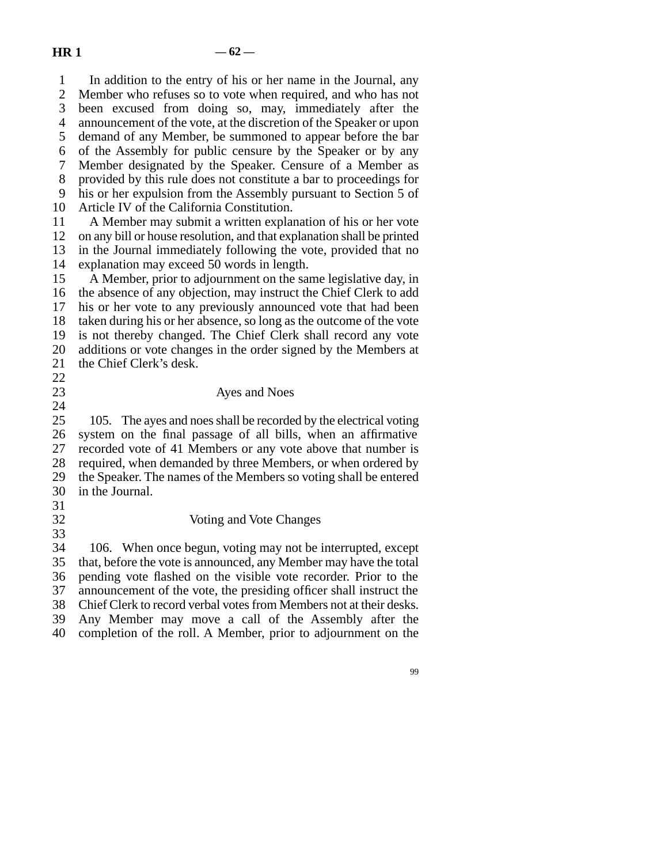1 In addition to the entry of his or her name in the Journal, any 2 Member who refuses so to vote when required, and who has not 3 been excused from doing so, may, immediately after the 4 announcement of the vote, at the discretion of the Speaker or upon 5 demand of any Member, be summoned to appear before the bar line 6 of the Assembly for public censure by the Speaker or by any 7 Member designated by the Speaker. Censure of a Member as 8 provided by this rule does not constitute a bar to proceedings for 9 his or her expulsion from the Assembly pursuant to Section 5 of 10 Article IV of the California Constitution. 11 A Member may submit a written explanation of his or her vote 12 on any bill or house resolution, and that explanation shall be printed 13 in the Journal immediately following the vote, provided that no 14 explanation may exceed 50 words in length. 15 A Member, prior to adjournment on the same legislative day, in 16 the absence of any objection, may instruct the Chief Clerk to add 17 his or her vote to any previously announced vote that had been 18 taken during his or her absence, so long as the outcome of the vote 19 is not thereby changed. The Chief Clerk shall record any vote 20 additions or vote changes in the order signed by the Members at 21 the Chief Clerk's desk.  $\frac{22}{23}$ Ayes and Noes  $\frac{24}{25}$ 105. The ayes and noes shall be recorded by the electrical voting 26 system on the final passage of all bills, when an affirmative 27 recorded vote of 41 Members or any vote above that number is 28 required, when demanded by three Members, or when ordered by 29 the Speaker. The names of the Members so voting shall be entered 30 in the Journal.  $31$ 32 Voting and Vote Changes

33 34 106. When once begun, voting may not be interrupted, except 35 that, before the vote is announced, any Member may have the total 36 pending vote flashed on the visible vote recorder. Prior to the 37 announcement of the vote, the presiding officer shall instruct the 38 Chief Clerk to record verbal votes from Members not at their desks. 39 Any Member may move a call of the Assembly after the 40 completion of the roll. A Member, prior to adjournment on the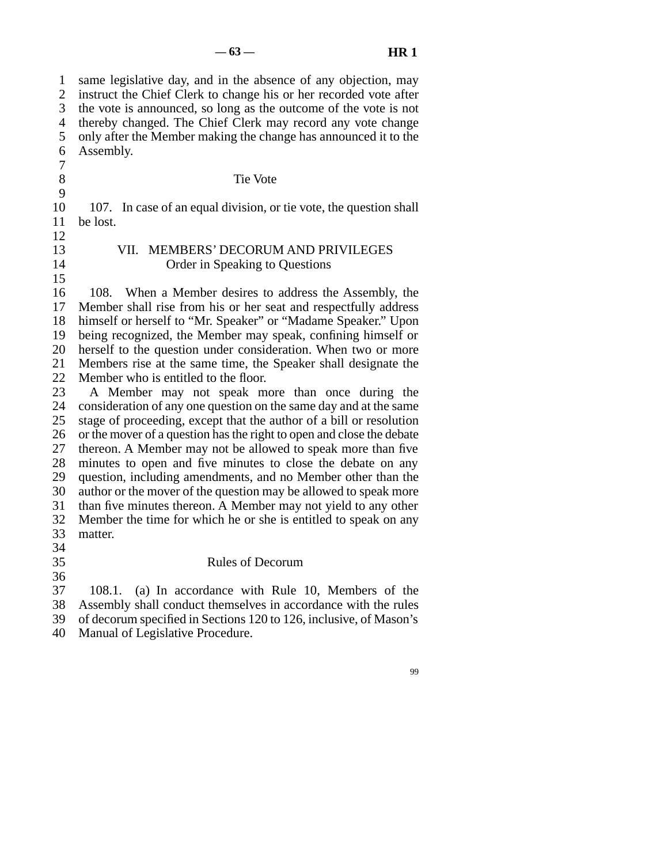1 same legislative day, and in the absence of any objection, may 2 instruct the Chief Clerk to change his or her recorded vote after 3 the vote is announced, so long as the outcome of the vote is not 4 thereby changed. The Chief Clerk may record any vote change 5 only after the Member making the change has announced it to the 6 Assembly.

 $\overline{7}$ 

 $\overline{9}$ 

8 Tie Vote

10 107. In case of an equal division, or tie vote, the question shall 11 be lost.

- $12$
- 

line 15

### 13 VII. MEMBERS' DECORUM AND PRIVILEGES<br>14 Order in Speaking to Ouestions Order in Speaking to Questions

16 108. When a Member desires to address the Assembly, the 17 Member shall rise from his or her seat and respectfully address 18 himself or herself to "Mr. Speaker" or "Madame Speaker." Upon 19 being recognized, the Member may speak, confining himself or 20 herself to the question under consideration. When two or more 21 Members rise at the same time, the Speaker shall designate the 22 Member who is entitled to the floor.<br>23 A Member may not speak m

A Member may not speak more than once during the 24 consideration of any one question on the same day and at the same 25 stage of proceeding, except that the author of a bill or resolution stage of proceeding, except that the author of a bill or resolution 26 or the mover of a question has the right to open and close the debate 27 thereon. A Member may not be allowed to speak more than five 28 minutes to open and five minutes to close the debate on any 29 question, including amendments, and no Member other than the 30 author or the mover of the question may be allowed to speak more 31 than five minutes thereon. A Member may not yield to any other 32 Member the time for which he or she is entitled to speak on any 33 matter.

line 34

# 35 Rules of Decorum

line 36

# 37 108.1. (a) In accordance with Rule 10, Members of the 38 Assembly shall conduct themselves in accordance with the rules

39 of decorum specified in Sections 120 to 126, inclusive, of Mason's

40 Manual of Legislative Procedure.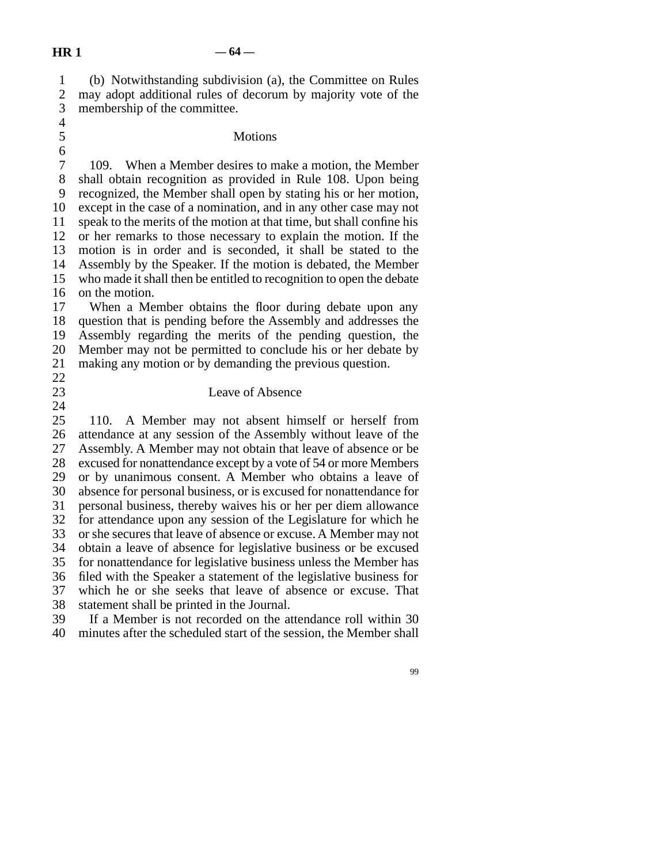line 1 (b) Notwithstanding subdivision (a), the Committee on Rules 2 may adopt additional rules of decorum by majority vote of the membership of the committee. membership of the committee.

 $\overline{4}$ 

 $6 \overline{6}$ 

### 5 Motions

7 109. When a Member desires to make a motion, the Member 8 shall obtain recognition as provided in Rule 108. Upon being 9 recognized, the Member shall open by stating his or her motion, 10 except in the case of a nomination, and in any other case may not 11 speak to the merits of the motion at that time, but shall confine his 12 or her remarks to those necessary to explain the motion. If the 13 motion is in order and is seconded, it shall be stated to the 14 Assembly by the Speaker. If the motion is debated, the Member 15 who made it shall then be entitled to recognition to open the debate 16 on the motion.

17 When a Member obtains the floor during debate upon any 18 question that is pending before the Assembly and addresses the 19 Assembly regarding the merits of the pending question, the 20 Member may not be permitted to conclude his or her debate by 21 making any motion or by demanding the previous question.

 $\frac{22}{23}$ 

#### Leave of Absence

 $\frac{24}{25}$ 110. A Member may not absent himself or herself from 26 attendance at any session of the Assembly without leave of the 27 Assembly. A Member may not obtain that leave of absence or be 28 excused for nonattendance except by a vote of 54 or more Members 29 or by unanimous consent. A Member who obtains a leave of 30 absence for personal business, or is excused for nonattendance for 31 personal business, thereby waives his or her per diem allowance 32 for attendance upon any session of the Legislature for which he 33 or she secures that leave of absence or excuse. A Member may not 34 obtain a leave of absence for legislative business or be excused 35 for nonattendance for legislative business unless the Member has 36 filed with the Speaker a statement of the legislative business for 37 which he or she seeks that leave of absence or excuse. That 38 statement shall be printed in the Journal.

39 If a Member is not recorded on the attendance roll within 30 40 minutes after the scheduled start of the session, the Member shall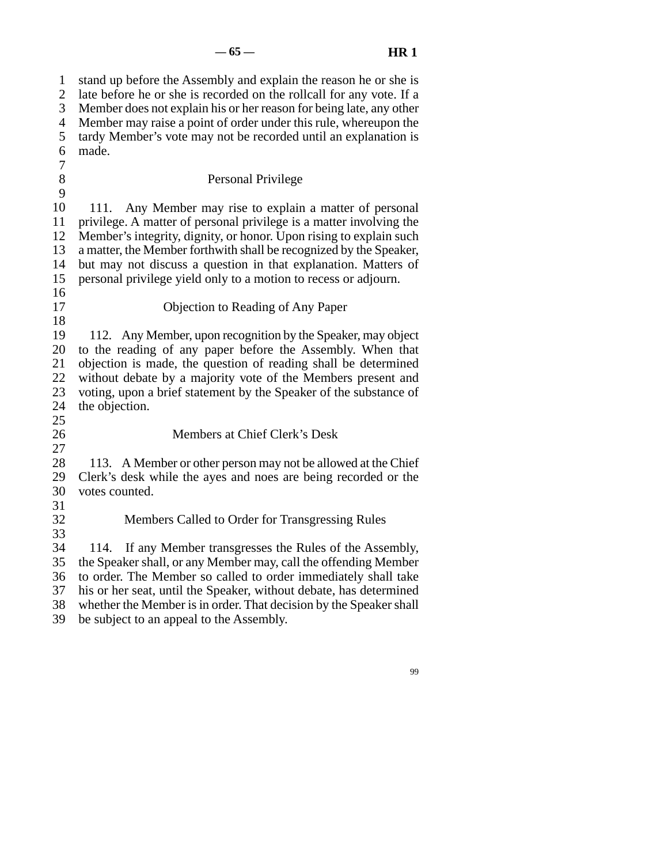1 stand up before the Assembly and explain the reason he or she is 2 late before he or she is recorded on the rollcall for any vote. If a 3 Member does not explain his or her reason for being late, any other 4 Member may raise a point of order under this rule, whereupon the 5 tardy Member's vote may not be recorded until an explanation is 6 made.  $\overline{7}$ 8 **Personal Privilege**  $\overline{9}$ 10 111. Any Member may rise to explain a matter of personal 11 privilege. A matter of personal privilege is a matter involving the 12 Member's integrity, dignity, or honor. Upon rising to explain such 13 a matter, the Member forthwith shall be recognized by the Speaker, 14 but may not discuss a question in that explanation. Matters of 15 personal privilege yield only to a motion to recess or adjourn. 16 17 Objection to Reading of Any Paper line 18 19 112. Any Member, upon recognition by the Speaker, may object 20 to the reading of any paper before the Assembly. When that 21 objection is made, the question of reading shall be determined 22 without debate by a majority vote of the Members present and 23 voting, upon a brief statement by the Speaker of the substance of 24 the objection. 25 26 Members at Chief Clerk's Desk  $\frac{27}{28}$ 113. A Member or other person may not be allowed at the Chief 29 Clerk's desk while the ayes and noes are being recorded or the 30 votes counted.  $31$ 32 Members Called to Order for Transgressing Rules 33 34 114. If any Member transgresses the Rules of the Assembly, 35 the Speaker shall, or any Member may, call the offending Member 36 to order. The Member so called to order immediately shall take 37 his or her seat, until the Speaker, without debate, has determined 38 whether the Member is in order. That decision by the Speaker shall

39 be subject to an appeal to the Assembly.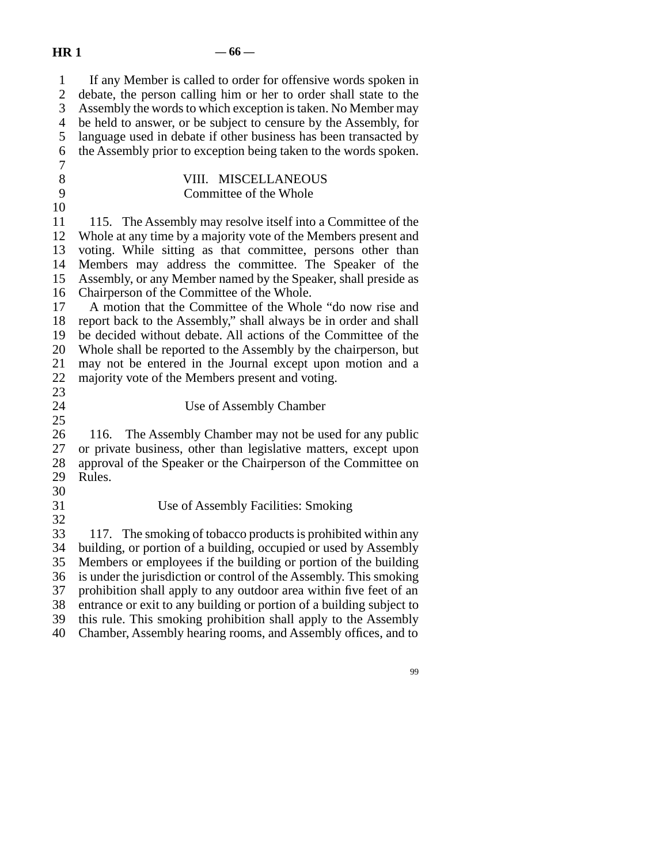1 If any Member is called to order for offensive words spoken in 2 debate, the person calling him or her to order shall state to the<br>3 Assembly the words to which exception is taken. No Member may Assembly the words to which exception is taken. No Member may 4 be held to answer, or be subject to censure by the Assembly, for 5 language used in debate if other business has been transacted by 6 the Assembly prior to exception being taken to the words spoken.  $\overline{7}$ 8 VIII. MISCELLANEOUS<br>9 Committee of the Whole Committee of the Whole line 10 11 115. The Assembly may resolve itself into a Committee of the 12 Whole at any time by a majority vote of the Members present and 13 voting. While sitting as that committee, persons other than 14 Members may address the committee. The Speaker of the 15 Assembly, or any Member named by the Speaker, shall preside as 16 Chairperson of the Committee of the Whole. 17 A motion that the Committee of the Whole "do now rise and 18 report back to the Assembly," shall always be in order and shall 19 be decided without debate. All actions of the Committee of the 20 Whole shall be reported to the Assembly by the chairperson, but 21 may not be entered in the Journal except upon motion and a 22 majority vote of the Members present and voting. 23 24 Use of Assembly Chamber 25 26 116. The Assembly Chamber may not be used for any public<br>27 or private business, other than legislative matters, except upon or private business, other than legislative matters, except upon 28 approval of the Speaker or the Chairperson of the Committee on 29 Rules. line 30 31 Use of Assembly Facilities: Smoking  $\frac{32}{33}$ 117. The smoking of tobacco products is prohibited within any 34 building, or portion of a building, occupied or used by Assembly 35 Members or employees if the building or portion of the building 36 is under the jurisdiction or control of the Assembly. This smoking 37 prohibition shall apply to any outdoor area within five feet of an 38 entrance or exit to any building or portion of a building subject to 39 this rule. This smoking prohibition shall apply to the Assembly 40 Chamber, Assembly hearing rooms, and Assembly offices, and to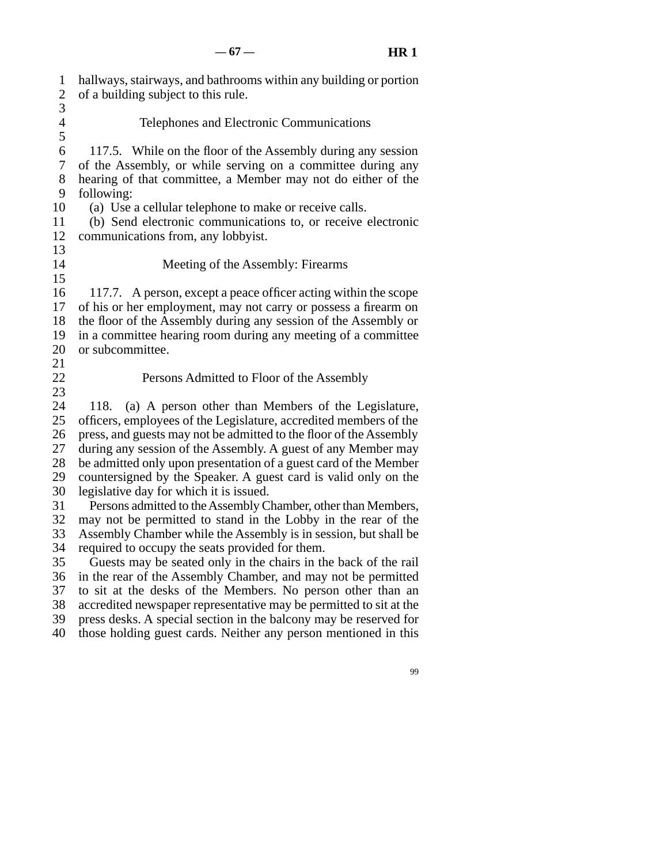line 1 hallways, stairways, and bathrooms within any building or portion 2 of a building subject to this rule.  $\mathfrak{Z}$  line 4 Telephones and Electronic Communications  $5\overline{)}$ 6 117.5. While on the floor of the Assembly during any session line 7 of the Assembly, or while serving on a committee during any 8 hearing of that committee, a Member may not do either of the 9 following: 10 (a) Use a cellular telephone to make or receive calls. 11 (b) Send electronic communications to, or receive electronic 12 communications from, any lobbyist.  $\frac{13}{14}$ Meeting of the Assembly: Firearms 15 16 117.7. A person, except a peace officer acting within the scope 17 of his or her employment, may not carry or possess a firearm on 18 the floor of the Assembly during any session of the Assembly or 19 in a committee hearing room during any meeting of a committee 20 or subcommittee. 21 22 Persons Admitted to Floor of the Assembly 23 24 118. (a) A person other than Members of the Legislature,<br>25 officers, employees of the Legislature, accredited members of the officers, employees of the Legislature, accredited members of the 26 press, and guests may not be admitted to the floor of the Assembly 27 during any session of the Assembly. A guest of any Member may 28 be admitted only upon presentation of a guest card of the Member 29 countersigned by the Speaker. A guest card is valid only on the 30 legislative day for which it is issued. 31 Persons admitted to the Assembly Chamber, other than Members, 32 may not be permitted to stand in the Lobby in the rear of the 33 Assembly Chamber while the Assembly is in session, but shall be 34 required to occupy the seats provided for them. 35 Guests may be seated only in the chairs in the back of the rail 36 in the rear of the Assembly Chamber, and may not be permitted 37 to sit at the desks of the Members. No person other than an 38 accredited newspaper representative may be permitted to sit at the 39 press desks. A special section in the balcony may be reserved for 40 those holding guest cards. Neither any person mentioned in this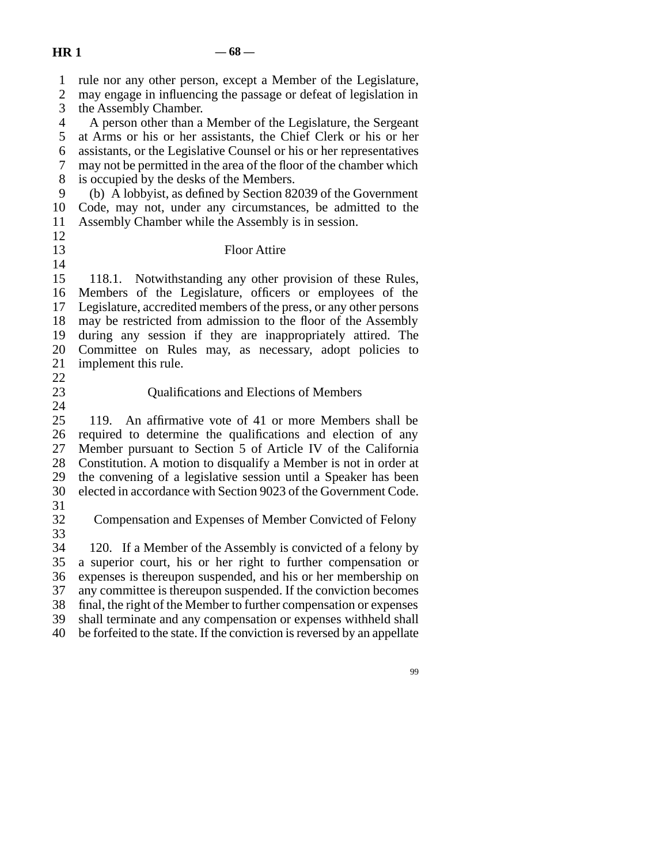1 rule nor any other person, except a Member of the Legislature, 2 may engage in influencing the passage or defeat of legislation in<br>3 the Assembly Chamber. the Assembly Chamber. 4 A person other than a Member of the Legislature, the Sergeant 5 at Arms or his or her assistants, the Chief Clerk or his or her line 6 assistants, or the Legislative Counsel or his or her representatives line 7 may not be permitted in the area of the floor of the chamber which 8 is occupied by the desks of the Members. 9 (b) A lobbyist, as defined by Section 82039 of the Government 10 Code, may not, under any circumstances, be admitted to the 11 Assembly Chamber while the Assembly is in session.  $12$ 13 Floor Attire  $\frac{14}{15}$ 118.1. Notwithstanding any other provision of these Rules, 16 Members of the Legislature, officers or employees of the 17 Legislature, accredited members of the press, or any other persons 18 may be restricted from admission to the floor of the Assembly 19 during any session if they are inappropriately attired. The 20 Committee on Rules may, as necessary, adopt policies to 21 implement this rule.  $\frac{22}{23}$ **Oualifications and Elections of Members**  $\frac{24}{25}$ 119. An affirmative vote of 41 or more Members shall be 26 required to determine the qualifications and election of any 27 Member pursuant to Section 5 of Article IV of the California 28 Constitution. A motion to disqualify a Member is not in order at 29 the convening of a legislative session until a Speaker has been 30 elected in accordance with Section 9023 of the Government Code.  $31$ 32 Compensation and Expenses of Member Convicted of Felony 33 34 120. If a Member of the Assembly is convicted of a felony by 35 a superior court, his or her right to further compensation or 36 expenses is thereupon suspended, and his or her membership on 37 any committee is thereupon suspended. If the conviction becomes 38 final, the right of the Member to further compensation or expenses 39 shall terminate and any compensation or expenses withheld shall 40 be forfeited to the state. If the conviction is reversed by an appellate